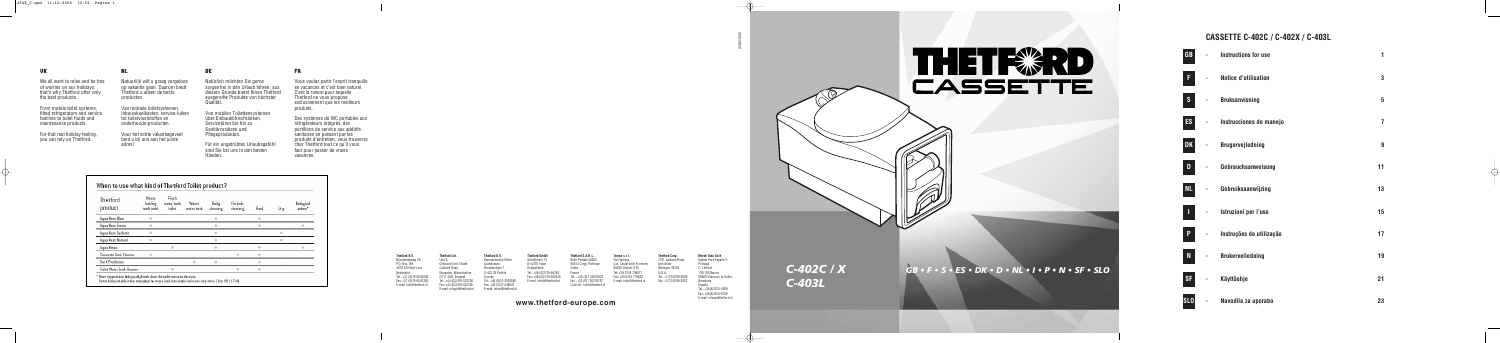| <b>GB</b>   | <b>Instructions for use</b> | 1                |
|-------------|-----------------------------|------------------|
| F           | <b>Notice d'utilisation</b> | 3                |
| S           | <b>Bruksanvisning</b>       | $5\phantom{.0}$  |
| <b>ES</b>   | Instrucciones de manejo     | 7                |
| <b>DK</b>   | <b>Brugervejledning</b>     | $\boldsymbol{9}$ |
| D           | Gebrauchsanweisung          | 11               |
| <b>NL</b>   | Gebruiksaanwijzing          | 13               |
| I           | Istruzioni per l'uso        | 15               |
| P           | Instruções de utilização    | 17               |
| $\mathbf N$ | <b>Brukerveiledning</b>     | 19               |
| <b>SF</b>   | Käyttöohje                  | 21               |
| <b>SLO</b>  | Navodila za uporabo         | 23               |

# **CASSETTE C-402C / C-402X / C-403L**



32220/1006

# **www.thetford-europe.com**

| Thetford B.V.            | <b>Thetford Ltd.</b>     |  |  |  |  |
|--------------------------|--------------------------|--|--|--|--|
| Niiverheidsweg 29        | Unit 6.                  |  |  |  |  |
| P.O. Box 169             | Centrovell Ind. Estate   |  |  |  |  |
| 4870 AD Etten-Leur       | <b>Caldwell Road</b>     |  |  |  |  |
| Nederland                | Nuneaton, Warwickshire   |  |  |  |  |
| Tel.: +31 (0)76-5042200  | CV11 4UD. England        |  |  |  |  |
| Fax: +31 (0)76-5042300   | Tel.: +44 (0)2476-322700 |  |  |  |  |
| E-mail: info@thetford.nl | Fax: +44 (0)2476-322705  |  |  |  |  |
|                          | .                        |  |  |  |  |

E-mail: infogb@thetford.nl E-mail: infos@thetford.nl **Thetford B.V.** Representative Office Scandinavia Brodalsvägen 7 S-433 38 Partille Sverige Tel.: +46 (0)31-3363580 Fax: +46 (0)31-448570 **Thetford GmbH** Schallbruch 14 D-42781 Haan Deutschland Tel.: +49 (0)2129-94250

Fax: +49 (0)2129-942525 Tél. : +33 (0)1 30375823 Fax: +39 0744 719833 E-mail: infod@thetford.nl Fax : +33 (0)1 30379767 E-mail: infoi@thetford.nl Fax: +1(734)769-2023 **Thetford S.A.R.L.** Boîte Postale 40204 95614 Cergy Pontoise Cedex France Courriel : infof@thetford.nl

**Tecma s.r.l.**  Via Flaminia Loc. Castel delle Formiche 05030 Otricoli (TR) Tel: +39 0744 709071

**Thetford Corp.** 7101 Jackson Road Ann Arbor Michigan 48103 U.S.A. Tel.: +1(734)769-6000

**Mercè Grau Solà** Agente Para España Y Portugal C/ Libertat 103-105 Baixos 08800 Vilanova i la Geltru Barcelona España Tel.: +34(9)3815-4389 Fax: +34(9)3815-6106 E-mail: infosp@thetford.nl

#### **NL**

Natuurlijk wilt u graag zorgeloos op vakantie gaan. Daarom biedt Thetford u alleen de beste producten.

Van mobiele toiletsystemen, inbouwkoelkasten, service-luiken tot toiletvloeistoffen en onderhouds-producten.

Voor het echte vakantiegevoel bent u bij ons aan het juiste adres!

#### **UK**

We all want to relax and be free of worries on our holidays, that's why Thetford offer only the best products.

From mobile toilet systems, fitted refrigerators and service hatches to toilet fluids and maintenance products.

For that real holiday feeling, you can rely on Thetford.

#### **FR**

Vous voulez partir l'esprit tranquille en vacances et c'est bien naturel. C'est la raison pour laquelle Thetford ne vous propose exclusivement que les meilleurs produits.

Des systèmes de WC portables aux réfrigérateurs intégrés, des portillons de service aux additifs sanitaires en passant par les produits d'entretien, vous trouverez chez Thetford tout ce qu'il vous faut pour passer de vraies vacances.

| Thetford<br>product       | Waste<br>holding<br>tanktoilet | Flush<br>water tank<br>toilet | Waste<br>water tank | Daily<br>cleaning | Periodic<br>deaning | Fluid | Dry | Biological<br>action* |
|---------------------------|--------------------------------|-------------------------------|---------------------|-------------------|---------------------|-------|-----|-----------------------|
| Aqua Kem Blue             |                                |                               |                     |                   |                     |       |     |                       |
| Aqua Kem Green            |                                |                               |                     |                   |                     |       |     |                       |
| Agua Kem Sachets          |                                |                               |                     |                   |                     |       |     |                       |
| Aqua Kem Natural          |                                |                               |                     |                   |                     |       |     |                       |
| Aqua Rinse                |                                |                               |                     |                   |                     |       |     |                       |
| Cassette Tank Cleaner     |                                |                               |                     |                   |                     |       |     |                       |
| Tank Freshener            |                                |                               |                     |                   |                     |       |     |                       |
| Toilet Water Tank Cleaner |                                |                               |                     |                   |                     |       |     |                       |

#### **DE**

Natürlich möchten Sie gerne sorgenfrei in den Urlaub fahren, aus diesem Grunde bietet Ihnen Thetford ausgereifte Produkte von höchster Qualität.

Von mobilen Toilettensystemen über Einbaukühlschränken, Servicetüren bis hin zu Sanitärzusätzen und Pflegeprodukten.

Für ein ungetrübtes Urlaubsgefühl sind Sie bei uns in den besten Händen.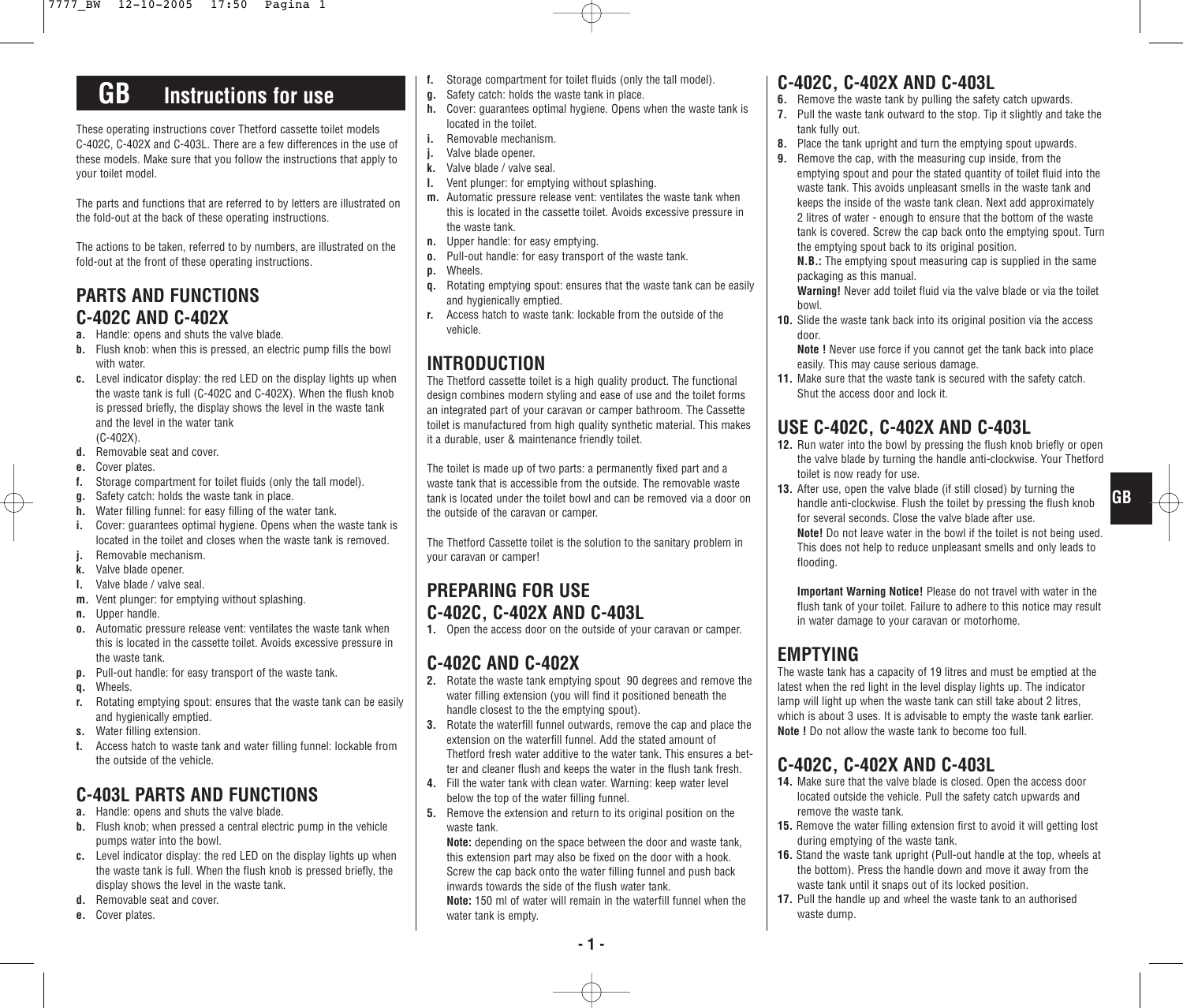# **GB Instructions for use**

These operating instructions cover Thetford cassette toilet models C-402C, C-402X and C-403L. There are a few differences in the use of these models. Make sure that you follow the instructions that apply to your toilet model.

The parts and functions that are referred to by letters are illustrated on the fold-out at the back of these operating instructions.

The actions to be taken, referred to by numbers, are illustrated on the fold-out at the front of these operating instructions.

### **PARTS AND FUNCTIONS C-402C AND C-402X**

- **a.** Handle: opens and shuts the valve blade.
- **b.** Flush knob: when this is pressed, an electric pump fills the bowl with water.
- **c.** Level indicator display: the red LED on the display lights up when the waste tank is full (C-402C and C-402X). When the flush knob is pressed briefly, the display shows the level in the waste tank and the level in the water tank (C-402X).
- **d.** Removable seat and cover.
- **e.** Cover plates.
- **f.** Storage compartment for toilet fluids (only the tall model).
- **g.** Safety catch: holds the waste tank in place.
- **h.** Water filling funnel: for easy filling of the water tank.
- **i.** Cover: guarantees optimal hygiene. Opens when the waste tank is located in the toilet and closes when the waste tank is removed.
- **j.** Removable mechanism.
- **k.** Valve blade opener.
- **l.** Valve blade / valve seal.
- **m.** Vent plunger: for emptying without splashing.
- **n.** Upper handle.
- **o.** Automatic pressure release vent: ventilates the waste tank when this is located in the cassette toilet. Avoids excessive pressure in the waste tank.
- **p.** Pull-out handle: for easy transport of the waste tank.
- **q.** Wheels.
- **r.** Rotating emptying spout: ensures that the waste tank can be easily and hygienically emptied.
- **s.** Water filling extension.
- **t.** Access hatch to waste tank and water filling funnel: lockable from the outside of the vehicle.

### **C-403L PARTS AND FUNCTIONS**

- **a.** Handle: opens and shuts the valve blade.
- **b.** Flush knob: when pressed a central electric pump in the vehicle pumps water into the bowl.
- **c.** Level indicator display: the red LED on the display lights up when the waste tank is full. When the flush knob is pressed briefly, the display shows the level in the waste tank.
- **d.** Removable seat and cover.
- **e.** Cover plates.
- **f.** Storage compartment for toilet fluids (only the tall model).
- **g.** Safety catch: holds the waste tank in place.
- **h.** Cover: guarantees optimal hygiene. Opens when the waste tank is located in the toilet.
- **i.** Removable mechanism.
- **j.** Valve blade opener.
- **k.** Valve blade / valve seal.
- **l.** Vent plunger: for emptying without splashing.
- **m.** Automatic pressure release vent: ventilates the waste tank when this is located in the cassette toilet. Avoids excessive pressure in the waste tank.
- **n.** Upper handle: for easy emptying.
- **o.** Pull-out handle: for easy transport of the waste tank.
- **p.** Wheels.
- **q.** Rotating emptying spout: ensures that the waste tank can be easily and hygienically emptied.
- **r.** Access hatch to waste tank: lockable from the outside of the vehicle.

### **INTRODUCTION**

The Thetford cassette toilet is a high quality product. The functional design combines modern styling and ease of use and the toilet forms an integrated part of your caravan or camper bathroom. The Cassette toilet is manufactured from high quality synthetic material. This makes it a durable, user & maintenance friendly toilet.

The toilet is made up of two parts: a permanently fixed part and a waste tank that is accessible from the outside. The removable waste tank is located under the toilet bowl and can be removed via a door on the outside of the caravan or camper.

The Thetford Cassette toilet is the solution to the sanitary problem in your caravan or camper!

### **PREPARING FOR USE C-402C, C-402X AND C-403L**

**1.** Open the access door on the outside of your caravan or camper.

### **C-402C AND C-402X**

- **2.** Rotate the waste tank emptying spout 90 degrees and remove the water filling extension (you will find it positioned beneath the handle closest to the the emptying spout).
- **3.** Rotate the waterfill funnel outwards, remove the cap and place the extension on the waterfill funnel. Add the stated amount of Thetford fresh water additive to the water tank. This ensures a better and cleaner flush and keeps the water in the flush tank fresh.
- **4.** Fill the water tank with clean water. Warning: keep water level below the top of the water filling funnel.
- **5.** Remove the extension and return to its original position on the waste tank.

**Note:** depending on the space between the door and waste tank, this extension part may also be fixed on the door with a hook. Screw the cap back onto the water filling funnel and push back inwards towards the side of the flush water tank.

**Note:** 150 ml of water will remain in the waterfill funnel when the water tank is empty.

### **C-402C, C-402X AND C-403L**

- **6.** Remove the waste tank by pulling the safety catch upwards.
- **7.** Pull the waste tank outward to the stop. Tip it slightly and take the tank fully out.
- **8.** Place the tank upright and turn the emptying spout upwards.
- **9.** Remove the cap, with the measuring cup inside, from the emptying spout and pour the stated quantity of toilet fluid into the waste tank. This avoids unpleasant smells in the waste tank and keeps the inside of the waste tank clean. Next add approximately 2 litres of water - enough to ensure that the bottom of the waste tank is covered. Screw the cap back onto the emptying spout. Turn the emptying spout back to its original position.

**N.B.:** The emptying spout measuring cap is supplied in the same packaging as this manual.

- **Warning!** Never add toilet fluid via the valve blade or via the toilet bowl.
- **10.** Slide the waste tank back into its original position via the access door.
	- **Note !** Never use force if you cannot get the tank back into place easily. This may cause serious damage.
- **11.** Make sure that the waste tank is secured with the safety catch. Shut the access door and lock it.

### **USE C-402C, C-402X AND C-403L**

- **12.** Run water into the bowl by pressing the flush knob briefly or open the valve blade by turning the handle anti-clockwise. Your Thetford toilet is now ready for use.
- **13.** After use, open the valve blade (if still closed) by turning the handle anti-clockwise. Flush the toilet by pressing the flush knob for several seconds. Close the valve blade after use. **Note!** Do not leave water in the bowl if the toilet is not being used. This does not help to reduce unpleasant smells and only leads to flooding.

**GB**

**Important Warning Notice!** Please do not travel with water in the flush tank of your toilet. Failure to adhere to this notice may result in water damage to your caravan or motorhome.

### **EMPTYING**

The waste tank has a capacity of 19 litres and must be emptied at the latest when the red light in the level display lights up. The indicator lamp will light up when the waste tank can still take about 2 litres, which is about 3 uses. It is advisable to empty the waste tank earlier. **Note !** Do not allow the waste tank to become too full.

### **C-402C, C-402X AND C-403L**

- **14.** Make sure that the valve blade is closed. Open the access door located outside the vehicle. Pull the safety catch upwards and remove the waste tank.
- **15.** Remove the water filling extension first to avoid it will getting lost during emptying of the waste tank.
- **16.** Stand the waste tank upright (Pull-out handle at the top, wheels at the bottom). Press the handle down and move it away from the waste tank until it snaps out of its locked position.
- **17.** Pull the handle up and wheel the waste tank to an authorised waste dump.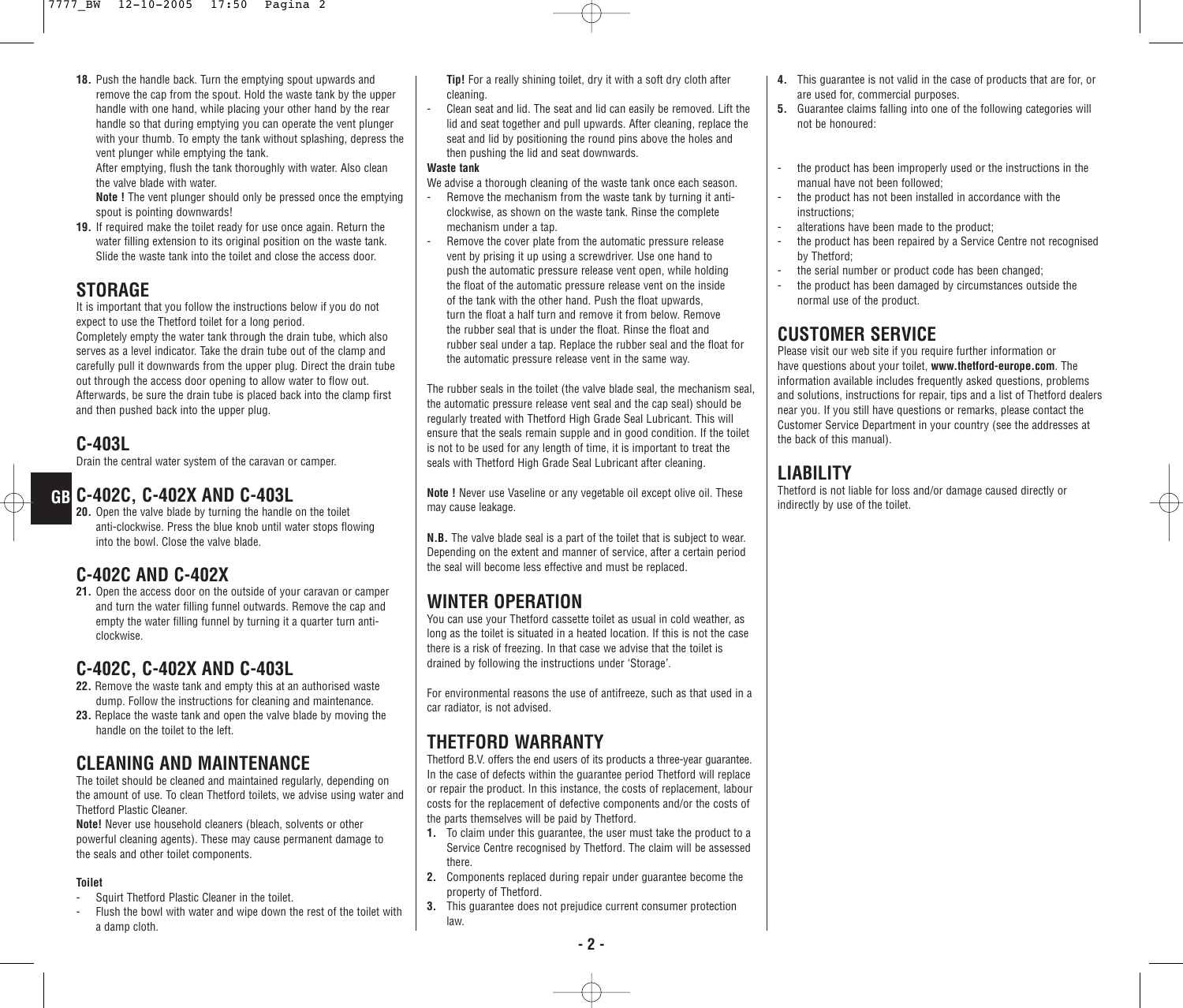**18.** Push the handle back. Turn the emptying spout upwards and remove the cap from the spout. Hold the waste tank by the upper handle with one hand, while placing your other hand by the rear handle so that during emptying you can operate the vent plunger with your thumb. To empty the tank without splashing, depress the vent plunger while emptying the tank.

After emptying, flush the tank thoroughly with water. Also clean the valve blade with water.

**Note !** The vent plunger should only be pressed once the emptying spout is pointing downwards!

**19.** If required make the toilet ready for use once again. Return the water filling extension to its original position on the waste tank. Slide the waste tank into the toilet and close the access door.

#### **STORAGE**

It is important that you follow the instructions below if you do not expect to use the Thetford toilet for a long period. Completely empty the water tank through the drain tube, which also serves as a level indicator. Take the drain tube out of the clamp and carefully pull it downwards from the upper plug. Direct the drain tube out through the access door opening to allow water to flow out. Afterwards, be sure the drain tube is placed back into the clamp first and then pushed back into the upper plug.

#### **C-403L**

Drain the central water system of the caravan or camper.

**20.** Open the valve blade by turning the handle on the toilet anti-clockwise. Press the blue knob until water stops flowing into the bowl. Close the valve blade.

#### **C-402C AND C-402X**

**21.** Open the access door on the outside of your caravan or camper and turn the water filling funnel outwards. Remove the cap and empty the water filling funnel by turning it a quarter turn anticlockwise.

#### **C-402C, C-402X AND C-403L**

- **22.** Remove the waste tank and empty this at an authorised waste dump. Follow the instructions for cleaning and maintenance.
- **23.** Replace the waste tank and open the valve blade by moving the handle on the toilet to the left.

### **CLEANING AND MAINTENANCE**

The toilet should be cleaned and maintained regularly, depending on the amount of use. To clean Thetford toilets, we advise using water and Thetford Plastic Cleaner.

**Note!** Never use household cleaners (bleach, solvents or other powerful cleaning agents). These may cause permanent damage to the seals and other toilet components.

#### **Toilet**

- Squirt Thetford Plastic Cleaner in the toilet.
- Flush the bowl with water and wipe down the rest of the toilet with a damp cloth.

**Tip!** For a really shining toilet, dry it with a soft dry cloth after cleaning.

Clean seat and lid. The seat and lid can easily be removed. Lift the lid and seat together and pull upwards. After cleaning, replace the seat and lid by positioning the round pins above the holes and then pushing the lid and seat downwards.

#### **Waste tank**

We advise a thorough cleaning of the waste tank once each season.

- Remove the mechanism from the waste tank by turning it anticlockwise, as shown on the waste tank. Rinse the complete mechanism under a tap.
- Remove the cover plate from the automatic pressure release vent by prising it up using a screwdriver. Use one hand to push the automatic pressure release vent open, while holding the float of the automatic pressure release vent on the inside of the tank with the other hand. Push the float upwards, turn the float a half turn and remove it from below. Remove the rubber seal that is under the float. Rinse the float and rubber seal under a tap. Replace the rubber seal and the float for the automatic pressure release vent in the same way.

The rubber seals in the toilet (the valve blade seal, the mechanism seal, the automatic pressure release vent seal and the cap seal) should be regularly treated with Thetford High Grade Seal Lubricant. This will ensure that the seals remain supple and in good condition. If the toilet is not to be used for any length of time, it is important to treat the seals with Thetford High Grade Seal Lubricant after cleaning.

GB C-402C, C-402X AND C-403L **Individual CO-403L** Note ! Never use Vaseline or any vegetable oil except olive oil. These Thetford is not liable for loss and the toilet. **Note !** Never use Vaseline or any vegetable oil except olive oil. These may cause leakage.

> **N.B.** The valve blade seal is a part of the toilet that is subject to wear. Depending on the extent and manner of service, after a certain period the seal will become less effective and must be replaced.

### **WINTER OPERATION**

You can use your Thetford cassette toilet as usual in cold weather, as long as the toilet is situated in a heated location. If this is not the case there is a risk of freezing. In that case we advise that the toilet is drained by following the instructions under 'Storage'.

For environmental reasons the use of antifreeze, such as that used in a car radiator, is not advised.

### **THETFORD WARRANTY**

Thetford B.V. offers the end users of its products a three-year guarantee. In the case of defects within the guarantee period Thetford will replace or repair the product. In this instance, the costs of replacement, labour costs for the replacement of defective components and/or the costs of the parts themselves will be paid by Thetford.

- **1.** To claim under this guarantee, the user must take the product to a Service Centre recognised by Thetford. The claim will be assessed there.
- **2.** Components replaced during repair under guarantee become the property of Thetford.
- **3.** This guarantee does not prejudice current consumer protection law.
- **4.** This guarantee is not valid in the case of products that are for, or are used for, commercial purposes.
- **5.** Guarantee claims falling into one of the following categories will not be honoured:
- the product has been improperly used or the instructions in the manual have not been followed;
- the product has not been installed in accordance with the instructions;
- alterations have been made to the product:
- the product has been repaired by a Service Centre not recognised by Thetford;
- the serial number or product code has been changed;
- the product has been damaged by circumstances outside the normal use of the product.

#### **CUSTOMER SERVICE**

Please visit our web site if you require further information or have questions about your toilet, **www.thetford-europe.com**. The information available includes frequently asked questions, problems and solutions, instructions for repair, tips and a list of Thetford dealers near you. If you still have questions or remarks, please contact the Customer Service Department in your country (see the addresses at the back of this manual).

#### **LIABILITY**

Thetford is not liable for loss and/or damage caused directly or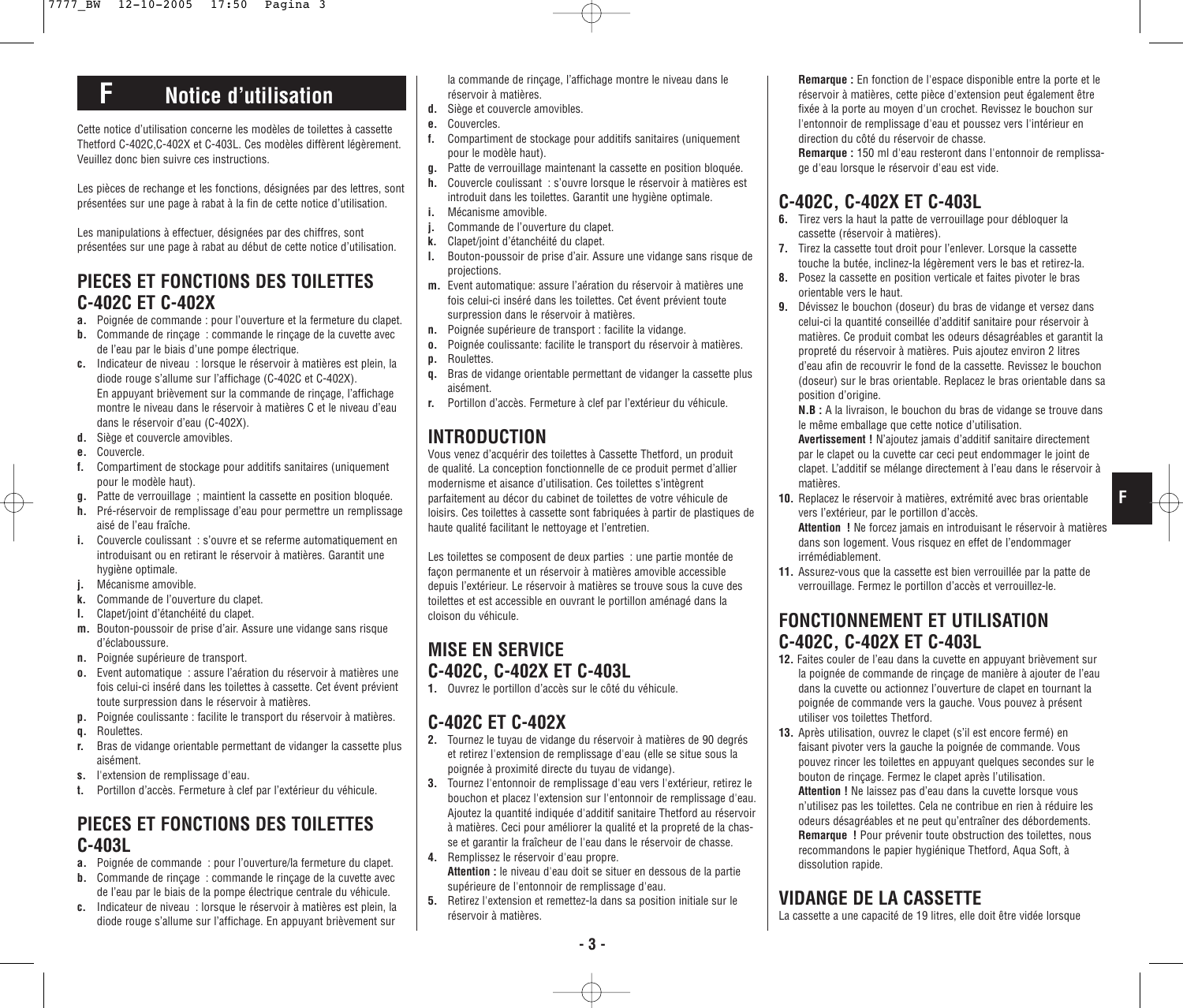# **F Notice d'utilisation**

Cette notice d'utilisation concerne les modèles de toilettes à cassette Thetford C-402C,C-402X et C-403L. Ces modèles diffèrent légèrement. Veuillez donc bien suivre ces instructions.

Les pièces de rechange et les fonctions, désignées par des lettres, sont présentées sur une page à rabat à la fin de cette notice d'utilisation.

Les manipulations à effectuer, désignées par des chiffres, sont présentées sur une page à rabat au début de cette notice d'utilisation.

### **PIECES ET FONCTIONS DES TOILETTES C-402C ET C-402X**

- **a.** Poignée de commande : pour l'ouverture et la fermeture du clapet.
- **b.** Commande de rinçage : commande le rinçage de la cuvette avec de l'eau par le biais d'une pompe électrique.
- **c.** Indicateur de niveau : lorsque le réservoir à matières est plein, la diode rouge s'allume sur l'affichage (C-402C et C-402X). En appuyant brièvement sur la commande de rinçage, l'affichage montre le niveau dans le réservoir à matières C et le niveau d'eau dans le réservoir d'eau (C-402X).
- **d.** Siège et couvercle amovibles.
- **e.** Couvercle.
- **f.** Compartiment de stockage pour additifs sanitaires (uniquement pour le modèle haut).
- **g.** Patte de verrouillage ; maintient la cassette en position bloquée.
- **h.** Pré-réservoir de remplissage d'eau pour permettre un remplissage aisé de l'eau fraîche.
- **i.** Couvercle coulissant : s'ouvre et se referme automatiquement en introduisant ou en retirant le réservoir à matières. Garantit une hygiène optimale.
- **j.** Mécanisme amovible.
- **k.** Commande de l'ouverture du clapet.
- **l.** Clapet/joint d'étanchéité du clapet.
- **m.** Bouton-poussoir de prise d'air. Assure une vidange sans risque d'éclaboussure.
- **n.** Poignée supérieure de transport.
- **o.** Event automatique : assure l'aération du réservoir à matières une fois celui-ci inséré dans les toilettes à cassette. Cet évent prévient toute surpression dans le réservoir à matières.
- **p.** Poignée coulissante : facilite le transport du réservoir à matières.
- **q.** Roulettes.
- **r.** Bras de vidange orientable permettant de vidanger la cassette plus aisément.
- **s.** l'extension de remplissage d'eau.
- **t.** Portillon d'accès. Fermeture à clef par l'extérieur du véhicule.

### **PIECES ET FONCTIONS DES TOILETTES C-403L**

- **a.** Poignée de commande : pour l'ouverture/la fermeture du clapet.
- **b.** Commande de rinçage : commande le rinçage de la cuvette avec de l'eau par le biais de la pompe électrique centrale du véhicule.
- **c.** Indicateur de niveau : lorsque le réservoir à matières est plein, la diode rouge s'allume sur l'affichage. En appuyant brièvement sur

la commande de rinçage, l'affichage montre le niveau dans le réservoir à matières.

- **d.** Siège et couvercle amovibles.
- **e.** Couvercles.
- **f.** Compartiment de stockage pour additifs sanitaires (uniquement pour le modèle haut).
- **g.** Patte de verrouillage maintenant la cassette en position bloquée.
- **h.** Couvercle coulissant : s'ouvre lorsque le réservoir à matières est introduit dans les toilettes. Garantit une hygiène optimale.
- **i.** Mécanisme amovible.
- **j.** Commande de l'ouverture du clapet.
- **k.** Clapet/joint d'étanchéité du clapet.
- **l.** Bouton-poussoir de prise d'air. Assure une vidange sans risque de projections.
- **m.** Event automatique: assure l'aération du réservoir à matières une fois celui-ci inséré dans les toilettes. Cet évent prévient toute surpression dans le réservoir à matières.
- **n.** Poignée supérieure de transport : facilite la vidange.
- **o.** Poignée coulissante: facilite le transport du réservoir à matières.
- **p.** Roulettes.
- **q.** Bras de vidange orientable permettant de vidanger la cassette plus aisément.
- **r.** Portillon d'accès. Fermeture à clef par l'extérieur du véhicule.

## **INTRODUCTION**

Vous venez d'acquérir des toilettes à Cassette Thetford, un produit de qualité. La conception fonctionnelle de ce produit permet d'allier modernisme et aisance d'utilisation. Ces toilettes s'intègrent parfaitement au décor du cabinet de toilettes de votre véhicule de loisirs. Ces toilettes à cassette sont fabriquées à partir de plastiques de haute qualité facilitant le nettoyage et l'entretien.

Les toilettes se composent de deux parties : une partie montée de façon permanente et un réservoir à matières amovible accessible depuis l'extérieur. Le réservoir à matières se trouve sous la cuve des toilettes et est accessible en ouvrant le portillon aménagé dans la cloison du véhicule.

## **MISE EN SERVICE C-402C, C-402X ET C-403L**

**1.** Ouvrez le portillon d'accès sur le côté du véhicule.

### **C-402C ET C-402X**

- **2.** Tournez le tuyau de vidange du réservoir à matières de 90 degrés et retirez l'extension de remplissage d'eau (elle se situe sous la poignée à proximité directe du tuyau de vidange).
- **3.** Tournez l'entonnoir de remplissage d'eau vers l'extérieur, retirez le bouchon et placez l'extension sur l'entonnoir de remplissage d'eau. Ajoutez la quantité indiquée d'additif sanitaire Thetford au réservoir à matières. Ceci pour améliorer la qualité et la propreté de la chasse et garantir la fraîcheur de l'eau dans le réservoir de chasse.
- **4.** Remplissez le réservoir d'eau propre. **Attention :** le niveau d'eau doit se situer en dessous de la partie supérieure de l'entonnoir de remplissage d'eau.
- **5.** Retirez l'extension et remettez-la dans sa position initiale sur le réservoir à matières.

**Remarque :** En fonction de l'espace disponible entre la porte et le réservoir à matières, cette pièce d'extension peut également être fixée à la porte au moyen d'un crochet. Revissez le bouchon sur l'entonnoir de remplissage d'eau et poussez vers l'intérieur en direction du côté du réservoir de chasse.

**Remarque :** 150 ml d'eau resteront dans l'entonnoir de remplissage d'eau lorsque le réservoir d'eau est vide.

# **C-402C, C-402X ET C-403L**

- **6.** Tirez vers la haut la patte de verrouillage pour débloquer la cassette (réservoir à matières).
- **7.** Tirez la cassette tout droit pour l'enlever. Lorsque la cassette touche la butée, inclinez-la légèrement vers le bas et retirez-la.
- **8.** Posez la cassette en position verticale et faites pivoter le bras orientable vers le haut.
- **9.** Dévissez le bouchon (doseur) du bras de vidange et versez dans celui-ci la quantité conseillée d'additif sanitaire pour réservoir à matières. Ce produit combat les odeurs désagréables et garantit la propreté du réservoir à matières. Puis ajoutez environ 2 litres d'eau afin de recouvrir le fond de la cassette. Revissez le bouchon (doseur) sur le bras orientable. Replacez le bras orientable dans sa position d'origine.

**N.B :** A la livraison, le bouchon du bras de vidange se trouve dans le même emballage que cette notice d'utilisation.

**Avertissement !** N'ajoutez jamais d'additif sanitaire directement par le clapet ou la cuvette car ceci peut endommager le joint de clapet. L'additif se mélange directement à l'eau dans le réservoir à matières.

**10.** Replacez le réservoir à matières, extrémité avec bras orientable vers l'extérieur, par le portillon d'accès.

**Attention !** Ne forcez jamais en introduisant le réservoir à matières dans son logement. Vous risquez en effet de l'endommager irrémédiablement.

**F**

**11.** Assurez-vous que la cassette est bien verrouillée par la patte de verrouillage. Fermez le portillon d'accès et verrouillez-le.

### **FONCTIONNEMENT ET UTILISATION C-402C, C-402X ET C-403L**

- **12.** Faites couler de l'eau dans la cuvette en appuyant brièvement sur la poignée de commande de rinçage de manière à ajouter de l'eau dans la cuvette ou actionnez l'ouverture de clapet en tournant la poignée de commande vers la gauche. Vous pouvez à présent utiliser vos toilettes Thetford.
- **13.** Après utilisation, ouvrez le clapet (s'il est encore fermé) en faisant pivoter vers la gauche la poignée de commande. Vous pouvez rincer les toilettes en appuyant quelques secondes sur le bouton de rinçage. Fermez le clapet après l'utilisation.

**Attention !** Ne laissez pas d'eau dans la cuvette lorsque vous n'utilisez pas les toilettes. Cela ne contribue en rien à réduire les odeurs désagréables et ne peut qu'entraîner des débordements. **Remarque !** Pour prévenir toute obstruction des toilettes, nous recommandons le papier hygiénique Thetford, Aqua Soft, à dissolution rapide.

## **VIDANGE DE LA CASSETTE**

La cassette a une capacité de 19 litres, elle doit être vidée lorsque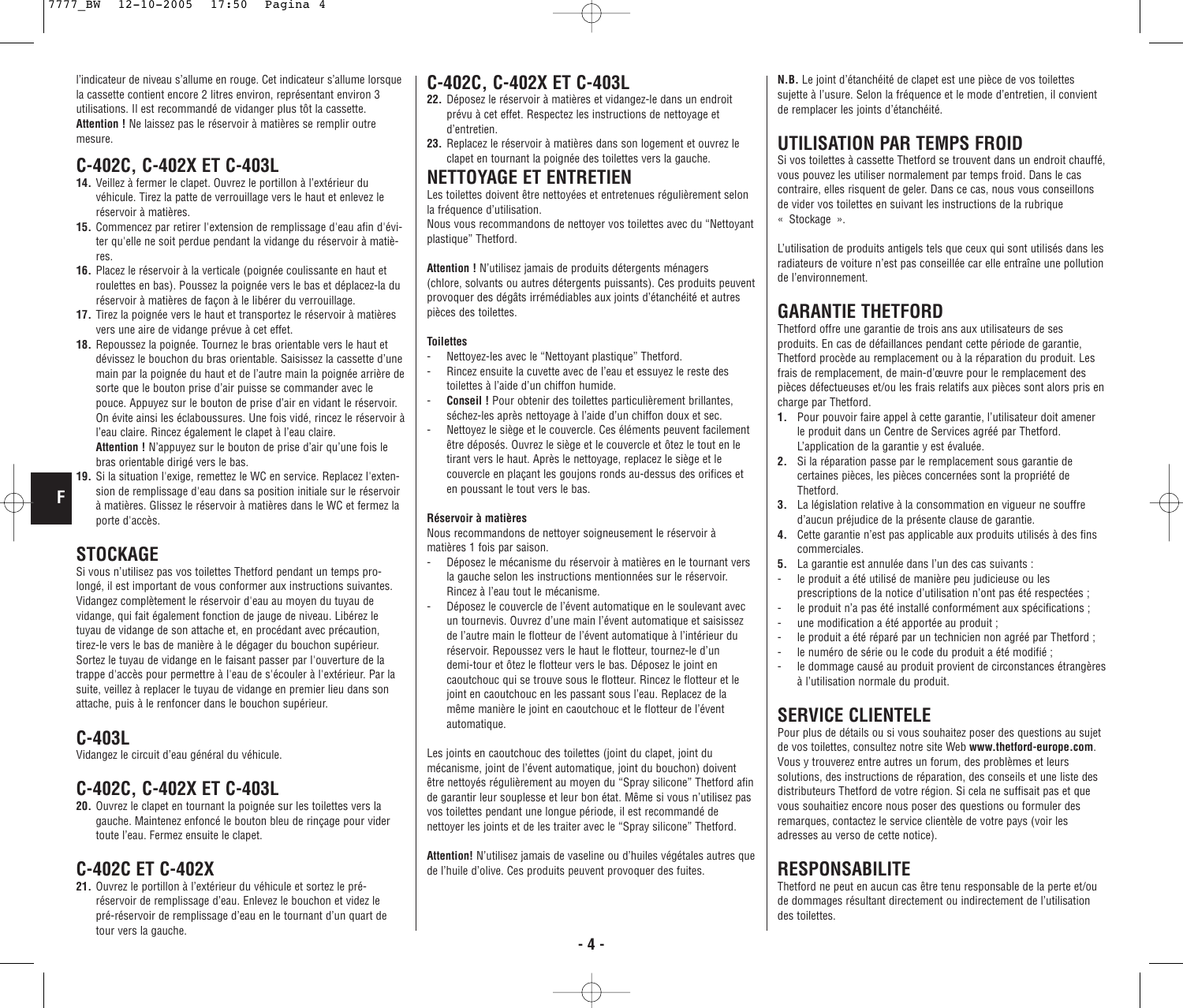l'indicateur de niveau s'allume en rouge. Cet indicateur s'allume lorsque la cassette contient encore 2 litres environ, représentant environ 3 utilisations. Il est recommandé de vidanger plus tôt la cassette. **Attention !** Ne laissez pas le réservoir à matières se remplir outre mesure.

#### **C-402C, C-402X ET C-403L**

- **14.** Veillez à fermer le clapet. Ouvrez le portillon à l'extérieur du véhicule. Tirez la patte de verrouillage vers le haut et enlevez le réservoir à matières.
- **15.** Commencez par retirer l'extension de remplissage d'eau afin d'éviter qu'elle ne soit perdue pendant la vidange du réservoir à matières.
- **16.** Placez le réservoir à la verticale (poignée coulissante en haut et roulettes en bas). Poussez la poignée vers le bas et déplacez-la du réservoir à matières de façon à le libérer du verrouillage.
- **17.** Tirez la poignée vers le haut et transportez le réservoir à matières vers une aire de vidange prévue à cet effet.
- **18.** Repoussez la poignée. Tournez le bras orientable vers le haut et dévissez le bouchon du bras orientable. Saisissez la cassette d'une main par la poignée du haut et de l'autre main la poignée arrière de sorte que le bouton prise d'air puisse se commander avec le pouce. Appuyez sur le bouton de prise d'air en vidant le réservoir. On évite ainsi les éclaboussures. Une fois vidé, rincez le réservoir à l'eau claire. Rincez également le clapet à l'eau claire.

**Attention !** N'appuyez sur le bouton de prise d'air qu'une fois le bras orientable dirigé vers le bas.

**19.** Si la situation l'exige, remettez le WC en service. Replacez l'extension de remplissage d'eau dans sa position initiale sur le réservoir à matières. Glissez le réservoir à matières dans le WC et fermez la porte d'accès.

#### **STOCKAGE**

**F**

Si vous n'utilisez pas vos toilettes Thetford pendant un temps prolongé, il est important de vous conformer aux instructions suivantes. Vidangez complètement le réservoir d'eau au moyen du tuyau de vidange, qui fait également fonction de jauge de niveau. Libérez le tuyau de vidange de son attache et, en procédant avec précaution, tirez-le vers le bas de manière à le dégager du bouchon supérieur. Sortez le tuyau de vidange en le faisant passer par l'ouverture de la trappe d'accès pour permettre à l'eau de s'écouler à l'extérieur. Par la suite, veillez à replacer le tuyau de vidange en premier lieu dans son attache, puis à le renfoncer dans le bouchon supérieur.

#### **C-403L**

Vidangez le circuit d'eau général du véhicule.

### **C-402C, C-402X ET C-403L**

**20.** Ouvrez le clapet en tournant la poignée sur les toilettes vers la gauche. Maintenez enfoncé le bouton bleu de rinçage pour vider toute l'eau. Fermez ensuite le clapet.

#### **C-402C ET C-402X**

**21.** Ouvrez le portillon à l'extérieur du véhicule et sortez le préréservoir de remplissage d'eau. Enlevez le bouchon et videz le pré-réservoir de remplissage d'eau en le tournant d'un quart de tour vers la gauche.

#### **C-402C, C-402X ET C-403L**

- **22.** Déposez le réservoir à matières et vidangez-le dans un endroit prévu à cet effet. Respectez les instructions de nettoyage et d'entretien.
- **23.** Replacez le réservoir à matières dans son logement et ouvrez le clapet en tournant la poignée des toilettes vers la gauche.

### **NETTOYAGE ET ENTRETIEN**

Les toilettes doivent être nettoyées et entretenues régulièrement selon la fréquence d'utilisation.

Nous vous recommandons de nettoyer vos toilettes avec du "Nettoyant plastique" Thetford.

**Attention !** N'utilisez jamais de produits détergents ménagers (chlore, solvants ou autres détergents puissants). Ces produits peuvent provoquer des dégâts irrémédiables aux joints d'étanchéité et autres pièces des toilettes.

#### **Toilettes**

- Nettoyez-les avec le "Nettoyant plastique" Thetford.
- Rincez ensuite la cuvette avec de l'eau et essuyez le reste des toilettes à l'aide d'un chiffon humide.
- **Conseil !** Pour obtenir des toilettes particulièrement brillantes, séchez-les après nettoyage à l'aide d'un chiffon doux et sec.
- Nettoyez le siège et le couvercle. Ces éléments peuvent facilement être déposés. Ouvrez le siège et le couvercle et ôtez le tout en le tirant vers le haut. Après le nettoyage, replacez le siège et le couvercle en plaçant les goujons ronds au-dessus des orifices et en poussant le tout vers le bas.

#### **Réservoir à matières**

Nous recommandons de nettoyer soigneusement le réservoir à matières 1 fois par saison.

- Déposez le mécanisme du réservoir à matières en le tournant vers la gauche selon les instructions mentionnées sur le réservoir. Rincez à l'eau tout le mécanisme.
- Déposez le couvercle de l'évent automatique en le soulevant avec un tournevis. Ouvrez d'une main l'évent automatique et saisissez de l'autre main le flotteur de l'évent automatique à l'intérieur du réservoir. Repoussez vers le haut le flotteur, tournez-le d'un demi-tour et ôtez le flotteur vers le bas. Déposez le joint en caoutchouc qui se trouve sous le flotteur. Rincez le flotteur et le joint en caoutchouc en les passant sous l'eau. Replacez de la même manière le joint en caoutchouc et le flotteur de l'évent automatique.

Les joints en caoutchouc des toilettes (joint du clapet, joint du mécanisme, joint de l'évent automatique, joint du bouchon) doivent être nettoyés régulièrement au moyen du "Spray silicone" Thetford afin de garantir leur souplesse et leur bon état. Même si vous n'utilisez pas vos toilettes pendant une longue période, il est recommandé de nettoyer les joints et de les traiter avec le "Spray silicone" Thetford.

**Attention!** N'utilisez jamais de vaseline ou d'huiles végétales autres que de l'huile d'olive. Ces produits peuvent provoquer des fuites.

**N.B.** Le joint d'étanchéité de clapet est une pièce de vos toilettes sujette à l'usure. Selon la fréquence et le mode d'entretien, il convient de remplacer les joints d'étanchéité.

### **UTILISATION PAR TEMPS FROID**

Si vos toilettes à cassette Thetford se trouvent dans un endroit chauffé, vous pouvez les utiliser normalement par temps froid. Dans le cas contraire, elles risquent de geler. Dans ce cas, nous vous conseillons de vider vos toilettes en suivant les instructions de la rubrique « Stockage ».

L'utilisation de produits antigels tels que ceux qui sont utilisés dans les radiateurs de voiture n'est pas conseillée car elle entraîne une pollution de l'environnement.

### **GARANTIE THETFORD**

Thetford offre une garantie de trois ans aux utilisateurs de ses produits. En cas de défaillances pendant cette période de garantie, Thetford procède au remplacement ou à la réparation du produit. Les frais de remplacement, de main-d'œuvre pour le remplacement des pièces défectueuses et/ou les frais relatifs aux pièces sont alors pris en charge par Thetford.

- **1.** Pour pouvoir faire appel à cette garantie, l'utilisateur doit amener le produit dans un Centre de Services agréé par Thetford. L'application de la garantie y est évaluée.
- **2.** Si la réparation passe par le remplacement sous garantie de certaines pièces, les pièces concernées sont la propriété de Thetford.
- **3.** La législation relative à la consommation en vigueur ne souffre d'aucun préjudice de la présente clause de garantie.
- **4.** Cette garantie n'est pas applicable aux produits utilisés à des fins commerciales.
- **5.** La garantie est annulée dans l'un des cas suivants :
- le produit a été utilisé de manière peu judicieuse ou les prescriptions de la notice d'utilisation n'ont pas été respectées ; - le produit n'a pas été installé conformément aux spécifications ;
- une modification a été apportée au produit ;
- le produit a été réparé par un technicien non agréé par Thetford ;
- 
- le numéro de série ou le code du produit a été modifié ;<br>- le dommage causé au produit provient de circonstances le dommage causé au produit provient de circonstances étrangères à l'utilisation normale du produit.

### **SERVICE CLIENTELE**

Pour plus de détails ou si vous souhaitez poser des questions au sujet de vos toilettes, consultez notre site Web **www.thetford-europe.com**. Vous y trouverez entre autres un forum, des problèmes et leurs solutions, des instructions de réparation, des conseils et une liste des distributeurs Thetford de votre région. Si cela ne suffisait pas et que vous souhaitiez encore nous poser des questions ou formuler des remarques, contactez le service clientèle de votre pays (voir les adresses au verso de cette notice).

### **RESPONSABILITE**

Thetford ne peut en aucun cas être tenu responsable de la perte et/ou de dommages résultant directement ou indirectement de l'utilisation des toilettes.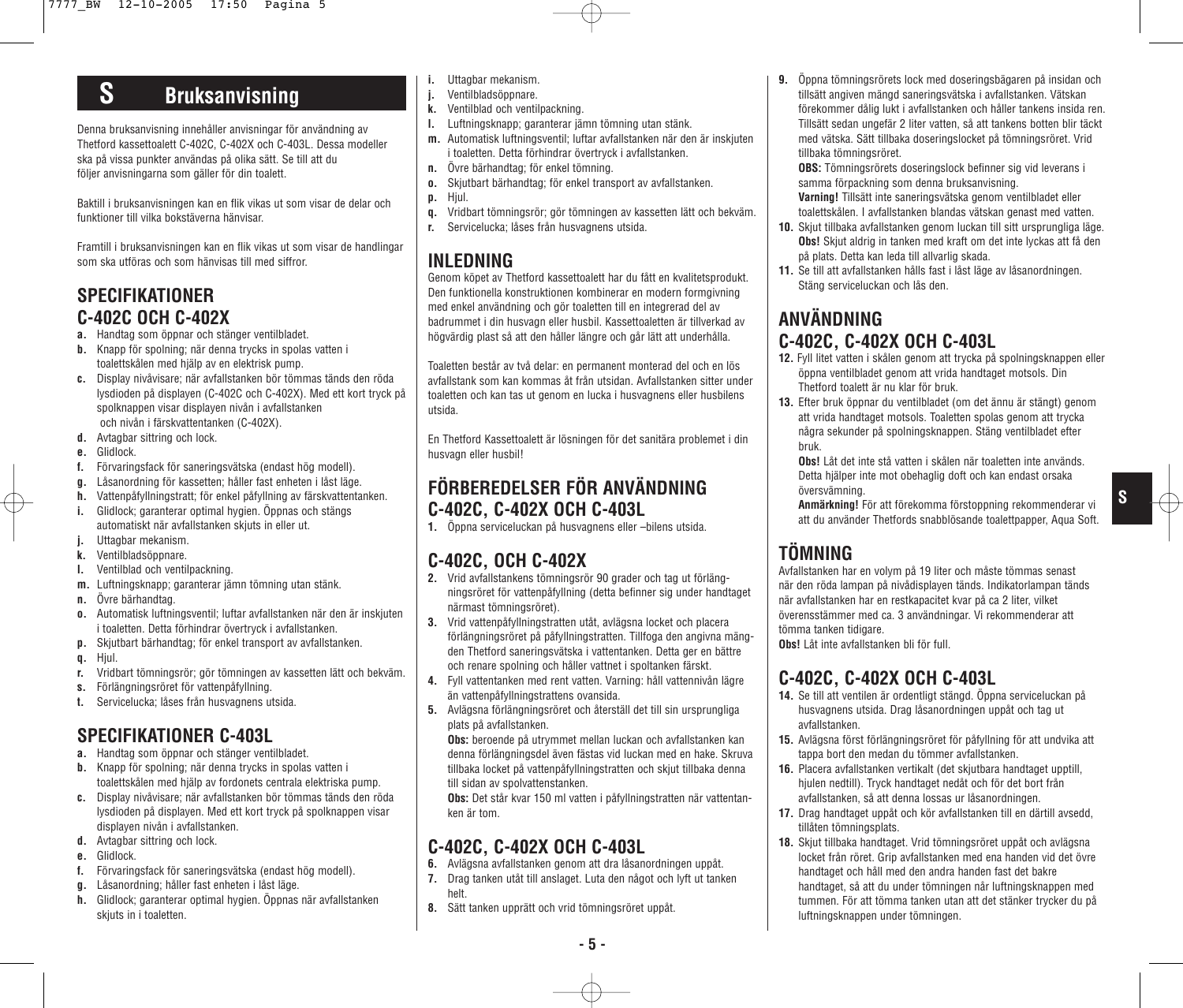# **S Bruksanvisning**

Denna bruksanvisning innehåller anvisningar för användning av Thetford kassettoalett C-402C, C-402X och C-403L. Dessa modeller ska på vissa punkter användas på olika sätt. Se till att du följer anvisningarna som gäller för din toalett.

Baktill i bruksanvisningen kan en flik vikas ut som visar de delar och funktioner till vilka bokstäverna hänvisar.

Framtill i bruksanvisningen kan en flik vikas ut som visar de handlingar som ska utföras och som hänvisas till med siffror.

### **SPECIFIKATIONER C-402C OCH C-402X**

- **a.** Handtag som öppnar och stänger ventilbladet.
- **b.** Knapp för spolning; när denna trycks in spolas vatten i toalettskålen med hjälp av en elektrisk pump.
- **c.** Display nivåvisare; när avfallstanken bör tömmas tänds den röda lysdioden på displayen (C-402C och C-402X). Med ett kort tryck på spolknappen visar displayen nivån i avfallstanken och nivån i färskvattentanken (C-402X).
- **d.** Avtagbar sittring och lock.
- **e.** Glidlock.
- **f.** Förvaringsfack för saneringsvätska (endast hög modell).
- **g.** Låsanordning för kassetten; håller fast enheten i låst läge.
- **h.** Vattenpåfyllningstratt; för enkel påfyllning av färskvattentanken.
- **i.** Glidlock; garanterar optimal hygien. Öppnas och stängs automatiskt när avfallstanken skjuts in eller ut.
- **j.** Uttagbar mekanism.
- **k.** Ventilbladsöppnare.
- **l.** Ventilblad och ventilpackning.
- **m.** Luftningsknapp; garanterar jämn tömning utan stänk.
- **n.** Övre bärhandtag.
- **o.** Automatisk luftningsventil; luftar avfallstanken när den är inskjuten i toaletten. Detta förhindrar övertryck i avfallstanken.
- **p.** Skjutbart bärhandtag; för enkel transport av avfallstanken.
- **q.** Hjul.
- **r.** Vridbart tömningsrör; gör tömningen av kassetten lätt och bekväm.
- **s.** Förlängningsröret för vattenpåfyllning.
- **t.** Servicelucka; låses från husvagnens utsida.

## **SPECIFIKATIONER C-403L**

- **a.** Handtag som öppnar och stänger ventilbladet.
- **b.** Knapp för spolning; när denna trycks in spolas vatten i toalettskålen med hjälp av fordonets centrala elektriska pump.
- **c.** Display nivåvisare; när avfallstanken bör tömmas tänds den röda lysdioden på displayen. Med ett kort tryck på spolknappen visar displayen nivån i avfallstanken.
- **d.** Avtagbar sittring och lock.
- **e.** Glidlock.
- **f.** Förvaringsfack för saneringsvätska (endast hög modell).
- **g.** Låsanordning; håller fast enheten i låst läge.
- **h.** Glidlock; garanterar optimal hygien. Öppnas när avfallstanken skjuts in i toaletten.
- **i.** Uttagbar mekanism.
- **j.** Ventilbladsöppnare.
- **k.** Ventilblad och ventilpackning.
- **l.** Luftningsknapp; garanterar jämn tömning utan stänk.
- **m.** Automatisk luftningsventil; luftar avfallstanken när den är inskjuten i toaletten. Detta förhindrar övertryck i avfallstanken.
- **n.** Övre bärhandtag; för enkel tömning.
- **o.** Skjutbart bärhandtag; för enkel transport av avfallstanken.
- **p.** Hjul.
- **q.** Vridbart tömningsrör; gör tömningen av kassetten lätt och bekväm.
- **r.** Servicelucka; låses från husvagnens utsida.

## **INLEDNING**

Genom köpet av Thetford kassettoalett har du fått en kvalitetsprodukt. Den funktionella konstruktionen kombinerar en modern formgivning med enkel användning och gör toaletten till en integrerad del av badrummet i din husvagn eller husbil. Kassettoaletten är tillverkad av högvärdig plast så att den håller längre och går lätt att underhålla.

Toaletten består av två delar: en permanent monterad del och en lös avfallstank som kan kommas åt från utsidan. Avfallstanken sitter under toaletten och kan tas ut genom en lucka i husvagnens eller husbilens utsida.

En Thetford Kassettoalett är lösningen för det sanitära problemet i din husvagn eller husbil!

## **FÖRBEREDELSER FÖR ANVÄNDNING C-402C, C-402X OCH C-403L**

**1.** Öppna serviceluckan på husvagnens eller –bilens utsida.

## **C-402C, OCH C-402X**

- **2.** Vrid avfallstankens tömningsrör 90 grader och tag ut förlängningsröret för vattenpåfyllning (detta befinner sig under handtaget närmast tömningsröret).
- **3.** Vrid vattenpåfyllningstratten utåt, avlägsna locket och placera förlängningsröret på påfyllningstratten. Tillfoga den angivna mängden Thetford saneringsvätska i vattentanken. Detta ger en bättre och renare spolning och håller vattnet i spoltanken färskt.
- **4.** Fyll vattentanken med rent vatten. Varning: håll vattennivån lägre än vattenpåfyllningstrattens ovansida.
- **5.** Avlägsna förlängningsröret och återställ det till sin ursprungliga plats på avfallstanken.

**Obs:** beroende på utrymmet mellan luckan och avfallstanken kan denna förlängningsdel även fästas vid luckan med en hake. Skruva tillbaka locket på vattenpåfyllningstratten och skjut tillbaka denna till sidan av spolvattenstanken.

**Obs:** Det står kvar 150 ml vatten i påfyllningstratten när vattentanken är tom.

## **C-402C, C-402X OCH C-403L**

- **6.** Avlägsna avfallstanken genom att dra låsanordningen uppåt.
- **7.** Drag tanken utåt till anslaget. Luta den något och lyft ut tanken helt.
- **8.** Sätt tanken upprätt och vrid tömningsröret uppåt.

**9.** Öppna tömningsrörets lock med doseringsbägaren på insidan och tillsätt angiven mängd saneringsvätska i avfallstanken. Vätskan förekommer dålig lukt i avfallstanken och håller tankens insida ren. Tillsätt sedan ungefär 2 liter vatten, så att tankens botten blir täckt med vätska. Sätt tillbaka doseringslocket på tömningsröret. Vrid tillbaka tömningsröret.

**OBS:** Tömningsrörets doseringslock befinner sig vid leverans i samma förpackning som denna bruksanvisning.

- **Varning!** Tillsätt inte saneringsvätska genom ventilbladet eller toalettskålen. I avfallstanken blandas vätskan genast med vatten.
- **10.** Skjut tillbaka avfallstanken genom luckan till sitt ursprungliga läge. **Obs!** Skjut aldrig in tanken med kraft om det inte lyckas att få den på plats. Detta kan leda till allvarlig skada.
- **11.** Se till att avfallstanken hålls fast i låst läge av låsanordningen. Stäng serviceluckan och lås den.

### **ANVÄNDNING C-402C, C-402X OCH C-403L**

- **12.** Fyll litet vatten i skålen genom att trycka på spolningsknappen eller öppna ventilbladet genom att vrida handtaget motsols. Din Thetford toalett är nu klar för bruk.
- **13.** Efter bruk öppnar du ventilbladet (om det ännu är stängt) genom att vrida handtaget motsols. Toaletten spolas genom att trycka några sekunder på spolningsknappen. Stäng ventilbladet efter bruk.
	- **Obs!** Låt det inte stå vatten i skålen när toaletten inte används. Detta hjälper inte mot obehaglig doft och kan endast orsaka översvämning.

**Anmärkning!** För att förekomma förstoppning rekommenderar vi att du använder Thetfords snabblösande toalettpapper, Aqua Soft. **S**

# **TÖMNING**

Avfallstanken har en volym på 19 liter och måste tömmas senast när den röda lampan på nivådisplayen tänds. Indikatorlampan tänds när avfallstanken har en restkapacitet kvar på ca 2 liter, vilket överensstämmer med ca. 3 användningar. Vi rekommenderar att tömma tanken tidigare.

**Obs!** Låt inte avfallstanken bli för full.

# **C-402C, C-402X OCH C-403L**

- **14.** Se till att ventilen är ordentligt stängd. Öppna serviceluckan på husvagnens utsida. Drag låsanordningen uppåt och tag ut avfallstanken.
- **15.** Avlägsna först förlängningsröret för påfyllning för att undvika att tappa bort den medan du tömmer avfallstanken.
- **16.** Placera avfallstanken vertikalt (det skjutbara handtaget upptill, hjulen nedtill). Tryck handtaget nedåt och för det bort från avfallstanken, så att denna lossas ur låsanordningen.
- **17.** Drag handtaget uppåt och kör avfallstanken till en därtill avsedd, tillåten tömningsplats.
- **18.** Skjut tillbaka handtaget. Vrid tömningsröret uppåt och avlägsna locket från röret. Grip avfallstanken med ena handen vid det övre handtaget och håll med den andra handen fast det bakre handtaget, så att du under tömningen når luftningsknappen med tummen. För att tömma tanken utan att det stänker trycker du på luftningsknappen under tömningen.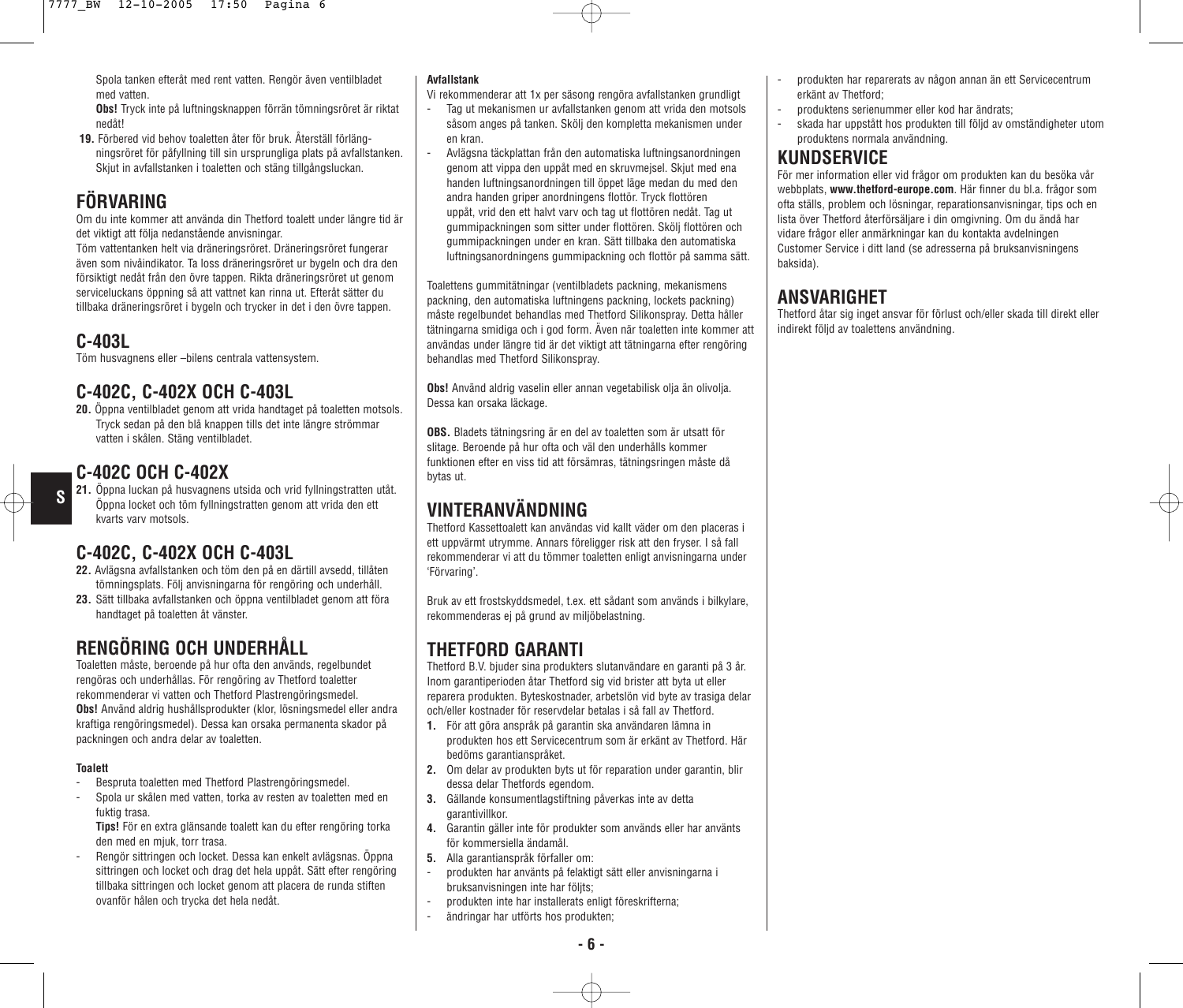Spola tanken efteråt med rent vatten. Rengör även ventilbladet med vatten.

**Obs!** Tryck inte på luftningsknappen förrän tömningsröret är riktat nedåt!

**19.** Förbered vid behov toaletten åter för bruk. Återställ förlängningsröret för påfyllning till sin ursprungliga plats på avfallstanken. Skjut in avfallstanken i toaletten och stäng tillgångsluckan.

## **FÖRVARING**

Om du inte kommer att använda din Thetford toalett under längre tid är det viktigt att följa nedanstående anvisningar.

Töm vattentanken helt via dräneringsröret. Dräneringsröret fungerar även som nivåindikator. Ta loss dräneringsröret ur bygeln och dra den försiktigt nedåt från den övre tappen. Rikta dräneringsröret ut genom serviceluckans öppning så att vattnet kan rinna ut. Efteråt sätter du tillbaka dräneringsröret i bygeln och trycker in det i den övre tappen.

### **C-403L**

**S**

Töm husvagnens eller –bilens centrala vattensystem.

### **C-402C, C-402X OCH C-403L**

**20.** Öppna ventilbladet genom att vrida handtaget på toaletten motsols. Tryck sedan på den blå knappen tills det inte längre strömmar vatten i skålen. Stäng ventilbladet.

### **C-402C OCH C-402X**

**21.** Öppna luckan på husvagnens utsida och vrid fyllningstratten utåt. Öppna locket och töm fyllningstratten genom att vrida den ett kvarts varv motsols.

### **C-402C, C-402X OCH C-403L**

- **22.** Avlägsna avfallstanken och töm den på en därtill avsedd, tillåten tömningsplats. Följ anvisningarna för rengöring och underhåll.
- **23.** Sätt tillbaka avfallstanken och öppna ventilbladet genom att föra handtaget på toaletten åt vänster.

### **RENGÖRING OCH UNDERHÅLL**

Toaletten måste, beroende på hur ofta den används, regelbundet rengöras och underhållas. För rengöring av Thetford toaletter rekommenderar vi vatten och Thetford Plastrengöringsmedel. **Obs!** Använd aldrig hushållsprodukter (klor, lösningsmedel eller andra kraftiga rengöringsmedel). Dessa kan orsaka permanenta skador på packningen och andra delar av toaletten.

#### **Toalett**

- Bespruta toaletten med Thetford Plastrengöringsmedel.
- Spola ur skålen med vatten, torka av resten av toaletten med en fuktig trasa.

**Tips!** För en extra glänsande toalett kan du efter rengöring torka den med en mjuk, torr trasa.

- Rengör sittringen och locket. Dessa kan enkelt avlägsnas. Öppna sittringen och locket och drag det hela uppåt. Sätt efter rengöring tillbaka sittringen och locket genom att placera de runda stiften ovanför hålen och trycka det hela nedåt.

#### **Avfallstank**

- Vi rekommenderar att 1x per säsong rengöra avfallstanken grundligt
- Tag ut mekanismen ur avfallstanken genom att vrida den motsols såsom anges på tanken. Skölj den kompletta mekanismen under en kran.
- Avlägsna täckplattan från den automatiska luftningsanordningen genom att vippa den uppåt med en skruvmejsel. Skjut med ena handen luftningsanordningen till öppet läge medan du med den andra handen griper anordningens flottör. Tryck flottören uppåt, vrid den ett halvt varv och tag ut flottören nedåt. Tag ut gummipackningen som sitter under flottören. Skölj flottören och gummipackningen under en kran. Sätt tillbaka den automatiska luftningsanordningens gummipackning och flottör på samma sätt.

Toalettens gummitätningar (ventilbladets packning, mekanismens packning, den automatiska luftningens packning, lockets packning) måste regelbundet behandlas med Thetford Silikonspray. Detta håller tätningarna smidiga och i god form. Även när toaletten inte kommer att användas under längre tid är det viktigt att tätningarna efter rengöring behandlas med Thetford Silikonspray.

**Obs!** Använd aldrig vaselin eller annan vegetabilisk olja än olivolja. Dessa kan orsaka läckage.

**OBS.** Bladets tätningsring är en del av toaletten som är utsatt för slitage. Beroende på hur ofta och väl den underhålls kommer funktionen efter en viss tid att försämras, tätningsringen måste då bytas ut.

### **VINTERANVÄNDNING**

Thetford Kassettoalett kan användas vid kallt väder om den placeras i ett uppvärmt utrymme. Annars föreligger risk att den fryser. I så fall rekommenderar vi att du tömmer toaletten enligt anvisningarna under 'Förvaring'.

Bruk av ett frostskyddsmedel, t.ex. ett sådant som används i bilkylare, rekommenderas ej på grund av miljöbelastning.

### **THETFORD GARANTI**

Thetford B.V. bjuder sina produkters slutanvändare en garanti på 3 år. Inom garantiperioden åtar Thetford sig vid brister att byta ut eller reparera produkten. Byteskostnader, arbetslön vid byte av trasiga delar och/eller kostnader för reservdelar betalas i så fall av Thetford.

- **1.** För att göra anspråk på garantin ska användaren lämna in produkten hos ett Servicecentrum som är erkänt av Thetford. Här bedöms garantianspråket.
- **2.** Om delar av produkten byts ut för reparation under garantin, blir dessa delar Thetfords egendom.
- **3.** Gällande konsumentlagstiftning påverkas inte av detta garantivillkor.
- **4.** Garantin gäller inte för produkter som används eller har använts för kommersiella ändamål.
- **5.** Alla garantianspråk förfaller om:
- produkten har använts på felaktigt sätt eller anvisningarna i bruksanvisningen inte har följts;
- produkten inte har installerats enligt föreskrifterna;
- ändringar har utförts hos produkten;
- produkten har reparerats av någon annan än ett Servicecentrum erkänt av Thetford;
- produktens serienummer eller kod har ändrats;
- skada har uppstått hos produkten till följd av omständigheter utom produktens normala användning.

### **KUNDSERVICE**

För mer information eller vid frågor om produkten kan du besöka vår webbplats, **www.thetford-europe.com**. Här finner du bl.a. frågor som ofta ställs, problem och lösningar, reparationsanvisningar, tips och en lista över Thetford återförsäljare i din omgivning. Om du ändå har vidare frågor eller anmärkningar kan du kontakta avdelningen Customer Service i ditt land (se adresserna på bruksanvisningens baksida).

### **ANSVARIGHET**

Thetford åtar sig inget ansvar för förlust och/eller skada till direkt eller indirekt följd av toalettens användning.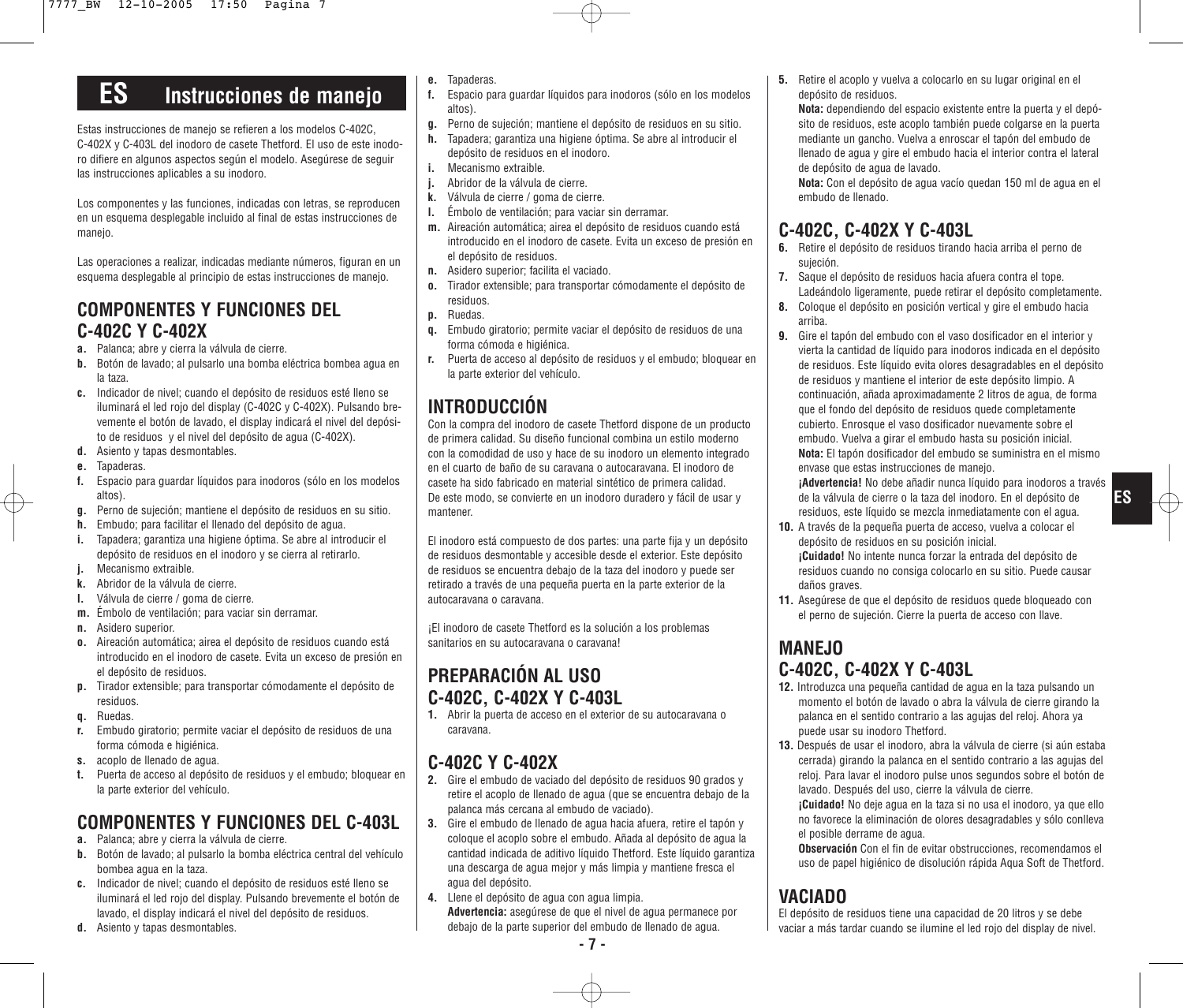# **ES Instrucciones de manejo**

Estas instrucciones de manejo se refieren a los modelos C-402C, C-402X y C-403L del inodoro de casete Thetford. El uso de este inodoro difiere en algunos aspectos según el modelo. Asegúrese de seguir las instrucciones aplicables a su inodoro.

Los componentes y las funciones, indicadas con letras, se reproducen en un esquema desplegable incluido al final de estas instrucciones de manejo.

Las operaciones a realizar, indicadas mediante números, figuran en un esquema desplegable al principio de estas instrucciones de manejo.

### **COMPONENTES Y FUNCIONES DEL C-402C Y C-402X**

- **a.** Palanca; abre y cierra la válvula de cierre.
- **b.** Botón de lavado; al pulsarlo una bomba eléctrica bombea agua en la taza.
- **c.** Indicador de nivel; cuando el depósito de residuos esté lleno se iluminará el led rojo del display (C-402C y C-402X). Pulsando brevemente el botón de lavado, el display indicará el nivel del depósito de residuos y el nivel del depósito de agua (C-402X).
- **d.** Asiento y tapas desmontables.
- **e.** Tapaderas.
- **f.** Espacio para guardar líquidos para inodoros (sólo en los modelos altos).
- **g.** Perno de sujeción; mantiene el depósito de residuos en su sitio.
- **h.** Embudo; para facilitar el llenado del depósito de agua.
- **i.** Tapadera; garantiza una higiene óptima. Se abre al introducir el depósito de residuos en el inodoro y se cierra al retirarlo.
- **j.** Mecanismo extraible.
- **k.** Abridor de la válvula de cierre.
- **l.** Válvula de cierre / goma de cierre.
- **m.** Émbolo de ventilación; para vaciar sin derramar.
- **n.** Asidero superior.
- **o.** Aireación automática; airea el depósito de residuos cuando está introducido en el inodoro de casete. Evita un exceso de presión en el depósito de residuos.
- **p.** Tirador extensible; para transportar cómodamente el depósito de residuos.
- **q.** Ruedas.
- **r.** Embudo giratorio; permite vaciar el depósito de residuos de una forma cómoda e higiénica.
- **s.** acoplo de llenado de agua.
- **t.** Puerta de acceso al depósito de residuos y el embudo; bloquear en la parte exterior del vehículo.

# **COMPONENTES Y FUNCIONES DEL C-403L**

- **a.** Palanca; abre y cierra la válvula de cierre.
- **b.** Botón de lavado; al pulsarlo la bomba eléctrica central del vehículo bombea agua en la taza.
- **c.** Indicador de nivel; cuando el depósito de residuos esté lleno se iluminará el led rojo del display. Pulsando brevemente el botón de lavado, el display indicará el nivel del depósito de residuos.
- **d.** Asiento y tapas desmontables.
- **e.** Tapaderas.
- **f.** Espacio para guardar líquidos para inodoros (sólo en los modelos altos).
- **g.** Perno de sujeción; mantiene el depósito de residuos en su sitio.
- **h.** Tapadera; garantiza una higiene óptima. Se abre al introducir el depósito de residuos en el inodoro.
- **i.** Mecanismo extraible.
- **j.** Abridor de la válvula de cierre.
- **k.** Válvula de cierre / goma de cierre.
- **l.** Émbolo de ventilación; para vaciar sin derramar.
- **m.** Aireación automática; airea el depósito de residuos cuando está introducido en el inodoro de casete. Evita un exceso de presión en el depósito de residuos.
- **n.** Asidero superior; facilita el vaciado.
- **o.** Tirador extensible; para transportar cómodamente el depósito de residuos.
- **p.** Ruedas.
- **q.** Embudo giratorio; permite vaciar el depósito de residuos de una forma cómoda e higiénica.
- **r.** Puerta de acceso al depósito de residuos y el embudo; bloquear en la parte exterior del vehículo.

## **INTRODUCCIÓN**

Con la compra del inodoro de casete Thetford dispone de un producto de primera calidad. Su diseño funcional combina un estilo moderno con la comodidad de uso y hace de su inodoro un elemento integrado en el cuarto de baño de su caravana o autocaravana. El inodoro de casete ha sido fabricado en material sintético de primera calidad. De este modo, se convierte en un inodoro duradero y fácil de usar y mantener.

El inodoro está compuesto de dos partes: una parte fija y un depósito de residuos desmontable y accesible desde el exterior. Este depósito de residuos se encuentra debajo de la taza del inodoro y puede ser retirado a través de una pequeña puerta en la parte exterior de la autocaravana o caravana.

¡El inodoro de casete Thetford es la solución a los problemas sanitarios en su autocaravana o caravana!

# **PREPARACIÓN AL USO C-402C, C-402X Y C-403L**

**1.** Abrir la puerta de acceso en el exterior de su autocaravana o caravana.

### **C-402C Y C-402X**

- **2.** Gire el embudo de vaciado del depósito de residuos 90 grados y retire el acoplo de llenado de agua (que se encuentra debajo de la palanca más cercana al embudo de vaciado).
- **3.** Gire el embudo de llenado de agua hacia afuera, retire el tapón y coloque el acoplo sobre el embudo. Añada al depósito de agua la cantidad indicada de aditivo líquido Thetford. Este líquido garantiza una descarga de agua mejor y más limpia y mantiene fresca el agua del depósito.
- **4.** Llene el depósito de agua con agua limpia. **Advertencia:** asegúrese de que el nivel de agua permanece por debajo de la parte superior del embudo de llenado de agua.

**5.** Retire el acoplo y vuelva a colocarlo en su lugar original en el depósito de residuos.

**Nota:** dependiendo del espacio existente entre la puerta y el depósito de residuos, este acoplo también puede colgarse en la puerta mediante un gancho. Vuelva a enroscar el tapón del embudo de llenado de agua y gire el embudo hacia el interior contra el lateral de depósito de agua de lavado.

**Nota:** Con el depósito de agua vacío quedan 150 ml de agua en el embudo de llenado.

### **C-402C, C-402X Y C-403L**

- **6.** Retire el depósito de residuos tirando hacia arriba el perno de sujeción.
- **7.** Saque el depósito de residuos hacia afuera contra el tope. Ladeándolo ligeramente, puede retirar el depósito completamente.
- **8.** Coloque el depósito en posición vertical y gire el embudo hacia arriba.
- **9.** Gire el tapón del embudo con el vaso dosificador en el interior y vierta la cantidad de líquido para inodoros indicada en el depósito de residuos. Este líquido evita olores desagradables en el depósito de residuos y mantiene el interior de este depósito limpio. A continuación, añada aproximadamente 2 litros de agua, de forma que el fondo del depósito de residuos quede completamente cubierto. Enrosque el vaso dosificador nuevamente sobre el embudo. Vuelva a girar el embudo hasta su posición inicial. **Nota:** El tapón dosificador del embudo se suministra en el mismo envase que estas instrucciones de manejo.

**¡Advertencia!** No debe añadir nunca líquido para inodoros a través de la válvula de cierre o la taza del inodoro. En el depósito de residuos, este líquido se mezcla inmediatamente con el agua.

- **10.** A través de la pequeña puerta de acceso, vuelva a colocar el depósito de residuos en su posición inicial. **¡Cuidado!** No intente nunca forzar la entrada del depósito de residuos cuando no consiga colocarlo en su sitio. Puede causar daños graves.
- **11.** Asegúrese de que el depósito de residuos quede bloqueado con el perno de sujeción. Cierre la puerta de acceso con llave.

### **MANEJO C-402C, C-402X Y C-403L**

- **12.** Introduzca una pequeña cantidad de agua en la taza pulsando un momento el botón de lavado o abra la válvula de cierre girando la palanca en el sentido contrario a las agujas del reloj. Ahora ya puede usar su inodoro Thetford.
- **13.** Después de usar el inodoro, abra la válvula de cierre (si aún estaba cerrada) girando la palanca en el sentido contrario a las agujas del reloj. Para lavar el inodoro pulse unos segundos sobre el botón de lavado. Después del uso, cierre la válvula de cierre.

**¡Cuidado!** No deje agua en la taza si no usa el inodoro, ya que ello no favorece la eliminación de olores desagradables y sólo conlleva el posible derrame de agua.

**Observación** Con el fin de evitar obstrucciones, recomendamos el uso de papel higiénico de disolución rápida Aqua Soft de Thetford.

## **VACIADO**

El depósito de residuos tiene una capacidad de 20 litros y se debe vaciar a más tardar cuando se ilumine el led rojo del display de nivel.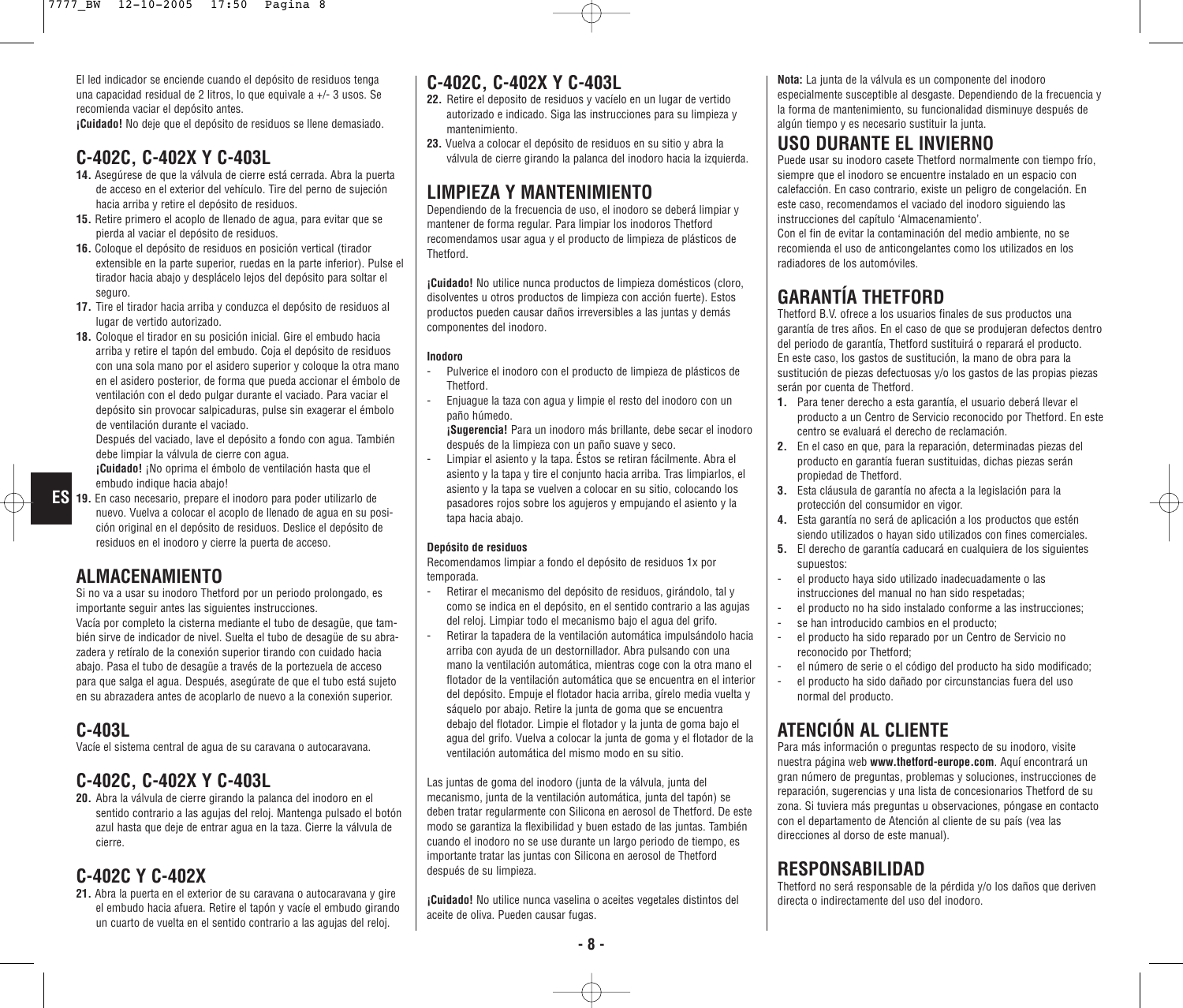El led indicador se enciende cuando el depósito de residuos tenga una capacidad residual de 2 litros, lo que equivale a +/- 3 usos. Se recomienda vaciar el depósito antes.

**¡Cuidado!** No deje que el depósito de residuos se llene demasiado.

#### **C-402C, C-402X Y C-403L**

- **14.** Asegúrese de que la válvula de cierre está cerrada. Abra la puerta de acceso en el exterior del vehículo. Tire del perno de sujeción hacia arriba y retire el depósito de residuos.
- **15.** Retire primero el acoplo de llenado de agua, para evitar que se pierda al vaciar el depósito de residuos.
- **16.** Coloque el depósito de residuos en posición vertical (tirador extensible en la parte superior, ruedas en la parte inferior). Pulse el tirador hacia abajo y desplácelo lejos del depósito para soltar el seguro.
- **17.** Tire el tirador hacia arriba y conduzca el depósito de residuos al lugar de vertido autorizado.
- **18.** Coloque el tirador en su posición inicial. Gire el embudo hacia arriba y retire el tapón del embudo. Coja el depósito de residuos con una sola mano por el asidero superior y coloque la otra mano en el asidero posterior, de forma que pueda accionar el émbolo de ventilación con el dedo pulgar durante el vaciado. Para vaciar el depósito sin provocar salpicaduras, pulse sin exagerar el émbolo de ventilación durante el vaciado.

Después del vaciado, lave el depósito a fondo con agua. También debe limpiar la válvula de cierre con agua.

**¡Cuidado!** ¡No oprima el émbolo de ventilación hasta que el embudo indique hacia abajo!

**19.** En caso necesario, prepare el inodoro para poder utilizarlo de **ES** nuevo. Vuelva a colocar el acoplo de llenado de agua en su posición original en el depósito de residuos. Deslice el depósito de residuos en el inodoro y cierre la puerta de acceso.

#### **ALMACENAMIENTO**

Si no va a usar su inodoro Thetford por un periodo prolongado, es importante seguir antes las siguientes instrucciones.

Vacía por completo la cisterna mediante el tubo de desagüe, que también sirve de indicador de nivel. Suelta el tubo de desagüe de su abrazadera y retíralo de la conexión superior tirando con cuidado hacia abajo. Pasa el tubo de desagüe a través de la portezuela de acceso para que salga el agua. Después, asegúrate de que el tubo está sujeto en su abrazadera antes de acoplarlo de nuevo a la conexión superior.

### **C-403L**

Vacíe el sistema central de agua de su caravana o autocaravana.

### **C-402C, C-402X Y C-403L**

**20.** Abra la válvula de cierre girando la palanca del inodoro en el sentido contrario a las agujas del reloj. Mantenga pulsado el botón azul hasta que deje de entrar agua en la taza. Cierre la válvula de cierre.

#### **C-402C Y C-402X**

21. Abra la puerta en el exterior de su caravana o autocaravana y gire el embudo hacia afuera. Retire el tapón y vacíe el embudo girando un cuarto de vuelta en el sentido contrario a las agujas del reloj.

#### **C-402C, C-402X Y C-403L**

- **22.** Retire el deposito de residuos y vacíelo en un lugar de vertido autorizado e indicado. Siga las instrucciones para su limpieza y mantenimiento.
- **23.** Vuelva a colocar el depósito de residuos en su sitio y abra la válvula de cierre girando la palanca del inodoro hacia la izquierda.

### **LIMPIEZA Y MANTENIMIENTO**

Dependiendo de la frecuencia de uso, el inodoro se deberá limpiar y mantener de forma regular. Para limpiar los inodoros Thetford recomendamos usar agua y el producto de limpieza de plásticos de Thetford.

**¡Cuidado!** No utilice nunca productos de limpieza domésticos (cloro, disolventes u otros productos de limpieza con acción fuerte). Estos productos pueden causar daños irreversibles a las juntas y demás componentes del inodoro.

#### **Inodoro**

- Pulverice el inodoro con el producto de limpieza de plásticos de **Thetford**
- Enjuague la taza con agua y limpie el resto del inodoro con un paño húmedo.

**¡Sugerencia!** Para un inodoro más brillante, debe secar el inodoro después de la limpieza con un paño suave y seco.

- Limpiar el asiento y la tapa. Éstos se retiran fácilmente. Abra el asiento y la tapa y tire el conjunto hacia arriba. Tras limpiarlos, el asiento y la tapa se vuelven a colocar en su sitio, colocando los pasadores rojos sobre los agujeros y empujando el asiento y la tapa hacia abajo.

#### **Depósito de residuos**

Recomendamos limpiar a fondo el depósito de residuos 1x por temporada.

- Retirar el mecanismo del depósito de residuos, girándolo, tal y como se indica en el depósito, en el sentido contrario a las agujas del reloj. Limpiar todo el mecanismo bajo el agua del grifo.
- Retirar la tapadera de la ventilación automática impulsándolo hacia arriba con ayuda de un destornillador. Abra pulsando con una mano la ventilación automática, mientras coge con la otra mano el flotador de la ventilación automática que se encuentra en el interior del depósito. Empuje el flotador hacia arriba, gírelo media vuelta y sáquelo por abajo. Retire la junta de goma que se encuentra debajo del flotador. Limpie el flotador y la junta de goma bajo el agua del grifo. Vuelva a colocar la junta de goma y el flotador de la ventilación automática del mismo modo en su sitio.

Las juntas de goma del inodoro (junta de la válvula, junta del mecanismo, junta de la ventilación automática, junta del tapón) se deben tratar regularmente con Silicona en aerosol de Thetford. De este modo se garantiza la flexibilidad y buen estado de las juntas. También cuando el inodoro no se use durante un largo periodo de tiempo, es importante tratar las juntas con Silicona en aerosol de Thetford después de su limpieza.

**¡Cuidado!** No utilice nunca vaselina o aceites vegetales distintos del aceite de oliva. Pueden causar fugas.

**Nota:** La junta de la válvula es un componente del inodoro especialmente susceptible al desgaste. Dependiendo de la frecuencia y la forma de mantenimiento, su funcionalidad disminuye después de algún tiempo y es necesario sustituir la junta.

### **USO DURANTE EL INVIERNO**

Puede usar su inodoro casete Thetford normalmente con tiempo frío, siempre que el inodoro se encuentre instalado en un espacio con calefacción. En caso contrario, existe un peligro de congelación. En este caso, recomendamos el vaciado del inodoro siguiendo las instrucciones del capítulo 'Almacenamiento'.

Con el fin de evitar la contaminación del medio ambiente, no se recomienda el uso de anticongelantes como los utilizados en los radiadores de los automóviles.

## **GARANTÍA THETFORD**

Thetford B.V. ofrece a los usuarios finales de sus productos una garantía de tres años. En el caso de que se produjeran defectos dentro del periodo de garantía, Thetford sustituirá o reparará el producto. En este caso, los gastos de sustitución, la mano de obra para la sustitución de piezas defectuosas y/o los gastos de las propias piezas serán por cuenta de Thetford.

- **1.** Para tener derecho a esta garantía, el usuario deberá llevar el producto a un Centro de Servicio reconocido por Thetford. En este centro se evaluará el derecho de reclamación.
- **2.** En el caso en que, para la reparación, determinadas piezas del producto en garantía fueran sustituidas, dichas piezas serán propiedad de Thetford.
- **3.** Esta cláusula de garantía no afecta a la legislación para la protección del consumidor en vigor.
- **4.** Esta garantía no será de aplicación a los productos que estén siendo utilizados o hayan sido utilizados con fines comerciales.
- **5.** El derecho de garantía caducará en cualquiera de los siguientes supuestos:
- el producto haya sido utilizado inadecuadamente o las instrucciones del manual no han sido respetadas;
- el producto no ha sido instalado conforme a las instrucciones;
- se han introducido cambios en el producto;
- el producto ha sido reparado por un Centro de Servicio no reconocido por Thetford;
- el número de serie o el código del producto ha sido modificado;
- el producto ha sido dañado por circunstancias fuera del uso normal del producto.

### **ATENCIÓN AL CLIENTE**

Para más información o preguntas respecto de su inodoro, visite nuestra página web **www.thetford-europe.com**. Aquí encontrará un gran número de preguntas, problemas y soluciones, instrucciones de reparación, sugerencias y una lista de concesionarios Thetford de su zona. Si tuviera más preguntas u observaciones, póngase en contacto con el departamento de Atención al cliente de su país (vea las direcciones al dorso de este manual).

#### **RESPONSABILIDAD**

Thetford no será responsable de la pérdida y/o los daños que deriven directa o indirectamente del uso del inodoro.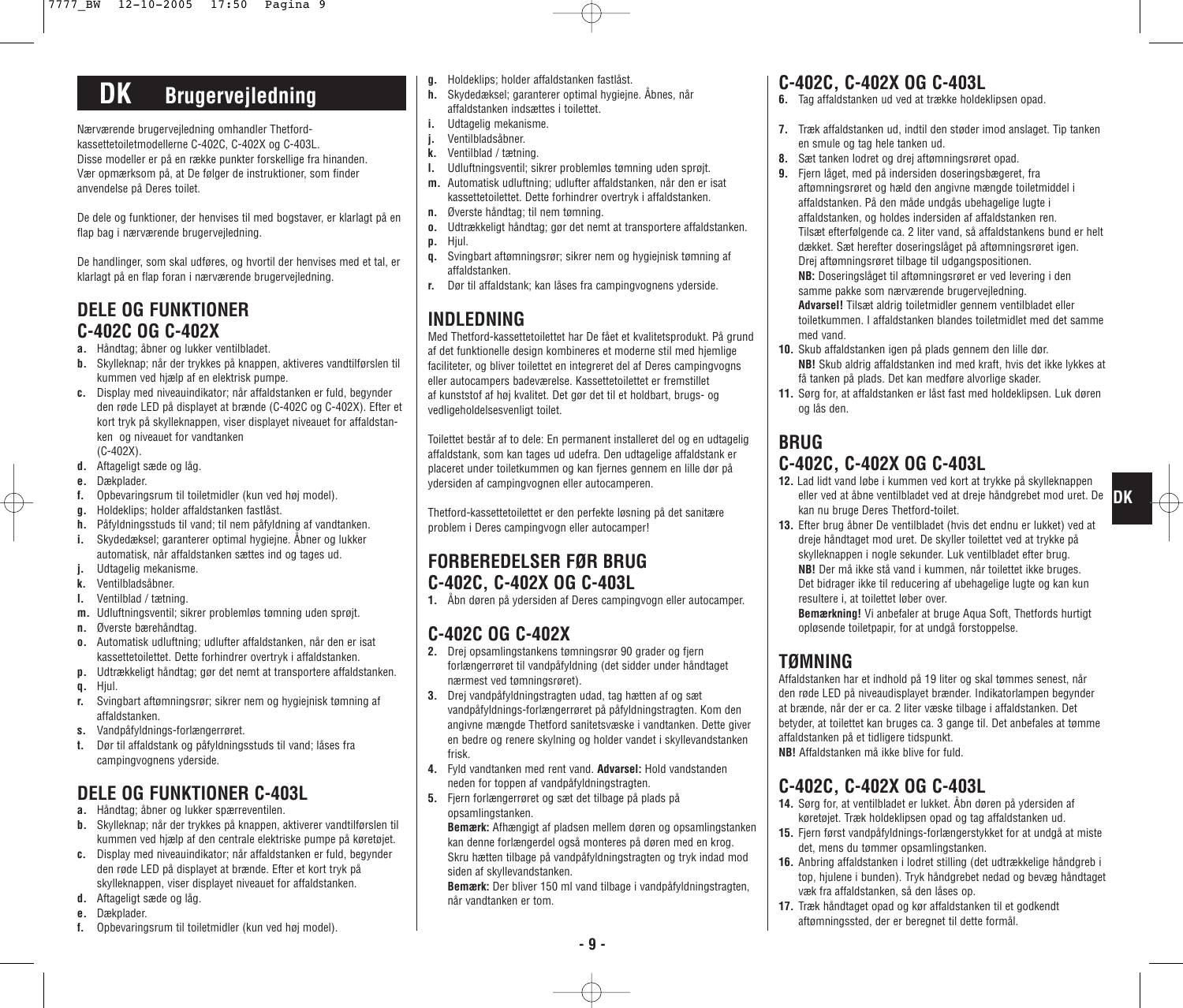# **DK Brugervejledning**

Nærværende brugervejledning omhandler Thetfordkassettetoiletmodellerne C-402C, C-402X og C-403L. Disse modeller er på en række punkter forskellige fra hinanden. Vær opmærksom på, at De følger de instruktioner, som finder anvendelse på Deres toilet.

De dele og funktioner, der henvises til med bogstaver, er klarlagt på en flap bag i nærværende brugervejledning.

De handlinger, som skal udføres, og hvortil der henvises med et tal, er klarlagt på en flap foran i nærværende brugervejledning.

### **DELE OG FUNKTIONER C-402C OG C-402X**

- **a.** Håndtag; åbner og lukker ventilbladet.
- **b.** Skylleknap; når der trykkes på knappen, aktiveres vandtilførslen til kummen ved hjælp af en elektrisk pumpe.
- **c.** Display med niveauindikator; når affaldstanken er fuld, begynder den røde LED på displayet at brænde (C-402C og C-402X). Efter et kort tryk på skylleknappen, viser displayet niveauet for affaldstanken og niveauet for vandtanken (C-402X).
- **d.** Aftageligt sæde og låg.
- **e.** Dækplader.
- **f.** Opbevaringsrum til toiletmidler (kun ved høj model).
- **g.** Holdeklips; holder affaldstanken fastlåst.
- **h.** Påfyldningsstuds til vand; til nem påfyldning af vandtanken.
- **i.** Skydedæksel; garanterer optimal hygiejne. Åbner og lukker automatisk, når affaldstanken sættes ind og tages ud.
- **j.** Udtagelig mekanisme.
- **k.** Ventilbladsåbner.
- **l.** Ventilblad / tætning.
- **m.** Udluftningsventil; sikrer problemløs tømning uden sprøjt.
- **n.** Øverste bærehåndtag.
- **o.** Automatisk udluftning; udlufter affaldstanken, når den er isat kassettetoilettet. Dette forhindrer overtryk i affaldstanken.
- **p.** Udtrækkeligt håndtag; gør det nemt at transportere affaldstanken. **q.** Hjul.
- 
- **r.** Svingbart aftømningsrør; sikrer nem og hygiejnisk tømning af affaldstanken.
- **s.** Vandpåfyldnings-forlængerrøret.
- **t.** Dør til affaldstank og påfyldningsstuds til vand; låses fra campingvognens yderside.

# **DELE OG FUNKTIONER C-403L**

- **a.** Håndtag; åbner og lukker spærreventilen.
- **b.** Skylleknap; når der trykkes på knappen, aktiverer vandtilførslen til kummen ved hjælp af den centrale elektriske pumpe på køretøjet.
- **c.** Display med niveauindikator; når affaldstanken er fuld, begynder den røde LED på displayet at brænde. Efter et kort tryk på skylleknappen, viser displayet niveauet for affaldstanken.
- **d.** Aftageligt sæde og låg.
- **e.** Dækplader.
- **f.** Opbevaringsrum til toiletmidler (kun ved høj model).
- **g.** Holdeklips; holder affaldstanken fastlåst.
- **h.** Skydedæksel; garanterer optimal hygiejne. Åbnes, når affaldstanken indsættes i toilettet.
- **i.** Udtagelig mekanisme.
- **j.** Ventilbladsåbner.
- **k.** Ventilblad / tætning.
- **l.** Udluftningsventil; sikrer problemløs tømning uden sprøjt.
- **m.** Automatisk udluftning; udlufter affaldstanken, når den er isat kassettetoilettet. Dette forhindrer overtryk i affaldstanken.
- **n.** Øverste håndtag; til nem tømning.
- **o.** Udtrækkeligt håndtag; gør det nemt at transportere affaldstanken.
- **p.** Hjul.
- **q.** Svingbart aftømningsrør; sikrer nem og hygiejnisk tømning af affaldstanken.
- **r.** Dør til affaldstank; kan låses fra campingvognens yderside.

### **INDLEDNING**

Med Thetford-kassettetoilettet har De fået et kvalitetsprodukt. På grund af det funktionelle design kombineres et moderne stil med hjemlige faciliteter, og bliver toilettet en integreret del af Deres campingvogns eller autocampers badeværelse. Kassettetoilettet er fremstillet af kunststof af høj kvalitet. Det gør det til et holdbart, brugs- og vedligeholdelsesvenligt toilet.

Toilettet består af to dele: En permanent installeret del og en udtagelig affaldstank, som kan tages ud udefra. Den udtagelige affaldstank er placeret under toiletkummen og kan fjernes gennem en lille dør på ydersiden af campingvognen eller autocamperen.

Thetford-kassettetoilettet er den perfekte løsning på det sanitære problem i Deres campingvogn eller autocamper!

### **FORBEREDELSER FØR BRUG C-402C, C-402X OG C-403L**

**1.** Åbn døren på ydersiden af Deres campingvogn eller autocamper.

### **C-402C OG C-402X**

- **2.** Drej opsamlingstankens tømningsrør 90 grader og fjern forlængerrøret til vandpåfyldning (det sidder under håndtaget nærmest ved tømningsrøret).
- **3.** Drej vandpåfyldningstragten udad, tag hætten af og sæt vandpåfyldnings-forlængerrøret på påfyldningstragten. Kom den angivne mængde Thetford sanitetsvæske i vandtanken. Dette giver en bedre og renere skylning og holder vandet i skyllevandstanken frisk.
- **4.** Fyld vandtanken med rent vand. **Advarsel:** Hold vandstanden neden for toppen af vandpåfyldningstragten.
- **5.** Fjern forlængerrøret og sæt det tilbage på plads på opsamlingstanken.

**Bemærk:** Afhængigt af pladsen mellem døren og opsamlingstanken kan denne forlængerdel også monteres på døren med en krog. Skru hætten tilbage på vandpåfyldningstragten og tryk indad mod siden af skyllevandstanken.

**Bemærk:** Der bliver 150 ml vand tilbage i vandpåfyldningstragten, når vandtanken er tom.

### **C-402C, C-402X OG C-403L**

- **6.** Tag affaldstanken ud ved at trække holdeklipsen opad.
- **7.** Træk affaldstanken ud, indtil den støder imod anslaget. Tip tanken en smule og tag hele tanken ud.
- **8.** Sæt tanken lodret og drej aftømningsrøret opad.
- **9.** Fjern låget, med på indersiden doseringsbægeret, fra aftømningsrøret og hæld den angivne mængde toiletmiddel i affaldstanken. På den måde undgås ubehagelige lugte i affaldstanken, og holdes indersiden af affaldstanken ren. Tilsæt efterfølgende ca. 2 liter vand, så affaldstankens bund er helt dækket. Sæt herefter doseringslåget på aftømningsrøret igen. Drej aftømningsrøret tilbage til udgangspositionen. **NB:** Doseringslåget til aftømningsrøret er ved levering i den samme pakke som nærværende brugervejledning. **Advarsel!** Tilsæt aldrig toiletmidler gennem ventilbladet eller toiletkummen. I affaldstanken blandes toiletmidlet med det samme med vand.
- **10.** Skub affaldstanken igen på plads gennem den lille dør. **NB!** Skub aldrig affaldstanken ind med kraft, hvis det ikke lykkes at få tanken på plads. Det kan medføre alvorlige skader.
- **11.** Sørg for, at affaldstanken er låst fast med holdeklipsen. Luk døren og lås den.

#### **BRUG C-402C, C-402X OG C-403L**

- **12.** Lad lidt vand løbe i kummen ved kort at trykke på skylleknappen eller ved at åbne ventilbladet ved at dreje håndgrebet mod uret. De **DK** kan nu bruge Deres Thetford-toilet.
- **13.** Efter brug åbner De ventilbladet (hvis det endnu er lukket) ved at dreje håndtaget mod uret. De skyller toilettet ved at trykke på skylleknappen i nogle sekunder. Luk ventilbladet efter brug. **NB!** Der må ikke stå vand i kummen, når toilettet ikke bruges. Det bidrager ikke til reducering af ubehagelige lugte og kan kun resultere i, at toilettet løber over.

**Bemærkning!** Vi anbefaler at bruge Aqua Soft, Thetfords hurtigt opløsende toiletpapir, for at undgå forstoppelse.

### **TØMNING**

Affaldstanken har et indhold på 19 liter og skal tømmes senest, når den røde LED på niveaudisplayet brænder. Indikatorlampen begynder at brænde, når der er ca. 2 liter væske tilbage i affaldstanken. Det betyder, at toilettet kan bruges ca. 3 gange til. Det anbefales at tømme affaldstanken på et tidligere tidspunkt. **NB!** Affaldstanken må ikke blive for fuld.

### **C-402C, C-402X OG C-403L**

- **14.** Sørg for, at ventilbladet er lukket. Åbn døren på ydersiden af køretøjet. Træk holdeklipsen opad og tag affaldstanken ud.
- **15.** Fjern først vandpåfyldnings-forlængerstykket for at undgå at miste det, mens du tømmer opsamlingstanken.
- **16.** Anbring affaldstanken i lodret stilling (det udtrækkelige håndgreb i top, hjulene i bunden). Tryk håndgrebet nedad og bevæg håndtaget væk fra affaldstanken, så den låses op.
- **17.** Træk håndtaget opad og kør affaldstanken til et godkendt aftømningssted, der er beregnet til dette formål.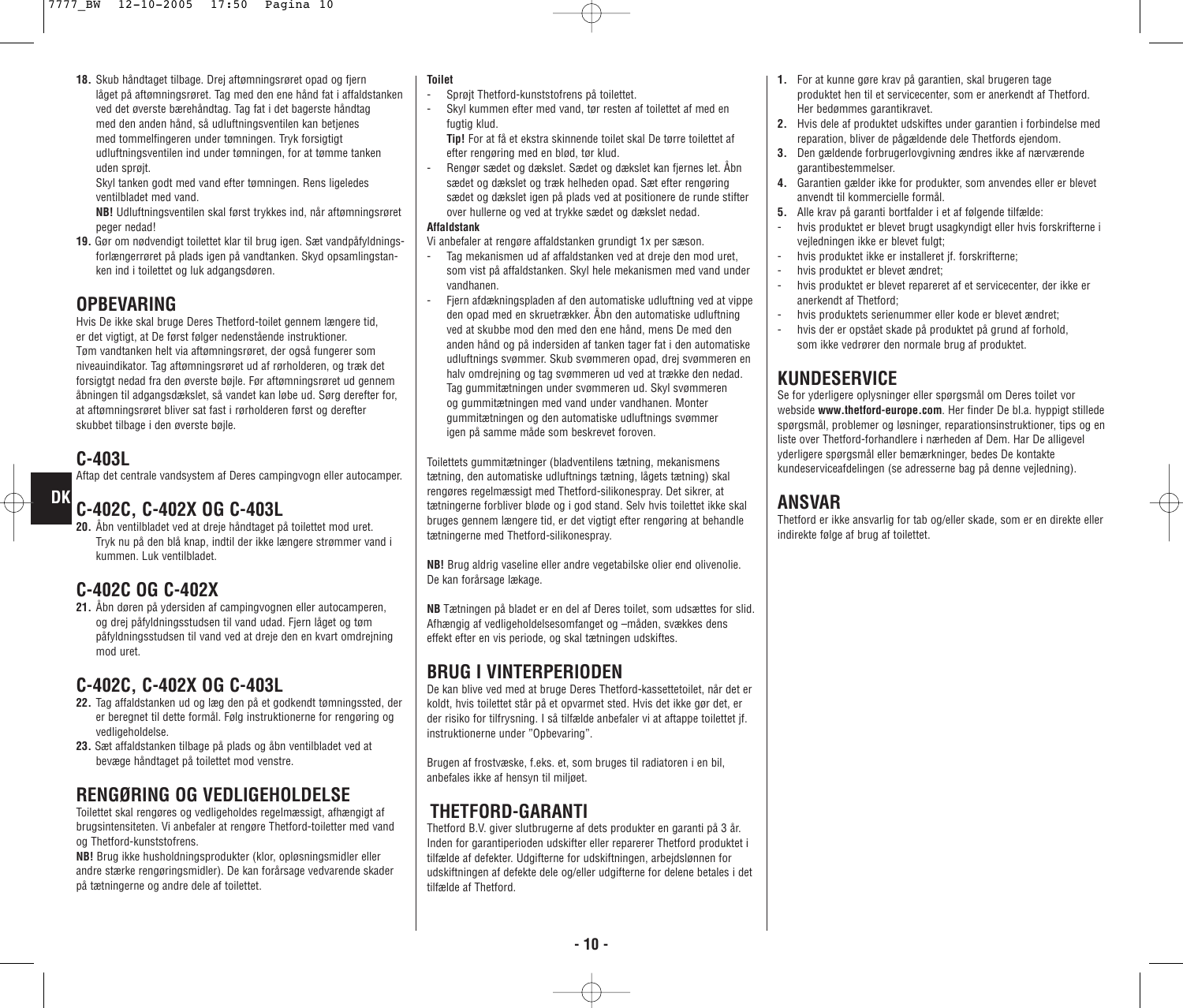**18.** Skub håndtaget tilbage. Drej aftømningsrøret opad og fjern låget på aftømningsrøret. Tag med den ene hånd fat i affaldstanken ved det øverste bærehåndtag. Tag fat i det bagerste håndtag med den anden hånd, så udluftningsventilen kan betjenes med tommelfingeren under tømningen. Tryk forsigtigt udluftningsventilen ind under tømningen, for at tømme tanken uden sprøjt.

Skyl tanken godt med vand efter tømningen. Rens ligeledes ventilbladet med vand.

**NB!** Udluftningsventilen skal først trykkes ind, når aftømningsrøret peger nedad!

**19.** Gør om nødvendigt toilettet klar til brug igen. Sæt vandpåfyldningsforlængerrøret på plads igen på vandtanken. Skyd opsamlingstanken ind i toilettet og luk adgangsdøren.

### **OPBEVARING**

Hvis De ikke skal bruge Deres Thetford-toilet gennem længere tid, er det vigtigt, at De først følger nedenstående instruktioner. Tøm vandtanken helt via aftømningsrøret, der også fungerer som niveauindikator. Tag aftømningsrøret ud af rørholderen, og træk det forsigtgt nedad fra den øverste bøjle. Før aftømningsrøret ud gennem åbningen til adgangsdækslet, så vandet kan løbe ud. Sørg derefter for, at aftømningsrøret bliver sat fast i rørholderen først og derefter skubbet tilbage i den øverste bøjle.

### **C-403L**

**DK**

Aftap det centrale vandsystem af Deres campingvogn eller autocamper.

## **C-402C, C-402X OG C-403L**

**20.** Åbn ventilbladet ved at dreje håndtaget på toilettet mod uret. Tryk nu på den blå knap, indtil der ikke længere strømmer vand i kummen. Luk ventilbladet.

### **C-402C OG C-402X**

**21.** Åbn døren på ydersiden af campingvognen eller autocamperen, og drej påfyldningsstudsen til vand udad. Fjern låget og tøm påfyldningsstudsen til vand ved at dreje den en kvart omdrejning mod uret.

## **C-402C, C-402X OG C-403L**

- **22.** Tag affaldstanken ud og læg den på et godkendt tømningssted, der er beregnet til dette formål. Følg instruktionerne for rengøring og vedligeholdelse.
- **23.** Sæt affaldstanken tilbage på plads og åbn ventilbladet ved at bevæge håndtaget på toilettet mod venstre.

### **RENGØRING OG VEDLIGEHOLDELSE**

Toilettet skal rengøres og vedligeholdes regelmæssigt, afhængigt af brugsintensiteten. Vi anbefaler at rengøre Thetford-toiletter med vand og Thetford-kunststofrens.

**NB!** Brug ikke husholdningsprodukter (klor, opløsningsmidler eller andre stærke rengøringsmidler). De kan forårsage vedvarende skader på tætningerne og andre dele af toilettet.

#### **Toilet**

- Sprøjt Thetford-kunststofrens på toilettet.
- Skyl kummen efter med vand, tør resten af toilettet af med en fugtig klud.

**Tip!** For at få et ekstra skinnende toilet skal De tørre toilettet af efter rengøring med en blød, tør klud.

- Rengør sædet og dækslet. Sædet og dækslet kan fjernes let. Åbn sædet og dækslet og træk helheden opad. Sæt efter rengøring sædet og dækslet igen på plads ved at positionere de runde stifter over hullerne og ved at trykke sædet og dækslet nedad.

#### **Affaldstank**

Vi anbefaler at rengøre affaldstanken grundigt 1x per sæson.

- Tag mekanismen ud af affaldstanken ved at dreie den mod uret. som vist på affaldstanken. Skyl hele mekanismen med vand under vandhanen.
- Fjern afdækningspladen af den automatiske udluftning ved at vippe den opad med en skruetrækker. Åbn den automatiske udluftning ved at skubbe mod den med den ene hånd, mens De med den anden hånd og på indersiden af tanken tager fat i den automatiske udluftnings svømmer. Skub svømmeren opad, drej svømmeren en halv omdrejning og tag svømmeren ud ved at trække den nedad. Tag gummitætningen under svømmeren ud. Skyl svømmeren og gummitætningen med vand under vandhanen. Monter gummitætningen og den automatiske udluftnings svømmer igen på samme måde som beskrevet foroven.

Toilettets gummitætninger (bladventilens tætning, mekanismens tætning, den automatiske udluftnings tætning, lågets tætning) skal rengøres regelmæssigt med Thetford-silikonespray. Det sikrer, at tætningerne forbliver bløde og i god stand. Selv hvis toilettet ikke skal bruges gennem længere tid, er det vigtigt efter rengøring at behandle tætningerne med Thetford-silikonespray.

**NB!** Brug aldrig vaseline eller andre vegetabilske olier end olivenolie. De kan forårsage lækage.

**NB** Tætningen på bladet er en del af Deres toilet, som udsættes for slid. Afhængig af vedligeholdelsesomfanget og –måden, svækkes dens effekt efter en vis periode, og skal tætningen udskiftes.

## **BRUG I VINTERPERIODEN**

De kan blive ved med at bruge Deres Thetford-kassettetoilet, når det er koldt, hvis toilettet står på et opvarmet sted. Hvis det ikke gør det, er der risiko for tilfrysning. I så tilfælde anbefaler vi at aftappe toilettet jf. instruktionerne under "Opbevaring".

Brugen af frostvæske, f.eks. et, som bruges til radiatoren i en bil, anbefales ikke af hensyn til miljøet.

## **THETFORD-GARANTI**

Thetford B.V. giver slutbrugerne af dets produkter en garanti på 3 år. Inden for garantiperioden udskifter eller reparerer Thetford produktet i tilfælde af defekter. Udgifterne for udskiftningen, arbejdslønnen for udskiftningen af defekte dele og/eller udgifterne for delene betales i det tilfælde af Thetford.

- **1.** For at kunne gøre krav på garantien, skal brugeren tage produktet hen til et servicecenter, som er anerkendt af Thetford. Her bedømmes garantikravet.
- **2.** Hvis dele af produktet udskiftes under garantien i forbindelse med reparation, bliver de pågældende dele Thetfords ejendom.
- **3.** Den gældende forbrugerlovgivning ændres ikke af nærværende garantibestemmelser.
- **4.** Garantien gælder ikke for produkter, som anvendes eller er blevet anvendt til kommercielle formål.
- **5.** Alle krav på garanti bortfalder i et af følgende tilfælde:
- hvis produktet er blevet brugt usagkyndigt eller hvis forskrifterne i vejledningen ikke er blevet fulgt;
- hvis produktet ikke er installeret jf. forskrifterne;
- hvis produktet er blevet ændret;
- hvis produktet er blevet repareret af et servicecenter, der ikke er anerkendt af Thetford;
- hvis produktets serienummer eller kode er blevet ændret;
- hvis der er opstået skade på produktet på grund af forhold, som ikke vedrører den normale brug af produktet.

### **KUNDESERVICE**

Se for yderligere oplysninger eller spørgsmål om Deres toilet vor webside **www.thetford-europe.com**. Her finder De bl.a. hyppigt stillede spørgsmål, problemer og løsninger, reparationsinstruktioner, tips og en liste over Thetford-forhandlere i nærheden af Dem. Har De alligevel yderligere spørgsmål eller bemærkninger, bedes De kontakte kundeserviceafdelingen (se adresserne bag på denne vejledning).

### **ANSVAR**

Thetford er ikke ansvarlig for tab og/eller skade, som er en direkte eller indirekte følge af brug af toilettet.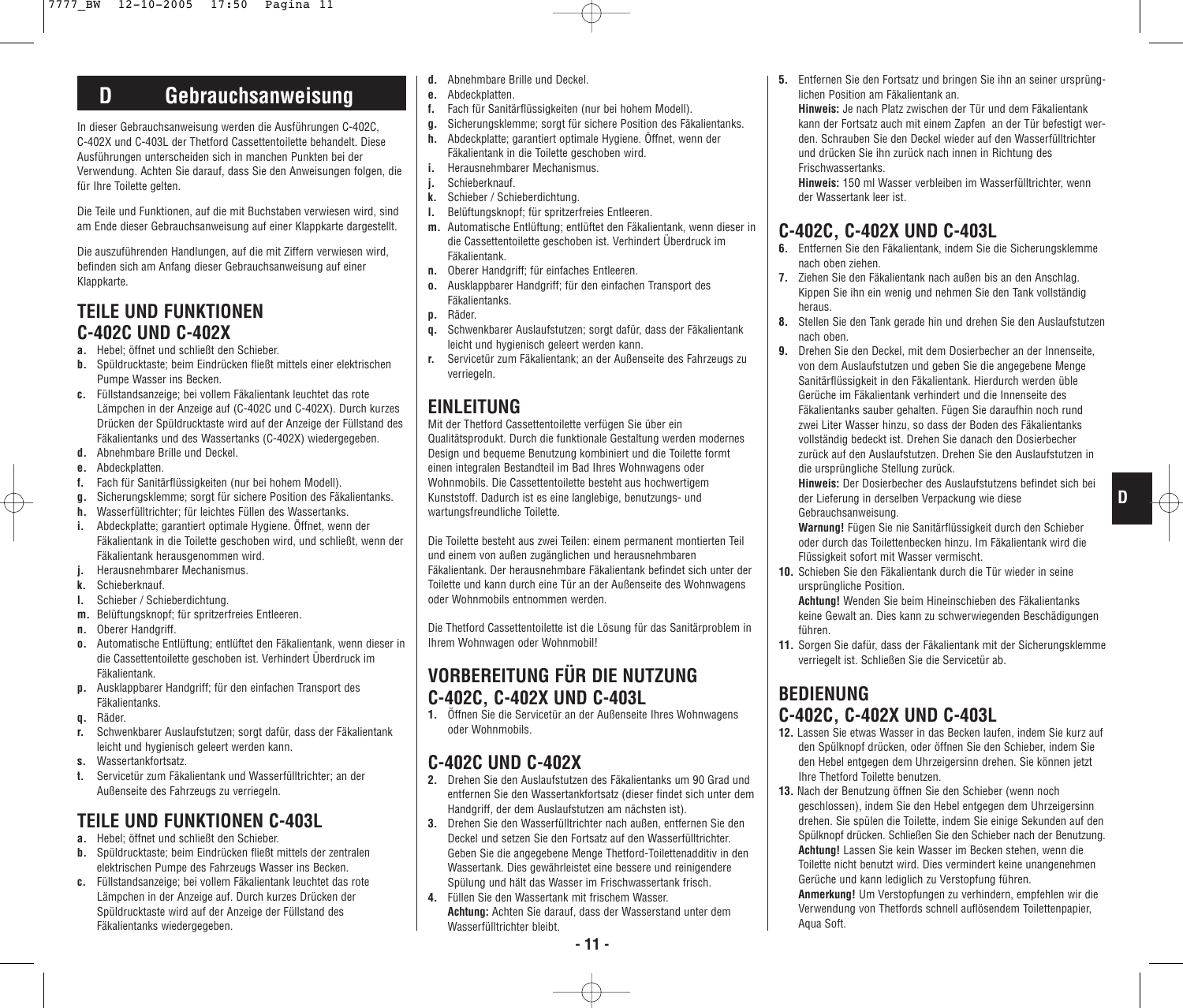## **D Gebrauchsanweisung**

In dieser Gebrauchsanweisung werden die Ausführungen C-402C, C-402X und C-403L der Thetford Cassettentoilette behandelt. Diese Ausführungen unterscheiden sich in manchen Punkten bei der Verwendung. Achten Sie darauf, dass Sie den Anweisungen folgen, die für Ihre Toilette gelten.

Die Teile und Funktionen, auf die mit Buchstaben verwiesen wird, sind am Ende dieser Gebrauchsanweisung auf einer Klappkarte dargestellt.

Die auszuführenden Handlungen, auf die mit Ziffern verwiesen wird, befinden sich am Anfang dieser Gebrauchsanweisung auf einer Klappkarte.

### **TEILE UND FUNKTIONEN C-402C UND C-402X**

- **a.** Hebel; öffnet und schließt den Schieber.
- **b.** Spüldrucktaste; beim Eindrücken fließt mittels einer elektrischen Pumpe Wasser ins Becken.
- **c.** Füllstandsanzeige; bei vollem Fäkalientank leuchtet das rote Lämpchen in der Anzeige auf (C-402C und C-402X). Durch kurzes Drücken der Spüldrucktaste wird auf der Anzeige der Füllstand des Fäkalientanks und des Wassertanks (C-402X) wiedergegeben.
- **d.** Abnehmbare Brille und Deckel.
- **e.** Abdeckplatten.
- **f.** Fach für Sanitärflüssigkeiten (nur bei hohem Modell).
- **g.** Sicherungsklemme; sorgt für sichere Position des Fäkalientanks.
- **h.** Wasserfülltrichter; für leichtes Füllen des Wassertanks.
- **i.** Abdeckplatte; garantiert optimale Hygiene. Öffnet, wenn der Fäkalientank in die Toilette geschoben wird, und schließt, wenn der Fäkalientank herausgenommen wird.
- **j.** Herausnehmbarer Mechanismus.
- **k.** Schieberknauf.
- **l.** Schieber / Schieberdichtung.
- **m.** Belüftungsknopf; für spritzerfreies Entleeren.
- **n.** Oberer Handgriff.
- **o.** Automatische Entlüftung; entlüftet den Fäkalientank, wenn dieser in die Cassettentoilette geschoben ist. Verhindert Überdruck im Fäkalientank.
- **p.** Ausklappbarer Handgriff; für den einfachen Transport des Fäkalientanks.
- **q.** Räder.
- **r.** Schwenkbarer Auslaufstutzen; sorgt dafür, dass der Fäkalientank leicht und hygienisch geleert werden kann.
- **s.** Wassertankfortsatz.
- **t.** Servicetür zum Fäkalientank und Wasserfülltrichter; an der Außenseite des Fahrzeugs zu verriegeln.

### **TEILE UND FUNKTIONEN C-403L**

- **a.** Hebel; öffnet und schließt den Schieber.
- **b.** Spüldrucktaste; beim Eindrücken fließt mittels der zentralen elektrischen Pumpe des Fahrzeugs Wasser ins Becken.
- **c.** Füllstandsanzeige; bei vollem Fäkalientank leuchtet das rote Lämpchen in der Anzeige auf. Durch kurzes Drücken der Spüldrucktaste wird auf der Anzeige der Füllstand des Fäkalientanks wiedergegeben.
- **d.** Abnehmbare Brille und Deckel.
- **e.** Abdeckplatten.
- **f.** Fach für Sanitärflüssigkeiten (nur bei hohem Modell).
- **g.** Sicherungsklemme; sorgt für sichere Position des Fäkalientanks.
- **h.** Abdeckplatte; garantiert optimale Hygiene. Öffnet, wenn der Fäkalientank in die Toilette geschoben wird. **i.** Herausnehmbarer Mechanismus.
- **j.** Schieberknauf.
- 
- **k.** Schieber / Schieberdichtung. **l.** Belüftungsknopf; für spritzerfreies Entleeren.
- **m.** Automatische Entlüftung; entlüftet den Fäkalientank, wenn dieser in die Cassettentoilette geschoben ist. Verhindert Überdruck im Fäkalientank.
- **n.** Oberer Handgriff; für einfaches Entleeren.
- **o.** Ausklappbarer Handgriff; für den einfachen Transport des Fäkalientanks.
- **p.** Räder.
- **q.** Schwenkbarer Auslaufstutzen; sorgt dafür, dass der Fäkalientank leicht und hygienisch geleert werden kann.
- **r.** Servicetür zum Fäkalientank; an der Außenseite des Fahrzeugs zu verriegeln.

### **EINLEITUNG**

Mit der Thetford Cassettentoilette verfügen Sie über ein Qualitätsprodukt. Durch die funktionale Gestaltung werden modernes Design und bequeme Benutzung kombiniert und die Toilette formt einen integralen Bestandteil im Bad Ihres Wohnwagens oder Wohnmobils. Die Cassettentoilette besteht aus hochwertigem Kunststoff. Dadurch ist es eine langlebige, benutzungs- und wartungsfreundliche Toilette.

Die Toilette besteht aus zwei Teilen: einem permanent montierten Teil und einem von außen zugänglichen und herausnehmbaren Fäkalientank. Der herausnehmbare Fäkalientank befindet sich unter der Toilette und kann durch eine Tür an der Außenseite des Wohnwagens oder Wohnmobils entnommen werden.

Die Thetford Cassettentoilette ist die Lösung für das Sanitärproblem in Ihrem Wohnwagen oder Wohnmobil!

### **VORBEREITUNG FÜR DIE NUTZUNG C-402C, C-402X UND C-403L**

**1.** Öffnen Sie die Servicetür an der Außenseite Ihres Wohnwagens oder Wohnmobils.

### **C-402C UND C-402X**

- **2.** Drehen Sie den Auslaufstutzen des Fäkalientanks um 90 Grad und entfernen Sie den Wassertankfortsatz (dieser findet sich unter dem Handgriff, der dem Auslaufstutzen am nächsten ist).
- **3.** Drehen Sie den Wasserfülltrichter nach außen, entfernen Sie den Deckel und setzen Sie den Fortsatz auf den Wasserfülltrichter. Geben Sie die angegebene Menge Thetford-Toilettenadditiv in den Wassertank. Dies gewährleistet eine bessere und reinigendere Spülung und hält das Wasser im Frischwassertank frisch.
- **4.** Füllen Sie den Wassertank mit frischem Wasser. **Achtung:** Achten Sie darauf, dass der Wasserstand unter dem Wasserfülltrichter bleibt.

**5.** Entfernen Sie den Fortsatz und bringen Sie ihn an seiner ursprünglichen Position am Fäkalientank an.

**Hinweis:** Je nach Platz zwischen der Tür und dem Fäkalientank kann der Fortsatz auch mit einem Zapfen an der Tür befestigt werden. Schrauben Sie den Deckel wieder auf den Wasserfülltrichter und drücken Sie ihn zurück nach innen in Richtung des Frischwassertanks.

**Hinweis:** 150 ml Wasser verbleiben im Wasserfülltrichter, wenn der Wassertank leer ist.

#### **C-402C, C-402X UND C-403L**

- **6.** Entfernen Sie den Fäkalientank, indem Sie die Sicherungsklemme nach oben ziehen.
- **7.** Ziehen Sie den Fäkalientank nach außen bis an den Anschlag. Kippen Sie ihn ein wenig und nehmen Sie den Tank vollständig heraus.
- **8.** Stellen Sie den Tank gerade hin und drehen Sie den Auslaufstutzen nach oben.
- **9.** Drehen Sie den Deckel, mit dem Dosierbecher an der Innenseite, von dem Auslaufstutzen und geben Sie die angegebene Menge Sanitärflüssigkeit in den Fäkalientank. Hierdurch werden üble Gerüche im Fäkalientank verhindert und die Innenseite des Fäkalientanks sauber gehalten. Fügen Sie daraufhin noch rund zwei Liter Wasser hinzu, so dass der Boden des Fäkalientanks vollständig bedeckt ist. Drehen Sie danach den Dosierbecher zurück auf den Auslaufstutzen. Drehen Sie den Auslaufstutzen in die ursprüngliche Stellung zurück.

**Hinweis:** Der Dosierbecher des Auslaufstutzens befindet sich bei der Lieferung in derselben Verpackung wie diese Gebrauchsanweisung.

**D**

**Warnung!** Fügen Sie nie Sanitärflüssigkeit durch den Schieber oder durch das Toilettenbecken hinzu. Im Fäkalientank wird die Flüssigkeit sofort mit Wasser vermischt.

**10.** Schieben Sie den Fäkalientank durch die Tür wieder in seine ursprüngliche Position.

**Achtung!** Wenden Sie beim Hineinschieben des Fäkalientanks keine Gewalt an. Dies kann zu schwerwiegenden Beschädigungen führen.

**11.** Sorgen Sie dafür, dass der Fäkalientank mit der Sicherungsklemme verriegelt ist. Schließen Sie die Servicetür ab.

### **BEDIENUNG C-402C, C-402X UND C-403L**

- **12.** Lassen Sie etwas Wasser in das Becken laufen, indem Sie kurz auf den Spülknopf drücken, oder öffnen Sie den Schieber, indem Sie den Hebel entgegen dem Uhrzeigersinn drehen. Sie können jetzt Ihre Thetford Toilette benutzen.
- **13.** Nach der Benutzung öffnen Sie den Schieber (wenn noch geschlossen), indem Sie den Hebel entgegen dem Uhrzeigersinn drehen. Sie spülen die Toilette, indem Sie einige Sekunden auf den Spülknopf drücken. Schließen Sie den Schieber nach der Benutzung. **Achtung!** Lassen Sie kein Wasser im Becken stehen, wenn die Toilette nicht benutzt wird. Dies vermindert keine unangenehmen Gerüche und kann lediglich zu Verstopfung führen.

**Anmerkung!** Um Verstopfungen zu verhindern, empfehlen wir die Verwendung von Thetfords schnell auflösendem Toilettenpapier, Aqua Soft.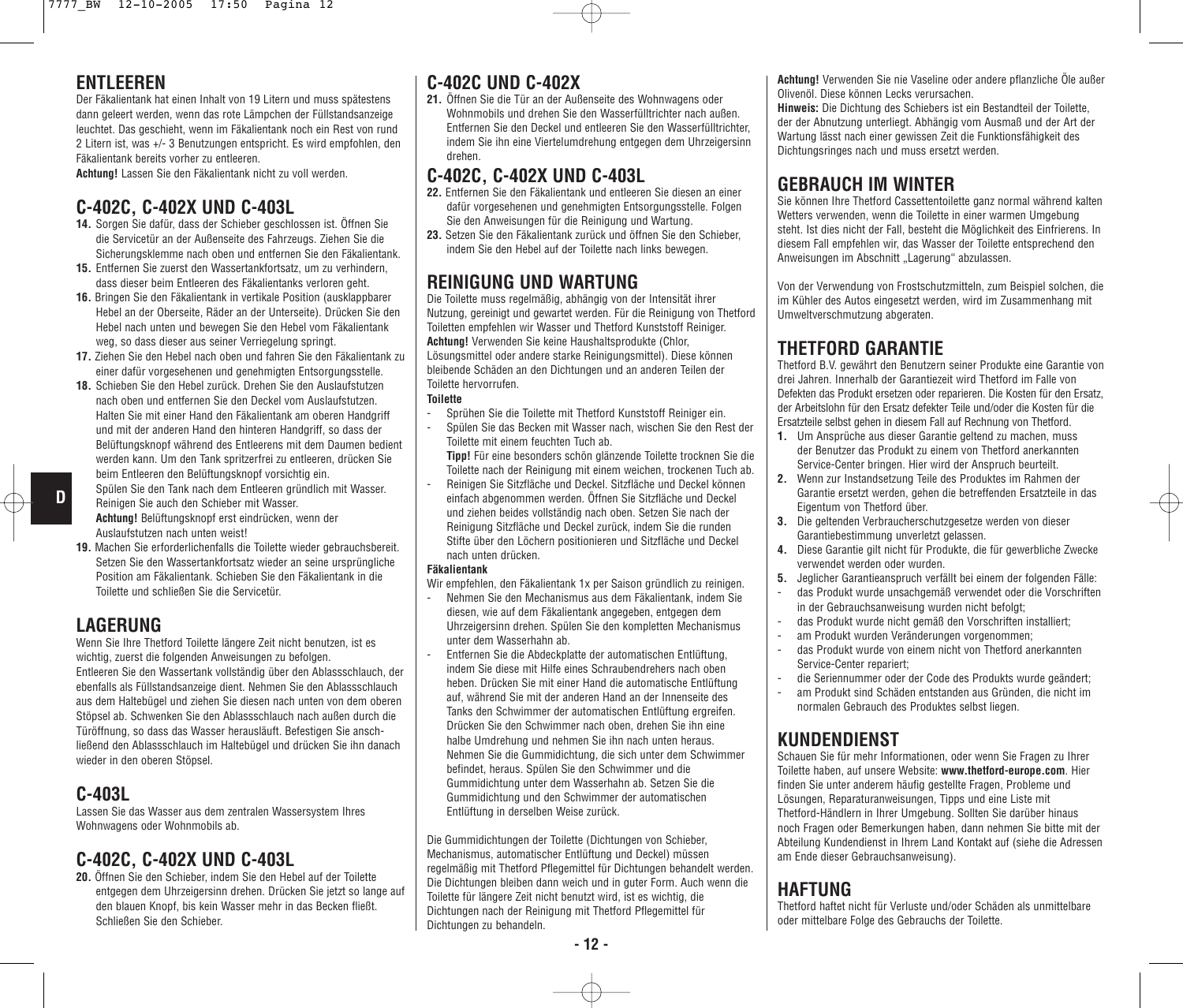#### **ENTI FFREN**

Der Fäkalientank hat einen Inhalt von 19 Litern und muss spätestens dann geleert werden, wenn das rote Lämpchen der Füllstandsanzeige leuchtet. Das geschieht, wenn im Fäkalientank noch ein Rest von rund 2 Litern ist, was +/- 3 Benutzungen entspricht. Es wird empfohlen, den Fäkalientank bereits vorher zu entleeren.

**Achtung!** Lassen Sie den Fäkalientank nicht zu voll werden.

#### **C-402C, C-402X UND C-403L**

- **14.** Sorgen Sie dafür, dass der Schieber geschlossen ist. Öffnen Sie die Servicetür an der Außenseite des Fahrzeugs. Ziehen Sie die Sicherungsklemme nach oben und entfernen Sie den Fäkalientank.
- **15.** Entfernen Sie zuerst den Wassertankfortsatz, um zu verhindern, dass dieser beim Entleeren des Fäkalientanks verloren geht.
- **16.** Bringen Sie den Fäkalientank in vertikale Position (ausklappbarer Hebel an der Oberseite, Räder an der Unterseite). Drücken Sie den Hebel nach unten und bewegen Sie den Hebel vom Fäkalientank weg, so dass dieser aus seiner Verriegelung springt.
- **17.** Ziehen Sie den Hebel nach oben und fahren Sie den Fäkalientank zu einer dafür vorgesehenen und genehmigten Entsorgungsstelle.
- **18.** Schieben Sie den Hebel zurück. Drehen Sie den Auslaufstutzen nach oben und entfernen Sie den Deckel vom Auslaufstutzen. Halten Sie mit einer Hand den Fäkalientank am oberen Handgriff und mit der anderen Hand den hinteren Handgriff, so dass der Belüftungsknopf während des Entleerens mit dem Daumen bedient werden kann. Um den Tank spritzerfrei zu entleeren, drücken Sie beim Entleeren den Belüftungsknopf vorsichtig ein.
- Spülen Sie den Tank nach dem Entleeren gründlich mit Wasser. **D**
	- Reinigen Sie auch den Schieber mit Wasser. **Achtung!** Belüftungsknopf erst eindrücken, wenn der Auslaufstutzen nach unten weist!
	- **19.** Machen Sie erforderlichenfalls die Toilette wieder gebrauchsbereit. Setzen Sie den Wassertankfortsatz wieder an seine ursprüngliche Position am Fäkalientank. Schieben Sie den Fäkalientank in die Toilette und schließen Sie die Servicetür.

#### **LAGERUNG**

Wenn Sie Ihre Thetford Toilette längere Zeit nicht benutzen, ist es wichtig, zuerst die folgenden Anweisungen zu befolgen. Entleeren Sie den Wassertank vollständig über den Ablassschlauch, der ebenfalls als Füllstandsanzeige dient. Nehmen Sie den Ablassschlauch aus dem Haltebügel und ziehen Sie diesen nach unten von dem oberen Stöpsel ab. Schwenken Sie den Ablassschlauch nach außen durch die Türöffnung, so dass das Wasser herausläuft. Befestigen Sie anschließend den Ablassschlauch im Haltebügel und drücken Sie ihn danach wieder in den oberen Stöpsel.

#### **C-403L**

Lassen Sie das Wasser aus dem zentralen Wassersystem Ihres Wohnwagens oder Wohnmobils ab.

#### **C-402C, C-402X UND C-403L**

**20.** Öffnen Sie den Schieber, indem Sie den Hebel auf der Toilette entgegen dem Uhrzeigersinn drehen. Drücken Sie jetzt so lange auf den blauen Knopf, bis kein Wasser mehr in das Becken fließt. Schließen Sie den Schieber.

#### **C-402C UND C-402X**

**21.** Öffnen Sie die Tür an der Außenseite des Wohnwagens oder Wohnmobils und drehen Sie den Wasserfülltrichter nach außen. Entfernen Sie den Deckel und entleeren Sie den Wasserfülltrichter, indem Sie ihn eine Viertelumdrehung entgegen dem Uhrzeigersinn drehen.

#### **C-402C, C-402X UND C-403L**

- **22.** Entfernen Sie den Fäkalientank und entleeren Sie diesen an einer dafür vorgesehenen und genehmigten Entsorgungsstelle. Folgen Sie den Anweisungen für die Reinigung und Wartung.
- **23.** Setzen Sie den Fäkalientank zurück und öffnen Sie den Schieber, indem Sie den Hebel auf der Toilette nach links bewegen.

### **REINIGUNG UND WARTUNG**

Die Toilette muss regelmäßig, abhängig von der Intensität ihrer Nutzung, gereinigt und gewartet werden. Für die Reinigung von Thetford Toiletten empfehlen wir Wasser und Thetford Kunststoff Reiniger. **Achtung!** Verwenden Sie keine Haushaltsprodukte (Chlor, Lösungsmittel oder andere starke Reinigungsmittel). Diese können bleibende Schäden an den Dichtungen und an anderen Teilen der Toilette hervorrufen.

#### **Toilette**

- Sprühen Sie die Toilette mit Thetford Kunststoff Reiniger ein.
- Spülen Sie das Becken mit Wasser nach, wischen Sie den Rest der Toilette mit einem feuchten Tuch ab.

**Tipp!** Für eine besonders schön glänzende Toilette trocknen Sie die Toilette nach der Reinigung mit einem weichen, trockenen Tuch ab.

Reinigen Sie Sitzfläche und Deckel. Sitzfläche und Deckel können einfach abgenommen werden. Öffnen Sie Sitzfläche und Deckel und ziehen beides vollständig nach oben. Setzen Sie nach der Reinigung Sitzfläche und Deckel zurück, indem Sie die runden Stifte über den Löchern positionieren und Sitzfläche und Deckel nach unten drücken.

#### **Fäkalientank**

Wir empfehlen, den Fäkalientank 1x per Saison gründlich zu reinigen.

- Nehmen Sie den Mechanismus aus dem Fäkalientank, indem Sie diesen, wie auf dem Fäkalientank angegeben, entgegen dem Uhrzeigersinn drehen. Spülen Sie den kompletten Mechanismus unter dem Wasserhahn ab.
- Entfernen Sie die Abdeckplatte der automatischen Entlüftung, indem Sie diese mit Hilfe eines Schraubendrehers nach oben heben. Drücken Sie mit einer Hand die automatische Entlüftung auf, während Sie mit der anderen Hand an der Innenseite des Tanks den Schwimmer der automatischen Entlüftung ergreifen. Drücken Sie den Schwimmer nach oben, drehen Sie ihn eine halbe Umdrehung und nehmen Sie ihn nach unten heraus. Nehmen Sie die Gummidichtung, die sich unter dem Schwimmer befindet, heraus. Spülen Sie den Schwimmer und die Gummidichtung unter dem Wasserhahn ab. Setzen Sie die Gummidichtung und den Schwimmer der automatischen Entlüftung in derselben Weise zurück.

Die Gummidichtungen der Toilette (Dichtungen von Schieber, Mechanismus, automatischer Entlüftung und Deckel) müssen regelmäßig mit Thetford Pflegemittel für Dichtungen behandelt werden. Die Dichtungen bleiben dann weich und in guter Form. Auch wenn die Toilette für längere Zeit nicht benutzt wird, ist es wichtig, die Dichtungen nach der Reinigung mit Thetford Pflegemittel für Dichtungen zu behandeln.

**Achtung!** Verwenden Sie nie Vaseline oder andere pflanzliche Öle außer Olivenöl. Diese können Lecks verursachen. **Hinweis:** Die Dichtung des Schiebers ist ein Bestandteil der Toilette, der der Abnutzung unterliegt. Abhängig vom Ausmaß und der Art der Wartung lässt nach einer gewissen Zeit die Funktionsfähigkeit des

### **GEBRAUCH IM WINTER**

Dichtungsringes nach und muss ersetzt werden.

Sie können Ihre Thetford Cassettentoilette ganz normal während kalten Wetters verwenden, wenn die Toilette in einer warmen Umgebung steht. Ist dies nicht der Fall, besteht die Möglichkeit des Einfrierens. In diesem Fall empfehlen wir, das Wasser der Toilette entsprechend den Anweisungen im Abschnitt "Lagerung" abzulassen.

Von der Verwendung von Frostschutzmitteln, zum Beispiel solchen, die im Kühler des Autos eingesetzt werden, wird im Zusammenhang mit Umweltverschmutzung abgeraten.

### **THETFORD GARANTIE**

Thetford B.V. gewährt den Benutzern seiner Produkte eine Garantie von drei Jahren. Innerhalb der Garantiezeit wird Thetford im Falle von Defekten das Produkt ersetzen oder reparieren. Die Kosten für den Ersatz, der Arbeitslohn für den Ersatz defekter Teile und/oder die Kosten für die Ersatzteile selbst gehen in diesem Fall auf Rechnung von Thetford.

- **1.** Um Ansprüche aus dieser Garantie geltend zu machen, muss der Benutzer das Produkt zu einem von Thetford anerkannten Service-Center bringen. Hier wird der Anspruch beurteilt.
- **2.** Wenn zur Instandsetzung Teile des Produktes im Rahmen der Garantie ersetzt werden, gehen die betreffenden Ersatzteile in das Eigentum von Thetford über.
- **3.** Die geltenden Verbraucherschutzgesetze werden von dieser Garantiebestimmung unverletzt gelassen.
- **4.** Diese Garantie gilt nicht für Produkte, die für gewerbliche Zwecke verwendet werden oder wurden.
- **5.** Jeglicher Garantieanspruch verfällt bei einem der folgenden Fälle: - das Produkt wurde unsachgemäß verwendet oder die Vorschriften in der Gebrauchsanweisung wurden nicht befolgt;
- das Produkt wurde nicht gemäß den Vorschriften installiert;
- am Produkt wurden Veränderungen vorgenommen:
- das Produkt wurde von einem nicht von Thetford anerkannten Service-Center repariert;
- die Seriennummer oder der Code des Produkts wurde geändert;
- am Produkt sind Schäden entstanden aus Gründen, die nicht im normalen Gebrauch des Produktes selbst liegen.

### **KUNDENDIENST**

Schauen Sie für mehr Informationen, oder wenn Sie Fragen zu Ihrer Toilette haben, auf unsere Website: **www.thetford-europe.com**. Hier finden Sie unter anderem häufig gestellte Fragen, Probleme und Lösungen, Reparaturanweisungen, Tipps und eine Liste mit Thetford-Händlern in Ihrer Umgebung. Sollten Sie darüber hinaus noch Fragen oder Bemerkungen haben, dann nehmen Sie bitte mit der Abteilung Kundendienst in Ihrem Land Kontakt auf (siehe die Adressen am Ende dieser Gebrauchsanweisung).

#### **HAFTUNG**

Thetford haftet nicht für Verluste und/oder Schäden als unmittelbare oder mittelbare Folge des Gebrauchs der Toilette.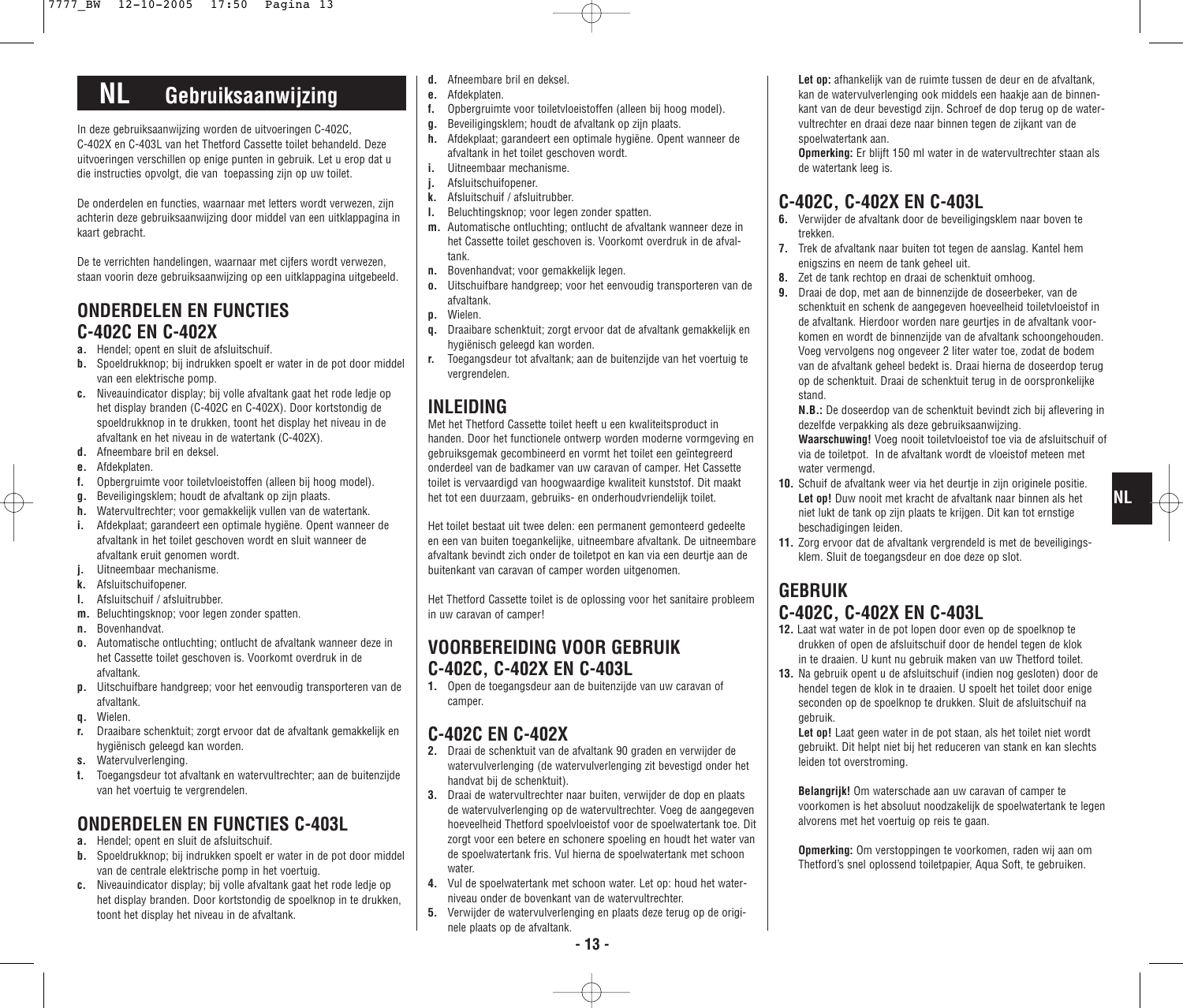# **NL Gebruiksaanwijzing**

In deze gebruiksaanwijzing worden de uitvoeringen C-402C, C-402X en C-403L van het Thetford Cassette toilet behandeld. Deze uitvoeringen verschillen op enige punten in gebruik. Let u erop dat u die instructies opvolgt, die van toepassing zijn op uw toilet.

De onderdelen en functies, waarnaar met letters wordt verwezen, zijn achterin deze gebruiksaanwijzing door middel van een uitklappagina in kaart gebracht.

De te verrichten handelingen, waarnaar met cijfers wordt verwezen, staan voorin deze gebruiksaanwijzing op een uitklappagina uitgebeeld.

### **ONDERDELEN EN FUNCTIES C-402C EN C-402X**

- **a.** Hendel; opent en sluit de afsluitschuif.
- **b.** Spoeldrukknop; bij indrukken spoelt er water in de pot door middel van een elektrische pomp.
- **c.** Niveauindicator display; bij volle afvaltank gaat het rode ledje op het display branden (C-402C en C-402X). Door kortstondig de spoeldrukknop in te drukken, toont het display het niveau in de afvaltank en het niveau in de watertank (C-402X).
- **d.** Afneembare bril en deksel.
- **e.** Afdekplaten.
- **f.** Opbergruimte voor toiletvloeistoffen (alleen bij hoog model).
- **g.** Beveiligingsklem; houdt de afvaltank op zijn plaats.
- **h.** Watervultrechter; voor gemakkelijk vullen van de watertank.
- **i.** Afdekplaat; garandeert een optimale hygiëne. Opent wanneer de afvaltank in het toilet geschoven wordt en sluit wanneer de afvaltank eruit genomen wordt.
- **j.** Uitneembaar mechanisme.
- **k.** Afsluitschuifopener.
- **l.** Afsluitschuif / afsluitrubber.
- **m.** Beluchtingsknop; voor legen zonder spatten.
- **n.** Bovenhandvat.
- **o.** Automatische ontluchting; ontlucht de afvaltank wanneer deze in het Cassette toilet geschoven is. Voorkomt overdruk in de afvaltank.
- **p.** Uitschuifbare handgreep; voor het eenvoudig transporteren van de afvaltank.
- **q.** Wielen.
- **r.** Draaibare schenktuit; zorgt ervoor dat de afvaltank gemakkelijk en hygiënisch geleegd kan worden.
- **s.** Watervulverlenging.
- **t.** Toegangsdeur tot afvaltank en watervultrechter; aan de buitenzijde van het voertuig te vergrendelen.

## **ONDERDELEN EN FUNCTIES C-403L**

- **a.** Hendel; opent en sluit de afsluitschuif.
- **b.** Spoeldrukknop; bij indrukken spoelt er water in de pot door middel van de centrale elektrische pomp in het voertuig.
- **c.** Niveauindicator display; bij volle afvaltank gaat het rode ledje op het display branden. Door kortstondig de spoelknop in te drukken, toont het display het niveau in de afvaltank.
- **d.** Afneembare bril en deksel.
- **e.** Afdekplaten.
- **f.** Opbergruimte voor toiletvloeistoffen (alleen bij hoog model).
- **g.** Beveiligingsklem; houdt de afvaltank op zijn plaats.
- **h.** Afdekplaat; garandeert een optimale hygiëne. Opent wanneer de afvaltank in het toilet geschoven wordt.
- **i.** Uitneembaar mechanisme.
- **j.** Afsluitschuifopener.
- **k.** Afsluitschuif / afsluitrubber.
- **l.** Beluchtingsknop; voor legen zonder spatten.
- **m.** Automatische ontluchting; ontlucht de afvaltank wanneer deze in het Cassette toilet geschoven is. Voorkomt overdruk in de afvaltank.
- **n.** Bovenhandvat; voor gemakkelijk legen.
- **o.** Uitschuifbare handgreep; voor het eenvoudig transporteren van de afvaltank.
- **p.** Wielen.
- **q.** Draaibare schenktuit; zorgt ervoor dat de afvaltank gemakkelijk en hygiënisch geleegd kan worden.
- **r.** Toegangsdeur tot afvaltank; aan de buitenzijde van het voertuig te vergrendelen.

### **INLEIDING**

Met het Thetford Cassette toilet heeft u een kwaliteitsproduct in handen. Door het functionele ontwerp worden moderne vormgeving en gebruiksgemak gecombineerd en vormt het toilet een geïntegreerd onderdeel van de badkamer van uw caravan of camper. Het Cassette toilet is vervaardigd van hoogwaardige kwaliteit kunststof. Dit maakt het tot een duurzaam, gebruiks- en onderhoudvriendelijk toilet.

Het toilet bestaat uit twee delen: een permanent gemonteerd gedeelte en een van buiten toegankelijke, uitneembare afvaltank. De uitneembare afvaltank bevindt zich onder de toiletpot en kan via een deurtje aan de buitenkant van caravan of camper worden uitgenomen.

Het Thetford Cassette toilet is de oplossing voor het sanitaire probleem in uw caravan of camper!

#### **VOORBEREIDING VOOR GEBRUIK C-402C, C-402X EN C-403L**

**1.** Open de toegangsdeur aan de buitenzijde van uw caravan of camper.

### **C-402C EN C-402X**

- **2.** Draai de schenktuit van de afvaltank 90 graden en verwijder de watervulverlenging (de watervulverlenging zit bevestigd onder het handvat bij de schenktuit).
- **3.** Draai de watervultrechter naar buiten, verwijder de dop en plaats de watervulverlenging op de watervultrechter. Voeg de aangegeven hoeveelheid Thetford spoelvloeistof voor de spoelwatertank toe. Dit zorgt voor een betere en schonere spoeling en houdt het water van de spoelwatertank fris. Vul hierna de spoelwatertank met schoon water.
- **4.** Vul de spoelwatertank met schoon water. Let op: houd het waterniveau onder de bovenkant van de watervultrechter.
- **5.** Verwijder de watervulverlenging en plaats deze terug op de originele plaats op de afvaltank.

**Let op:** afhankelijk van de ruimte tussen de deur en de afvaltank, kan de watervulverlenging ook middels een haakje aan de binnenkant van de deur bevestigd zijn. Schroef de dop terug op de watervultrechter en draai deze naar binnen tegen de zijkant van de spoelwatertank aan.

**Opmerking:** Er blijft 150 ml water in de watervultrechter staan als de watertank leeg is.

## **C-402C, C-402X EN C-403L**

- **6.** Verwijder de afvaltank door de beveiligingsklem naar boven te trekken.
- **7.** Trek de afvaltank naar buiten tot tegen de aanslag. Kantel hem enigszins en neem de tank geheel uit.
- **8.** Zet de tank rechtop en draai de schenktuit omhoog.
- **9.** Draai de dop, met aan de binnenzijde de doseerbeker, van de schenktuit en schenk de aangegeven hoeveelheid toiletvloeistof in de afvaltank. Hierdoor worden nare geurtjes in de afvaltank voorkomen en wordt de binnenzijde van de afvaltank schoongehouden. Voeg vervolgens nog ongeveer 2 liter water toe, zodat de bodem van de afvaltank geheel bedekt is. Draai hierna de doseerdop terug op de schenktuit. Draai de schenktuit terug in de oorspronkelijke stand.

**N.B.:** De doseerdop van de schenktuit bevindt zich bij aflevering in dezelfde verpakking als deze gebruiksaanwijzing.

**Waarschuwing!** Voeg nooit toiletvloeistof toe via de afsluitschuif of via de toiletpot. In de afvaltank wordt de vloeistof meteen met water vermengd.

**NL**

- **10.** Schuif de afvaltank weer via het deurtie in zijn originele positie. **Let op!** Duw nooit met kracht de afvaltank naar binnen als het niet lukt de tank op zijn plaats te krijgen. Dit kan tot ernstige beschadigingen leiden.
- **11.** Zorg ervoor dat de afvaltank vergrendeld is met de beveiligingsklem. Sluit de toegangsdeur en doe deze op slot.

## **GEBRUIK C-402C, C-402X EN C-403L**

- **12.** Laat wat water in de pot lopen door even op de spoelknop te drukken of open de afsluitschuif door de hendel tegen de klok in te draaien. U kunt nu gebruik maken van uw Thetford toilet.
- **13.** Na gebruik opent u de afsluitschuif (indien nog gesloten) door de hendel tegen de klok in te draaien. U spoelt het toilet door enige seconden op de spoelknop te drukken. Sluit de afsluitschuif na gebruik.

**Let op!** Laat geen water in de pot staan, als het toilet niet wordt gebruikt. Dit helpt niet bij het reduceren van stank en kan slechts leiden tot overstroming.

**Belangrijk!** Om waterschade aan uw caravan of camper te voorkomen is het absoluut noodzakelijk de spoelwatertank te legen alvorens met het voertuig op reis te gaan.

**Opmerking:** Om verstoppingen te voorkomen, raden wij aan om Thetford's snel oplossend toiletpapier, Aqua Soft, te gebruiken.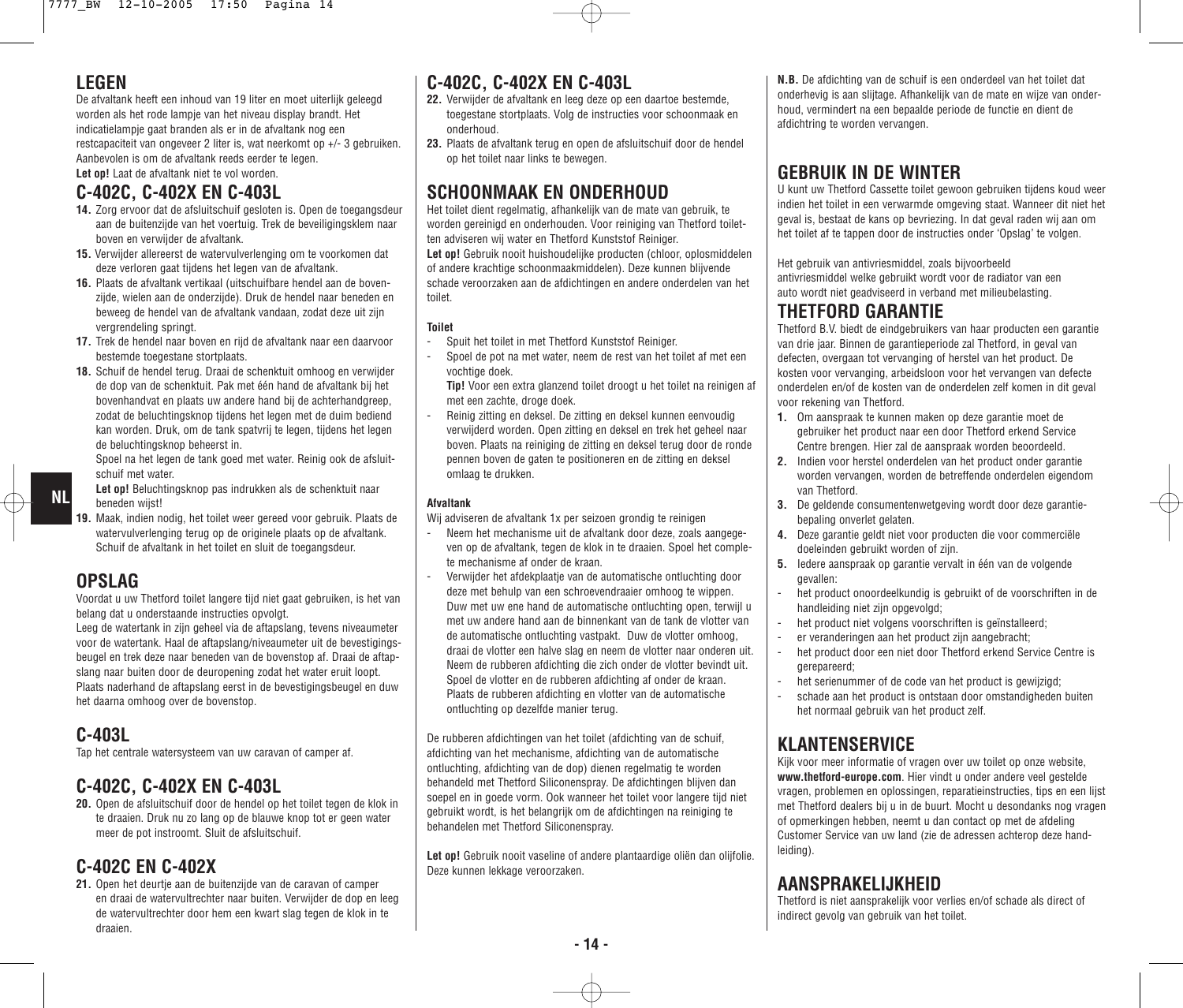#### **LEGEN**

De afvaltank heeft een inhoud van 19 liter en moet uiterlijk geleegd worden als het rode lampje van het niveau display brandt. Het indicatielampje gaat branden als er in de afvaltank nog een restcapaciteit van ongeveer 2 liter is, wat neerkomt op +/- 3 gebruiken. Aanbevolen is om de afvaltank reeds eerder te legen. **Let op!** Laat de afvaltank niet te vol worden.

### **C-402C, C-402X EN C-403L**

- **14.** Zorg ervoor dat de afsluitschuif gesloten is. Open de toegangsdeur aan de buitenzijde van het voertuig. Trek de beveiligingsklem naar boven en verwijder de afvaltank.
- **15.** Verwijder allereerst de watervulverlenging om te voorkomen dat deze verloren gaat tijdens het legen van de afvaltank.
- **16.** Plaats de afvaltank vertikaal (uitschuifbare hendel aan de bovenzijde, wielen aan de onderzijde). Druk de hendel naar beneden en beweeg de hendel van de afvaltank vandaan, zodat deze uit zijn vergrendeling springt.
- **17.** Trek de hendel naar boven en rijd de afvaltank naar een daarvoor bestemde toegestane stortplaats.
- **18.** Schuif de hendel terug. Draai de schenktuit omhoog en verwijder de dop van de schenktuit. Pak met één hand de afvaltank bij het bovenhandvat en plaats uw andere hand bij de achterhandgreep, zodat de beluchtingsknop tijdens het legen met de duim bediend kan worden. Druk, om de tank spatvrij te legen, tijdens het legen de beluchtingsknop beheerst in.

Spoel na het legen de tank goed met water. Reinig ook de afsluitschuif met water.

- **Let op!** Beluchtingsknop pas indrukken als de schenktuit naar beneden wijst!
- **19.** Maak, indien nodig, het toilet weer gereed voor gebruik. Plaats de watervulverlenging terug op de originele plaats op de afvaltank. Schuif de afvaltank in het toilet en sluit de toegangsdeur.

#### **OPSLAG**

**NL**

Voordat u uw Thetford toilet langere tijd niet gaat gebruiken, is het van belang dat u onderstaande instructies opvolgt.

Leeg de watertank in zijn geheel via de aftapslang, tevens niveaumeter voor de watertank. Haal de aftapslang/niveaumeter uit de bevestigingsbeugel en trek deze naar beneden van de bovenstop af. Draai de aftapslang naar buiten door de deuropening zodat het water eruit loopt. Plaats naderhand de aftapslang eerst in de bevestigingsbeugel en duw het daarna omhoog over de bovenstop.

#### **C-403L**

Tap het centrale watersysteem van uw caravan of camper af.

### **C-402C, C-402X EN C-403L**

**20.** Open de afsluitschuif door de hendel op het toilet tegen de klok in te draaien. Druk nu zo lang op de blauwe knop tot er geen water meer de pot instroomt. Sluit de afsluitschuif.

### **C-402C EN C-402X**

21. Open het deurtie aan de buitenzijde van de caravan of camper en draai de watervultrechter naar buiten. Verwijder de dop en leeg de watervultrechter door hem een kwart slag tegen de klok in te draaien.

### **C-402C, C-402X EN C-403L**

- **22.** Verwijder de afvaltank en leeg deze op een daartoe bestemde, toegestane stortplaats. Volg de instructies voor schoonmaak en onderhoud.
- **23.** Plaats de afvaltank terug en open de afsluitschuif door de hendel op het toilet naar links te bewegen.

## **SCHOONMAAK EN ONDERHOUD**

Het toilet dient regelmatig, afhankelijk van de mate van gebruik, te worden gereinigd en onderhouden. Voor reiniging van Thetford toiletten adviseren wij water en Thetford Kunststof Reiniger. Let op! Gebruik nooit huishoudelijke producten (chloor, oplosmiddelen of andere krachtige schoonmaakmiddelen). Deze kunnen blijvende

schade veroorzaken aan de afdichtingen en andere onderdelen van het toilet.

#### **Toilet**

- Spuit het toilet in met Thetford Kunststof Reiniger.
- Spoel de pot na met water, neem de rest van het toilet af met een vochtige doek.
- **Tip!** Voor een extra glanzend toilet droogt u het toilet na reinigen af met een zachte, droge doek.
- Reinig zitting en deksel. De zitting en deksel kunnen eenvoudig verwijderd worden. Open zitting en deksel en trek het geheel naar boven. Plaats na reiniging de zitting en deksel terug door de ronde pennen boven de gaten te positioneren en de zitting en deksel omlaag te drukken.

#### **Afvaltank**

- Wij adviseren de afvaltank 1x per seizoen grondig te reinigen
- Neem het mechanisme uit de afvaltank door deze, zoals aangegeven op de afvaltank, tegen de klok in te draaien. Spoel het complete mechanisme af onder de kraan.
- Verwijder het afdekplaatie van de automatische ontluchting door deze met behulp van een schroevendraaier omhoog te wippen. Duw met uw ene hand de automatische ontluchting open, terwijl u met uw andere hand aan de binnenkant van de tank de vlotter van de automatische ontluchting vastpakt. Duw de vlotter omhoog, draai de vlotter een halve slag en neem de vlotter naar onderen uit. Neem de rubberen afdichting die zich onder de vlotter bevindt uit. Spoel de vlotter en de rubberen afdichting af onder de kraan. Plaats de rubberen afdichting en vlotter van de automatische ontluchting op dezelfde manier terug.

De rubberen afdichtingen van het toilet (afdichting van de schuif, afdichting van het mechanisme, afdichting van de automatische ontluchting, afdichting van de dop) dienen regelmatig te worden behandeld met Thetford Siliconenspray. De afdichtingen blijven dan soepel en in goede vorm. Ook wanneer het toilet voor langere tijd niet gebruikt wordt, is het belangrijk om de afdichtingen na reiniging te behandelen met Thetford Siliconenspray.

Let op! Gebruik nooit vaseline of andere plantaardige oliën dan oliifolie. Deze kunnen lekkage veroorzaken.

**N.B.** De afdichting van de schuif is een onderdeel van het toilet dat onderhevig is aan slijtage. Afhankelijk van de mate en wijze van onderhoud, vermindert na een bepaalde periode de functie en dient de afdichtring te worden vervangen.

## **GEBRUIK IN DE WINTER**

U kunt uw Thetford Cassette toilet gewoon gebruiken tijdens koud weer indien het toilet in een verwarmde omgeving staat. Wanneer dit niet het geval is, bestaat de kans op bevriezing. In dat geval raden wij aan om het toilet af te tappen door de instructies onder 'Opslag' te volgen.

Het gebruik van antivriesmiddel, zoals bijvoorbeeld antivriesmiddel welke gebruikt wordt voor de radiator van een auto wordt niet geadviseerd in verband met milieubelasting.

#### **THETFORD GARANTIE**

Thetford B.V. biedt de eindgebruikers van haar producten een garantie van drie jaar. Binnen de garantieperiode zal Thetford, in geval van defecten, overgaan tot vervanging of herstel van het product. De kosten voor vervanging, arbeidsloon voor het vervangen van defecte onderdelen en/of de kosten van de onderdelen zelf komen in dit geval voor rekening van Thetford.

- **1.** Om aanspraak te kunnen maken op deze garantie moet de gebruiker het product naar een door Thetford erkend Service Centre brengen. Hier zal de aanspraak worden beoordeeld.
- **2.** Indien voor herstel onderdelen van het product onder garantie worden vervangen, worden de betreffende onderdelen eigendom van Thetford.
- **3.** De geldende consumentenwetgeving wordt door deze garantiebepaling onverlet gelaten.
- **4.** Deze garantie geldt niet voor producten die voor commerciële doeleinden gebruikt worden of zijn.
- **5.** Iedere aanspraak op garantie vervalt in één van de volgende gevallen:
- het product onoordeelkundig is gebruikt of de voorschriften in de handleiding niet zijn opgevolgd;
- het product niet volgens voorschriften is geïnstalleerd;
- er veranderingen aan het product zijn aangebracht;
- het product door een niet door Thetford erkend Service Centre is gerepareerd;
- het serienummer of de code van het product is gewijzigd;
- schade aan het product is ontstaan door omstandigheden buiten het normaal gebruik van het product zelf.

### **KLANTENSERVICE**

Kijk voor meer informatie of vragen over uw toilet op onze website, **www.thetford-europe.com**. Hier vindt u onder andere veel gestelde vragen, problemen en oplossingen, reparatieinstructies, tips en een lijst met Thetford dealers bij u in de buurt. Mocht u desondanks nog vragen of opmerkingen hebben, neemt u dan contact op met de afdeling Customer Service van uw land (zie de adressen achterop deze handleiding).

### **AANSPRAKELIJKHEID**

Thetford is niet aansprakelijk voor verlies en/of schade als direct of indirect gevolg van gebruik van het toilet.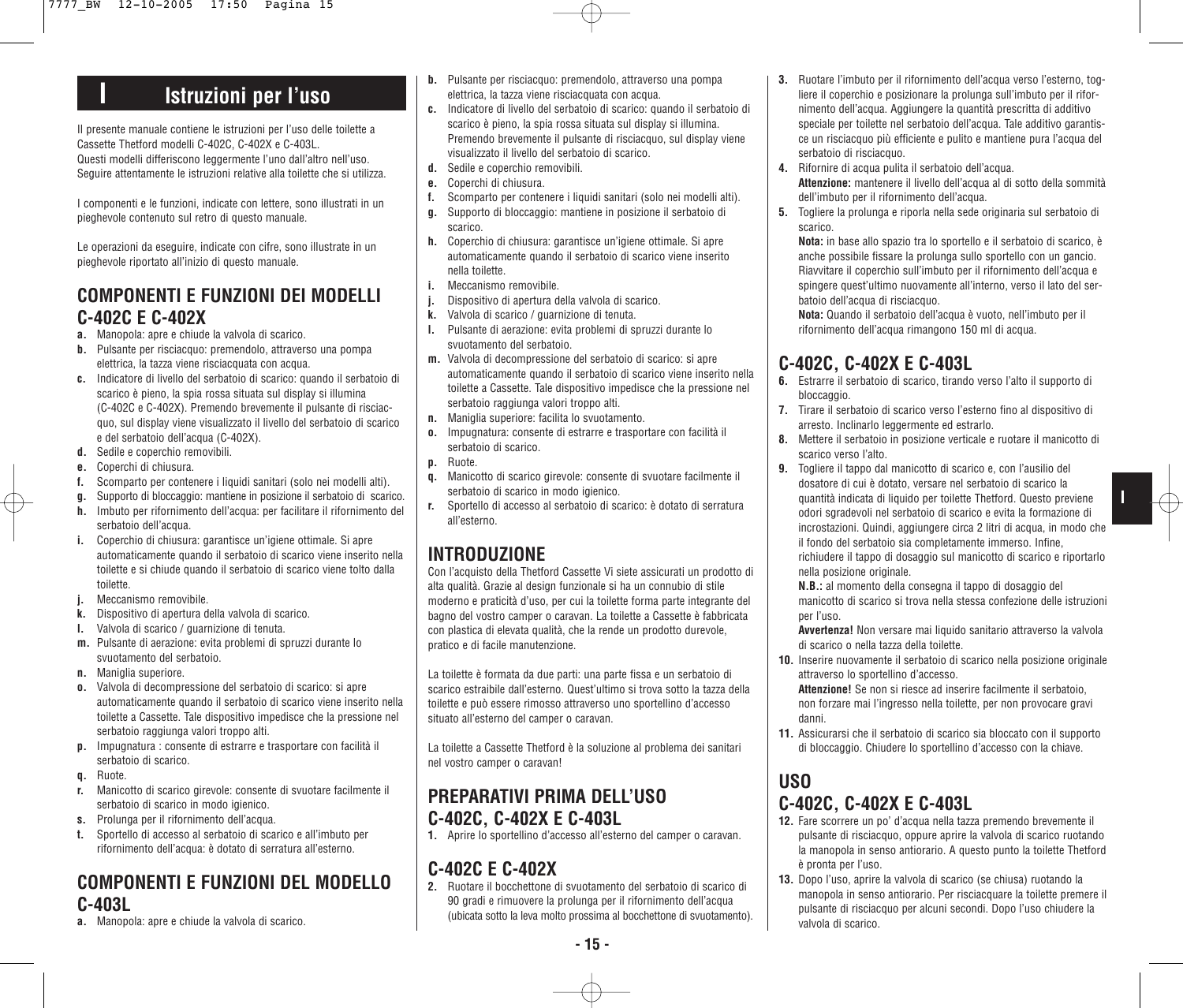# **I Istruzioni per l'uso**

Il presente manuale contiene le istruzioni per l'uso delle toilette a Cassette Thetford modelli C-402C, C-402X e C-403L. Questi modelli differiscono leggermente l'uno dall'altro nell'uso. Seguire attentamente le istruzioni relative alla toilette che si utilizza.

I componenti e le funzioni, indicate con lettere, sono illustrati in un pieghevole contenuto sul retro di questo manuale.

Le operazioni da eseguire, indicate con cifre, sono illustrate in un pieghevole riportato all'inizio di questo manuale.

### **COMPONENTI E FUNZIONI DEI MODELLI C-402C E C-402X**

- **a.** Manopola: apre e chiude la valvola di scarico.
- **b.** Pulsante per risciacquo: premendolo, attraverso una pompa elettrica, la tazza viene risciacquata con acqua.
- **c.** Indicatore di livello del serbatoio di scarico: quando il serbatoio di scarico è pieno, la spia rossa situata sul display si illumina (C-402C e C-402X). Premendo brevemente il pulsante di risciacquo, sul display viene visualizzato il livello del serbatoio di scarico e del serbatoio dell'acqua (C-402X).
- **d.** Sedile e coperchio removibili.
- **e.** Coperchi di chiusura.
- **f.** Scomparto per contenere i liquidi sanitari (solo nei modelli alti).
- **g.** Supporto di bloccaggio: mantiene in posizione il serbatoio di scarico.
- **h.** Imbuto per rifornimento dell'acqua: per facilitare il rifornimento del serbatoio dell'acqua.
- **i.** Coperchio di chiusura: garantisce un'igiene ottimale. Si apre automaticamente quando il serbatoio di scarico viene inserito nella toilette e si chiude quando il serbatoio di scarico viene tolto dalla toilette.
- **j.** Meccanismo removibile.
- **k.** Dispositivo di apertura della valvola di scarico.
- **l.** Valvola di scarico / guarnizione di tenuta.
- **m.** Pulsante di aerazione: evita problemi di spruzzi durante lo svuotamento del serbatoio.
- **n.** Maniglia superiore.
- **o.** Valvola di decompressione del serbatoio di scarico: si apre automaticamente quando il serbatoio di scarico viene inserito nella toilette a Cassette. Tale dispositivo impedisce che la pressione nel serbatoio raggiunga valori troppo alti.
- **p.** Impugnatura : consente di estrarre e trasportare con facilità il serbatoio di scarico.
- **q.** Ruote.
- **r.** Manicotto di scarico girevole: consente di svuotare facilmente il serbatoio di scarico in modo igienico.
- **s.** Prolunga per il rifornimento dell'acqua.
- **t.** Sportello di accesso al serbatoio di scarico e all'imbuto per rifornimento dell'acqua: è dotato di serratura all'esterno.

### **COMPONENTI E FUNZIONI DEL MODELLO C-403L**

**a.** Manopola: apre e chiude la valvola di scarico.

- **b.** Pulsante per risciacquo: premendolo, attraverso una pompa elettrica, la tazza viene risciacquata con acqua.
- **c.** Indicatore di livello del serbatoio di scarico: quando il serbatoio di scarico è pieno, la spia rossa situata sul display si illumina. Premendo brevemente il pulsante di risciacquo, sul display viene visualizzato il livello del serbatoio di scarico.
- **d.** Sedile e coperchio removibili.
- **e.** Coperchi di chiusura.
- **f.** Scomparto per contenere i liquidi sanitari (solo nei modelli alti).
- **g.** Supporto di bloccaggio: mantiene in posizione il serbatoio di scarico.
- **h.** Coperchio di chiusura: garantisce un'igiene ottimale. Si apre automaticamente quando il serbatoio di scarico viene inserito nella toilette.
- **i.** Meccanismo removibile.
- **j.** Dispositivo di apertura della valvola di scarico.
- **k.** Valvola di scarico / guarnizione di tenuta.
- **l.** Pulsante di aerazione: evita problemi di spruzzi durante lo svuotamento del serbatoio.
- **m.** Valvola di decompressione del serbatoio di scarico: si apre automaticamente quando il serbatoio di scarico viene inserito nella toilette a Cassette. Tale dispositivo impedisce che la pressione nel serbatoio raggiunga valori troppo alti.
- **n.** Maniglia superiore: facilita lo svuotamento.
- **o.** Impugnatura: consente di estrarre e trasportare con facilità il serbatoio di scarico.
- **p.** Ruote.
- **q.** Manicotto di scarico girevole: consente di svuotare facilmente il serbatoio di scarico in modo igienico.
- **r.** Sportello di accesso al serbatoio di scarico: è dotato di serratura all'esterno.

### **INTRODUZIONE**

Con l'acquisto della Thetford Cassette Vi siete assicurati un prodotto di alta qualità. Grazie al design funzionale si ha un connubio di stile moderno e praticità d'uso, per cui la toilette forma parte integrante del bagno del vostro camper o caravan. La toilette a Cassette è fabbricata con plastica di elevata qualità, che la rende un prodotto durevole, pratico e di facile manutenzione.

La toilette è formata da due parti: una parte fissa e un serbatoio di scarico estraibile dall'esterno. Quest'ultimo si trova sotto la tazza della toilette e può essere rimosso attraverso uno sportellino d'accesso situato all'esterno del camper o caravan.

La toilette a Cassette Thetford è la soluzione al problema dei sanitari nel vostro camper o caravan!

### **PREPARATIVI PRIMA DELL'USO C-402C, C-402X E C-403L**

**1.** Aprire lo sportellino d'accesso all'esterno del camper o caravan.

### **C-402C E C-402X**

**2.** Ruotare il bocchettone di svuotamento del serbatoio di scarico di 90 gradi e rimuovere la prolunga per il rifornimento dell'acqua (ubicata sotto la leva molto prossima al bocchettone di svuotamento).

- **4.** Rifornire di acqua pulita il serbatoio dell'acqua. **Attenzione:** mantenere il livello dell'acqua al di sotto della sommità dell'imbuto per il rifornimento dell'acqua.
- **5.** Togliere la prolunga e riporla nella sede originaria sul serbatoio di scarico.

**Nota:** in base allo spazio tra lo sportello e il serbatoio di scarico, è anche possibile fissare la prolunga sullo sportello con un gancio. Riavvitare il coperchio sull'imbuto per il rifornimento dell'acqua e spingere quest'ultimo nuovamente all'interno, verso il lato del serbatoio dell'acqua di risciacquo.

**Nota:** Quando il serbatoio dell'acqua è vuoto, nell'imbuto per il rifornimento dell'acqua rimangono 150 ml di acqua.

## **C-402C, C-402X E C-403L**

- **6.** Estrarre il serbatoio di scarico, tirando verso l'alto il supporto di bloccaggio.
- **7.** Tirare il serbatoio di scarico verso l'esterno fino al dispositivo di arresto. Inclinarlo leggermente ed estrarlo.
- **8.** Mettere il serbatoio in posizione verticale e ruotare il manicotto di scarico verso l'alto.
- **9.** Togliere il tappo dal manicotto di scarico e, con l'ausilio del dosatore di cui è dotato, versare nel serbatoio di scarico la quantità indicata di liquido per toilette Thetford. Questo previene odori sgradevoli nel serbatoio di scarico e evita la formazione di incrostazioni. Quindi, aggiungere circa 2 litri di acqua, in modo che il fondo del serbatoio sia completamente immerso. Infine, richiudere il tappo di dosaggio sul manicotto di scarico e riportarlo nella posizione originale.

**I**

**N.B.:** al momento della consegna il tappo di dosaggio del manicotto di scarico si trova nella stessa confezione delle istruzioni per l'uso.

**Avvertenza!** Non versare mai liquido sanitario attraverso la valvola di scarico o nella tazza della toilette.

- **10.** Inserire nuovamente il serbatoio di scarico nella posizione originale attraverso lo sportellino d'accesso.
	- **Attenzione!** Se non si riesce ad inserire facilmente il serbatoio, non forzare mai l'ingresso nella toilette, per non provocare gravi danni.
- **11.** Assicurarsi che il serbatoio di scarico sia bloccato con il supporto di bloccaggio. Chiudere lo sportellino d'accesso con la chiave.

#### **USO C-402C, C-402X E C-403L**

- **12.** Fare scorrere un po' d'acqua nella tazza premendo brevemente il pulsante di risciacquo, oppure aprire la valvola di scarico ruotando la manopola in senso antiorario. A questo punto la toilette Thetford è pronta per l'uso.
- **13.** Dopo l'uso, aprire la valvola di scarico (se chiusa) ruotando la manopola in senso antiorario. Per risciacquare la toilette premere il pulsante di risciacquo per alcuni secondi. Dopo l'uso chiudere la valvola di scarico.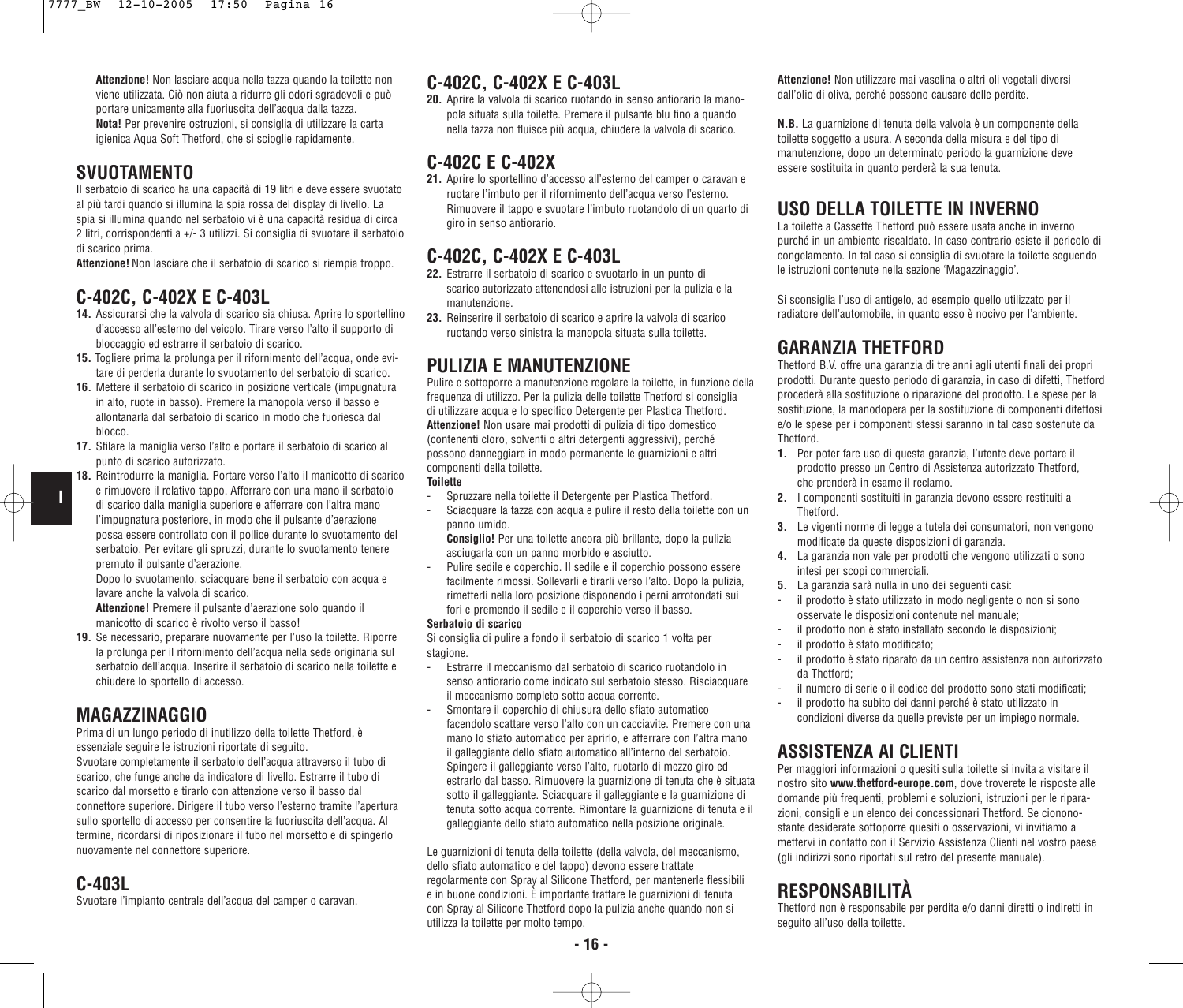**Attenzione!** Non lasciare acqua nella tazza quando la toilette non viene utilizzata. Ciò non aiuta a ridurre gli odori sgradevoli e può portare unicamente alla fuoriuscita dell'acqua dalla tazza. **Nota!** Per prevenire ostruzioni, si consiglia di utilizzare la carta igienica Aqua Soft Thetford, che si scioglie rapidamente.

### **SVUOTAMENTO**

Il serbatoio di scarico ha una capacità di 19 litri e deve essere svuotato al più tardi quando si illumina la spia rossa del display di livello. La spia si illumina quando nel serbatoio vi è una capacità residua di circa 2 litri, corrispondenti a +/- 3 utilizzi. Si consiglia di svuotare il serbatoio di scarico prima.

**Attenzione!** Non lasciare che il serbatoio di scarico si riempia troppo.

### **C-402C, C-402X E C-403L**

- **14.** Assicurarsi che la valvola di scarico sia chiusa. Aprire lo sportellino d'accesso all'esterno del veicolo. Tirare verso l'alto il supporto di bloccaggio ed estrarre il serbatoio di scarico.
- **15.** Togliere prima la prolunga per il rifornimento dell'acqua, onde evitare di perderla durante lo svuotamento del serbatoio di scarico.
- **16.** Mettere il serbatoio di scarico in posizione verticale (impugnatura in alto, ruote in basso). Premere la manopola verso il basso e allontanarla dal serbatoio di scarico in modo che fuoriesca dal blocco.
- **17.** Sfilare la maniglia verso l'alto e portare il serbatoio di scarico al punto di scarico autorizzato.
- **18.** Reintrodurre la maniglia. Portare verso l'alto il manicotto di scarico e rimuovere il relativo tappo. Afferrare con una mano il serbatoio di scarico dalla maniglia superiore e afferrare con l'altra mano l'impugnatura posteriore, in modo che il pulsante d'aerazione possa essere controllato con il pollice durante lo svuotamento del serbatoio. Per evitare gli spruzzi, durante lo svuotamento tenere premuto il pulsante d'aerazione.

Dopo lo svuotamento, sciacquare bene il serbatoio con acqua e lavare anche la valvola di scarico.

**Attenzione!** Premere il pulsante d'aerazione solo quando il manicotto di scarico è rivolto verso il basso!

**19.** Se necessario, preparare nuovamente per l'uso la toilette. Riporre la prolunga per il rifornimento dell'acqua nella sede originaria sul serbatoio dell'acqua. Inserire il serbatoio di scarico nella toilette e chiudere lo sportello di accesso.

### **MAGAZZINAGGIO**

Prima di un lungo periodo di inutilizzo della toilette Thetford, è essenziale seguire le istruzioni riportate di seguito. Svuotare completamente il serbatoio dell'acqua attraverso il tubo di scarico, che funge anche da indicatore di livello. Estrarre il tubo di scarico dal morsetto e tirarlo con attenzione verso il basso dal connettore superiore. Dirigere il tubo verso l'esterno tramite l'apertura sullo sportello di accesso per consentire la fuoriuscita dell'acqua. Al termine, ricordarsi di riposizionare il tubo nel morsetto e di spingerlo nuovamente nel connettore superiore.

### **C-403L**

**I**

Svuotare l'impianto centrale dell'acqua del camper o caravan.

### **C-402C, C-402X E C-403L**

**20.** Aprire la valvola di scarico ruotando in senso antiorario la manopola situata sulla toilette. Premere il pulsante blu fino a quando nella tazza non fluisce più acqua, chiudere la valvola di scarico.

# **C-402C E C-402X**

**21.** Aprire lo sportellino d'accesso all'esterno del camper o caravan e ruotare l'imbuto per il rifornimento dell'acqua verso l'esterno. Rimuovere il tappo e svuotare l'imbuto ruotandolo di un quarto di giro in senso antiorario.

## **C-402C, C-402X E C-403L**

- **22.** Estrarre il serbatoio di scarico e svuotarlo in un punto di scarico autorizzato attenendosi alle istruzioni per la pulizia e la manutenzione.
- **23.** Reinserire il serbatoio di scarico e aprire la valvola di scarico ruotando verso sinistra la manopola situata sulla toilette.

## **PULIZIA E MANUTENZIONE**

Pulire e sottoporre a manutenzione regolare la toilette, in funzione della frequenza di utilizzo. Per la pulizia delle toilette Thetford si consiglia di utilizzare acqua e lo specifico Detergente per Plastica Thetford. **Attenzione!** Non usare mai prodotti di pulizia di tipo domestico (contenenti cloro, solventi o altri detergenti aggressivi), perché possono danneggiare in modo permanente le guarnizioni e altri componenti della toilette.

#### **Toilette**

- Spruzzare nella toilette il Detergente per Plastica Thetford.
- Sciacquare la tazza con acqua e pulire il resto della toilette con un panno umido.
- **Consiglio!** Per una toilette ancora più brillante, dopo la pulizia asciugarla con un panno morbido e asciutto.
- Pulire sedile e coperchio. Il sedile e il coperchio possono essere facilmente rimossi. Sollevarli e tirarli verso l'alto. Dopo la pulizia, rimetterli nella loro posizione disponendo i perni arrotondati sui fori e premendo il sedile e il coperchio verso il basso.

#### **Serbatoio di scarico**

Si consiglia di pulire a fondo il serbatoio di scarico 1 volta per stagione.

- Estrarre il meccanismo dal serbatoio di scarico ruotandolo in senso antiorario come indicato sul serbatoio stesso. Risciacquare il meccanismo completo sotto acqua corrente.
- Smontare il coperchio di chiusura dello sfiato automatico facendolo scattare verso l'alto con un cacciavite. Premere con una mano lo sfiato automatico per aprirlo, e afferrare con l'altra mano il galleggiante dello sfiato automatico all'interno del serbatoio. Spingere il galleggiante verso l'alto, ruotarlo di mezzo giro ed estrarlo dal basso. Rimuovere la guarnizione di tenuta che è situata sotto il galleggiante. Sciacquare il galleggiante e la guarnizione di tenuta sotto acqua corrente. Rimontare la guarnizione di tenuta e il galleggiante dello sfiato automatico nella posizione originale.

Le guarnizioni di tenuta della toilette (della valvola, del meccanismo, dello sfiato automatico e del tappo) devono essere trattate regolarmente con Spray al Silicone Thetford, per mantenerle flessibili e in buone condizioni. È importante trattare le guarnizioni di tenuta con Spray al Silicone Thetford dopo la pulizia anche quando non si utilizza la toilette per molto tempo.

**Attenzione!** Non utilizzare mai vaselina o altri oli vegetali diversi dall'olio di oliva, perché possono causare delle perdite.

**N.B.** La guarnizione di tenuta della valvola è un componente della toilette soggetto a usura. A seconda della misura e del tipo di manutenzione, dopo un determinato periodo la guarnizione deve essere sostituita in quanto perderà la sua tenuta.

### **USO DELLA TOILETTE IN INVERNO**

La toilette a Cassette Thetford può essere usata anche in inverno purché in un ambiente riscaldato. In caso contrario esiste il pericolo di congelamento. In tal caso si consiglia di svuotare la toilette seguendo le istruzioni contenute nella sezione 'Magazzinaggio'.

Si sconsiglia l'uso di antigelo, ad esempio quello utilizzato per il radiatore dell'automobile, in quanto esso è nocivo per l'ambiente.

## **GARANZIA THETFORD**

Thetford B.V. offre una garanzia di tre anni agli utenti finali dei propri prodotti. Durante questo periodo di garanzia, in caso di difetti, Thetford procederà alla sostituzione o riparazione del prodotto. Le spese per la sostituzione, la manodopera per la sostituzione di componenti difettosi e/o le spese per i componenti stessi saranno in tal caso sostenute da Thetford.

- **1.** Per poter fare uso di questa garanzia, l'utente deve portare il prodotto presso un Centro di Assistenza autorizzato Thetford, che prenderà in esame il reclamo.
- **2.** I componenti sostituiti in garanzia devono essere restituiti a Thetford.
- **3.** Le vigenti norme di legge a tutela dei consumatori, non vengono modificate da queste disposizioni di garanzia.
- **4.** La garanzia non vale per prodotti che vengono utilizzati o sono intesi per scopi commerciali.
- **5.** La garanzia sarà nulla in uno dei seguenti casi:
- il prodotto è stato utilizzato in modo negligente o non si sono osservate le disposizioni contenute nel manuale;
- il prodotto non è stato installato secondo le disposizioni;
- il prodotto è stato modificato;
- il prodotto è stato riparato da un centro assistenza non autorizzato da Thetford;
- il numero di serie o il codice del prodotto sono stati modificati;
- il prodotto ha subito dei danni perché è stato utilizzato in condizioni diverse da quelle previste per un impiego normale.

### **ASSISTENZA AI CLIENTI**

Per maggiori informazioni o quesiti sulla toilette si invita a visitare il nostro sito **www.thetford-europe.com**, dove troverete le risposte alle domande più frequenti, problemi e soluzioni, istruzioni per le riparazioni, consigli e un elenco dei concessionari Thetford. Se ciononostante desiderate sottoporre quesiti o osservazioni, vi invitiamo a mettervi in contatto con il Servizio Assistenza Clienti nel vostro paese (gli indirizzi sono riportati sul retro del presente manuale).

### **RESPONSABILITÀ**

Thetford non è responsabile per perdita e/o danni diretti o indiretti in seguito all'uso della toilette.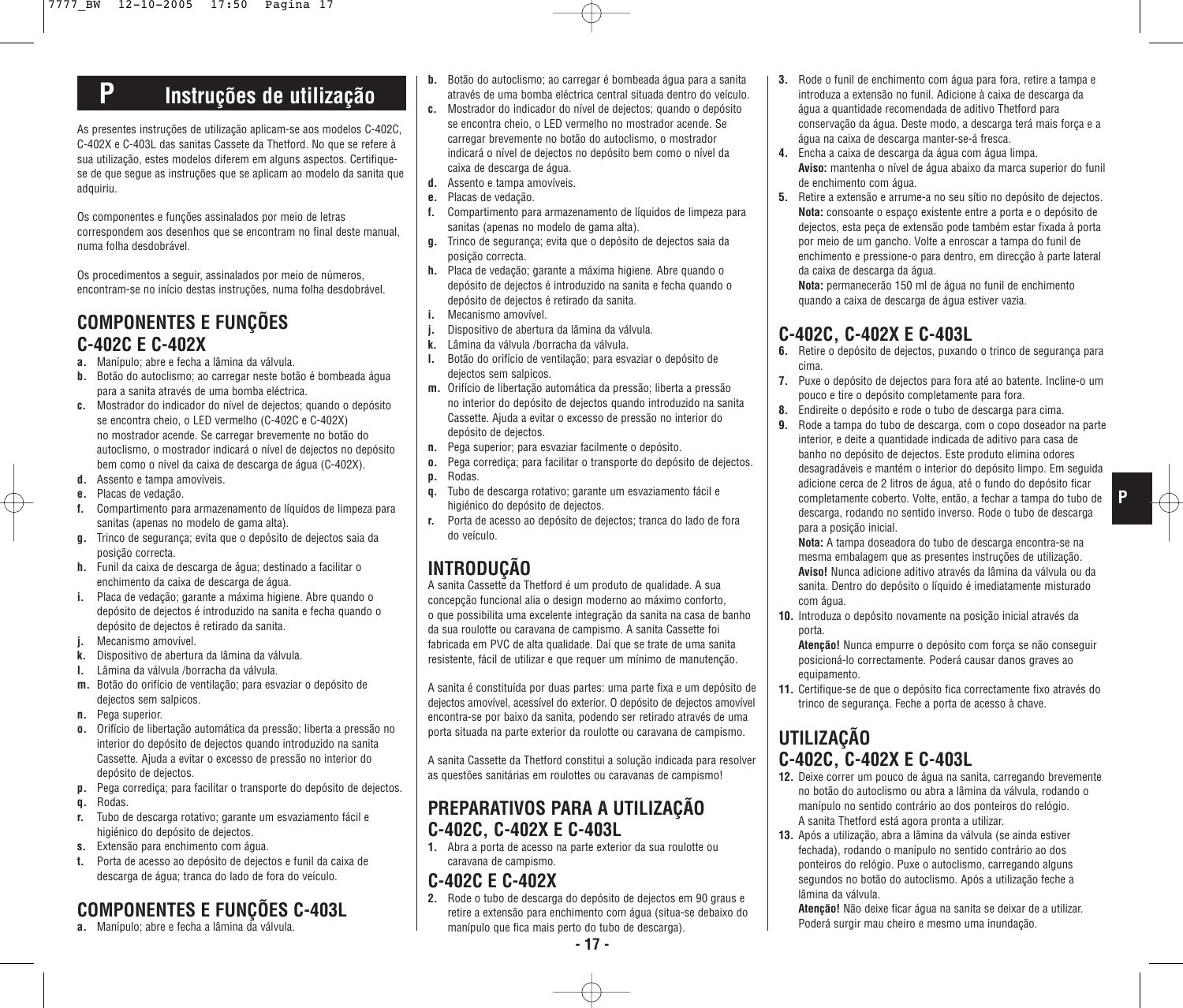# **P Instruções de utilização**

As presentes instruções de utilização aplicam-se aos modelos C-402C, C-402X e C-403L das sanitas Cassete da Thetford. No que se refere à sua utilização, estes modelos diferem em alguns aspectos. Certifiquese de que segue as instruções que se aplicam ao modelo da sanita que adquiriu.

Os componentes e funções assinalados por meio de letras correspondem aos desenhos que se encontram no final deste manual, numa folha desdobrável.

Os procedimentos a seguir, assinalados por meio de números, encontram-se no início destas instruções, numa folha desdobrável.

### **COMPONENTES E FUNÇÕES C-402C E C-402X**

- **a.** Manípulo; abre e fecha a lâmina da válvula.
- **b.** Botão do autoclismo; ao carregar neste botão é bombeada água para a sanita através de uma bomba eléctrica.
- **c.** Mostrador do indicador do nível de dejectos; quando o depósito se encontra cheio, o LED vermelho (C-402C e C-402X) no mostrador acende. Se carregar brevemente no botão do autoclismo, o mostrador indicará o nível de dejectos no depósito bem como o nível da caixa de descarga de água (C-402X).
- **d.** Assento e tampa amovíveis.
- **e.** Placas de vedação.
- **f.** Compartimento para armazenamento de líquidos de limpeza para sanitas (apenas no modelo de gama alta).
- **g.** Trinco de segurança; evita que o depósito de dejectos saia da posição correcta.
- **h.** Funil da caixa de descarga de água; destinado a facilitar o enchimento da caixa de descarga de água.
- **i.** Placa de vedação; garante a máxima higiene. Abre quando o depósito de dejectos é introduzido na sanita e fecha quando o depósito de dejectos é retirado da sanita.
- **j.** Mecanismo amovível.
- **k.** Dispositivo de abertura da lâmina da válvula.
- **l.** Lâmina da válvula /borracha da válvula.
- **m.** Botão do orifício de ventilação; para esvaziar o depósito de dejectos sem salpicos.
- **n.** Pega superior.
- **o.** Orifício de libertação automática da pressão; liberta a pressão no interior do depósito de dejectos quando introduzido na sanita Cassette. Ajuda a evitar o excesso de pressão no interior do depósito de dejectos.
- **p.** Pega corrediça; para facilitar o transporte do depósito de dejectos.
- **q.** Rodas.
- **r.** Tubo de descarga rotativo; garante um esvaziamento fácil e higiénico do depósito de dejectos.
- **s.** Extensão para enchimento com água.
- **t.** Porta de acesso ao depósito de dejectos e funil da caixa de descarga de água; tranca do lado de fora do veículo.

# **COMPONENTES E FUNÇÕES C-403L**

**a.** Manípulo; abre e fecha a lâmina da válvula.

- **b.** Botão do autoclismo; ao carregar é bombeada água para a sanita através de uma bomba eléctrica central situada dentro do veículo.
- **c.** Mostrador do indicador do nível de dejectos; quando o depósito se encontra cheio, o LED vermelho no mostrador acende. Se carregar brevemente no botão do autoclismo, o mostrador indicará o nível de dejectos no depósito bem como o nível da caixa de descarga de água.
- **d.** Assento e tampa amovíveis.
- **e.** Placas de vedação.
- **f.** Compartimento para armazenamento de líquidos de limpeza para sanitas (apenas no modelo de gama alta).
- **g.** Trinco de segurança; evita que o depósito de dejectos saia da posição correcta.
- **h.** Placa de vedação; garante a máxima higiene. Abre quando o depósito de dejectos é introduzido na sanita e fecha quando o depósito de dejectos é retirado da sanita.
- **i.** Mecanismo amovível.
- **j.** Dispositivo de abertura da lâmina da válvula.
- **k.** Lâmina da válvula /borracha da válvula.
- **l.** Botão do orifício de ventilação; para esvaziar o depósito de dejectos sem salpicos.
- **m.** Orifício de libertação automática da pressão; liberta a pressão no interior do depósito de dejectos quando introduzido na sanita Cassette. Ajuda a evitar o excesso de pressão no interior do depósito de dejectos.
- **n.** Pega superior; para esvaziar facilmente o depósito.
- **o.** Pega corrediça; para facilitar o transporte do depósito de dejectos. **p.** Rodas.
- **q.** Tubo de descarga rotativo; garante um esvaziamento fácil e higiénico do depósito de dejectos.
- **r.** Porta de acesso ao depósito de dejectos; tranca do lado de fora do veículo.

## **INTRODUÇÃO**

A sanita Cassette da Thetford é um produto de qualidade. A sua concepção funcional alia o design moderno ao máximo conforto, o que possibilita uma excelente integração da sanita na casa de banho da sua roulotte ou caravana de campismo. A sanita Cassette foi fabricada em PVC de alta qualidade. Daí que se trate de uma sanita resistente, fácil de utilizar e que requer um mínimo de manutenção.

A sanita é constituída por duas partes: uma parte fixa e um depósito de dejectos amovível, acessível do exterior. O depósito de dejectos amovível encontra-se por baixo da sanita, podendo ser retirado através de uma porta situada na parte exterior da roulotte ou caravana de campismo.

A sanita Cassette da Thetford constitui a solução indicada para resolver as questões sanitárias em roulottes ou caravanas de campismo!

### **PREPARATIVOS PARA A UTILIZAÇÃO C-402C, C-402X E C-403L**

**1.** Abra a porta de acesso na parte exterior da sua roulotte ou caravana de campismo.

#### **C-402C E C-402X**

**2.** Rode o tubo de descarga do depósito de dejectos em 90 graus e retire a extensão para enchimento com água (situa-se debaixo do manípulo que fica mais perto do tubo de descarga).

- **3.** Rode o funil de enchimento com água para fora, retire a tampa e introduza a extensão no funil. Adicione à caixa de descarga da água a quantidade recomendada de aditivo Thetford para conservação da água. Deste modo, a descarga terá mais força e a água na caixa de descarga manter-se-á fresca.
- **4.** Encha a caixa de descarga da água com água limpa. **Aviso:** mantenha o nível de água abaixo da marca superior do funil de enchimento com água.
- **5.** Retire a extensão e arrume-a no seu sítio no depósito de dejectos. **Nota:** consoante o espaço existente entre a porta e o depósito de dejectos, esta peça de extensão pode também estar fixada à porta por meio de um gancho. Volte a enroscar a tampa do funil de enchimento e pressione-o para dentro, em direcção à parte lateral da caixa de descarga da água.

**Nota:** permanecerão 150 ml de água no funil de enchimento quando a caixa de descarga de água estiver vazia.

### **C-402C, C-402X E C-403L**

- **6.** Retire o depósito de dejectos, puxando o trinco de segurança para cima.
- **7.** Puxe o depósito de dejectos para fora até ao batente. Incline-o um pouco e tire o depósito completamente para fora.
- **8.** Endireite o depósito e rode o tubo de descarga para cima.
- **9.** Rode a tampa do tubo de descarga, com o copo doseador na parte interior, e deite a quantidade indicada de aditivo para casa de banho no depósito de dejectos. Este produto elimina odores desagradáveis e mantém o interior do depósito limpo. Em seguida adicione cerca de 2 litros de água, até o fundo do depósito ficar completamente coberto. Volte, então, a fechar a tampa do tubo de descarga, rodando no sentido inverso. Rode o tubo de descarga para a posição inicial.

**P**

**Nota:** A tampa doseadora do tubo de descarga encontra-se na mesma embalagem que as presentes instruções de utilização. **Aviso!** Nunca adicione aditivo através da lâmina da válvula ou da sanita. Dentro do depósito o líquido é imediatamente misturado com água.

- **10.** Introduza o depósito novamente na posição inicial através da porta.
	- **Atenção!** Nunca empurre o depósito com força se não conseguir posicioná-lo correctamente. Poderá causar danos graves ao equipamento.
- **11.** Certifique-se de que o depósito fica correctamente fixo através do trinco de segurança. Feche a porta de acesso à chave.

## **UTILIZAÇÃO C-402C, C-402X E C-403L**

- **12.** Deixe correr um pouco de água na sanita, carregando brevemente no botão do autoclismo ou abra a lâmina da válvula, rodando o manípulo no sentido contrário ao dos ponteiros do relógio. A sanita Thetford está agora pronta a utilizar.
- **13.** Após a utilização, abra a lâmina da válvula (se ainda estiver fechada), rodando o manípulo no sentido contrário ao dos ponteiros do relógio. Puxe o autoclismo, carregando alguns segundos no botão do autoclismo. Após a utilização feche a lâmina da válvula.

**Atenção!** Não deixe ficar água na sanita se deixar de a utilizar. Poderá surgir mau cheiro e mesmo uma inundação.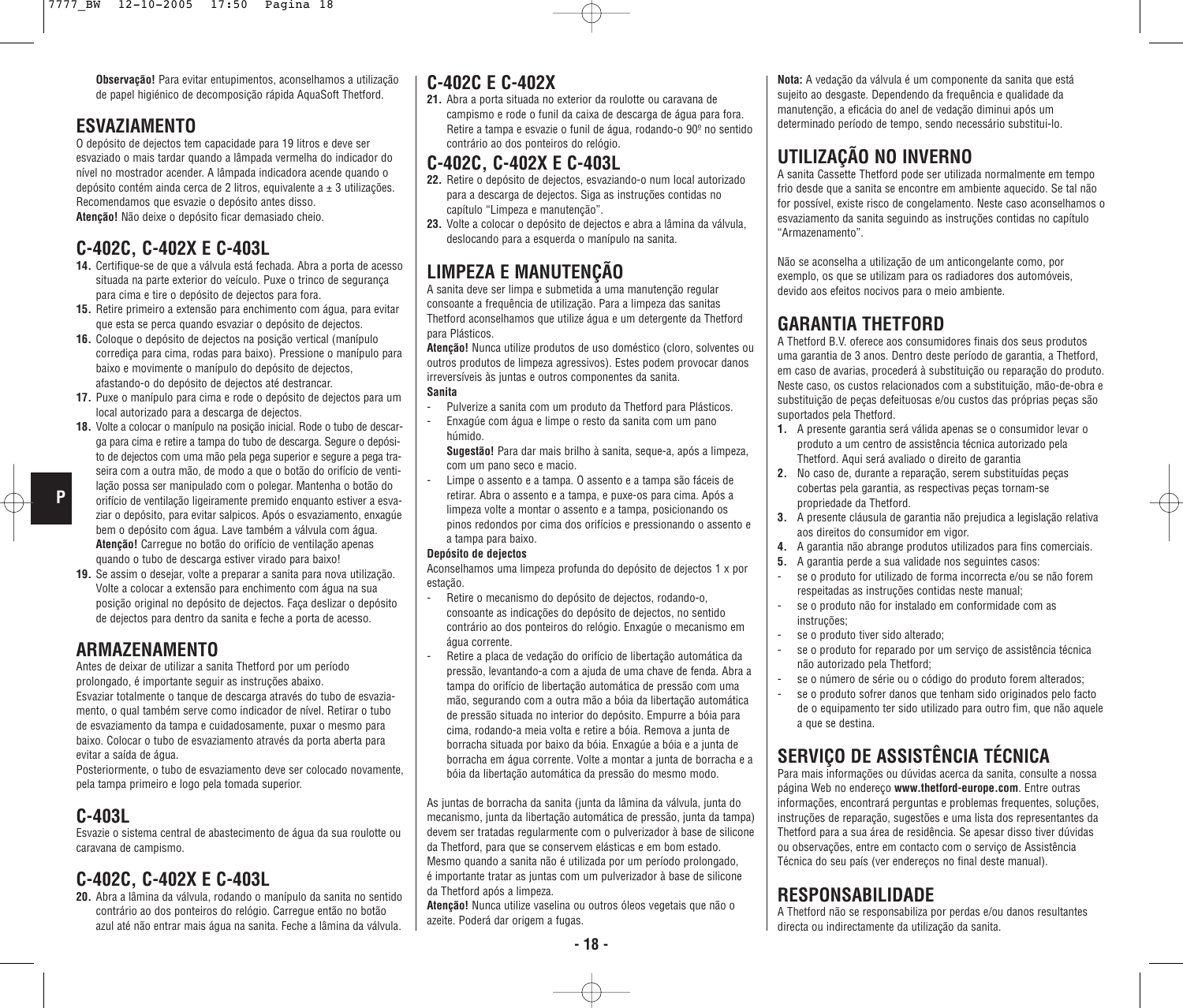**Observação!** Para evitar entupimentos, aconselhamos a utilização de papel higiénico de decomposição rápida AquaSoft Thetford.

### **ESVAZIAMENTO**

O depósito de dejectos tem capacidade para 19 litros e deve ser esvaziado o mais tardar quando a lâmpada vermelha do indicador do nível no mostrador acender. A lâmpada indicadora acende quando o depósito contém ainda cerca de 2 litros, equivalente a  $\pm$  3 utilizações. Recomendamos que esvazie o depósito antes disso. **Atenção!** Não deixe o depósito ficar demasiado cheio.

### **C-402C, C-402X E C-403L**

- **14.** Certifique-se de que a válvula está fechada. Abra a porta de acesso situada na parte exterior do veículo. Puxe o trinco de segurança para cima e tire o depósito de dejectos para fora.
- **15.** Retire primeiro a extensão para enchimento com água, para evitar que esta se perca quando esvaziar o depósito de dejectos.
- **16.** Coloque o depósito de dejectos na posição vertical (manípulo corrediça para cima, rodas para baixo). Pressione o manípulo para baixo e movimente o manípulo do depósito de dejectos, afastando-o do depósito de dejectos até destrancar.
- **17.** Puxe o manípulo para cima e rode o depósito de dejectos para um local autorizado para a descarga de dejectos.
- **18.** Volte a colocar o manípulo na posição inicial. Rode o tubo de descarga para cima e retire a tampa do tubo de descarga. Segure o depósito de dejectos com uma mão pela pega superior e segure a pega traseira com a outra mão, de modo a que o botão do orifício de ventilação possa ser manipulado com o polegar. Mantenha o botão do orifício de ventilação ligeiramente premido enquanto estiver a esvaziar o depósito, para evitar salpicos. Após o esvaziamento, enxagúe bem o depósito com água. Lave também a válvula com água. **Atenção!** Carregue no botão do orifício de ventilação apenas quando o tubo de descarga estiver virado para baixo!
- **19.** Se assim o desejar, volte a preparar a sanita para nova utilização. Volte a colocar a extensão para enchimento com água na sua posição original no depósito de dejectos. Faça deslizar o depósito de dejectos para dentro da sanita e feche a porta de acesso.

### **ARMAZENAMENTO**

Antes de deixar de utilizar a sanita Thetford por um período

prolongado, é importante seguir as instruções abaixo. Esvaziar totalmente o tanque de descarga através do tubo de esvaziamento, o qual também serve como indicador de nível. Retirar o tubo de esvaziamento da tampa e cuidadosamente, puxar o mesmo para baixo. Colocar o tubo de esvaziamento através da porta aberta para evitar a saída de água.

Posteriormente, o tubo de esvaziamento deve ser colocado novamente, pela tampa primeiro e logo pela tomada superior.

### **C-403L**

**P**

Esvazie o sistema central de abastecimento de água da sua roulotte ou caravana de campismo.

### **C-402C, C-402X E C-403L**

**20.** Abra a lâmina da válvula, rodando o manípulo da sanita no sentido contrário ao dos ponteiros do relógio. Carregue então no botão azul até não entrar mais água na sanita. Feche a lâmina da válvula.

### **C-402C E C-402X**

**21.** Abra a porta situada no exterior da roulotte ou caravana de campismo e rode o funil da caixa de descarga de água para fora. Retire a tampa e esvazie o funil de água, rodando-o 90º no sentido contrário ao dos ponteiros do relógio.

#### **C-402C, C-402X E C-403L**

- **22.** Retire o depósito de dejectos, esvaziando-o num local autorizado para a descarga de dejectos. Siga as instruções contidas no capítulo "Limpeza e manutenção".
- **23.** Volte a colocar o depósito de dejectos e abra a lâmina da válvula, deslocando para a esquerda o manípulo na sanita.

## **LIMPEZA E MANUTENÇÃO**

A sanita deve ser limpa e submetida a uma manutenção regular consoante a frequência de utilização. Para a limpeza das sanitas Thetford aconselhamos que utilize água e um detergente da Thetford para Plásticos.

**Atenção!** Nunca utilize produtos de uso doméstico (cloro, solventes ou outros produtos de limpeza agressivos). Estes podem provocar danos irreversíveis às juntas e outros componentes da sanita. **Sanita**

- Pulverize a sanita com um produto da Thetford para Plásticos.
- Enxagúe com água e limpe o resto da sanita com um pano húmido.

**Sugestão!** Para dar mais brilho à sanita, seque-a, após a limpeza, com um pano seco e macio.

Limpe o assento e a tampa. O assento e a tampa são fáceis de retirar. Abra o assento e a tampa, e puxe-os para cima. Após a limpeza volte a montar o assento e a tampa, posicionando os pinos redondos por cima dos orifícios e pressionando o assento e a tampa para baixo.

#### **Depósito de dejectos**

Aconselhamos uma limpeza profunda do depósito de dejectos 1 x por estação.

- Retire o mecanismo do depósito de dejectos, rodando-o, consoante as indicações do depósito de dejectos, no sentido contrário ao dos ponteiros do relógio. Enxagúe o mecanismo em água corrente.
- Retire a placa de vedação do orifício de libertação automática da pressão, levantando-a com a ajuda de uma chave de fenda. Abra a tampa do orifício de libertação automática de pressão com uma mão, segurando com a outra mão a bóia da libertação automática de pressão situada no interior do depósito. Empurre a bóia para cima, rodando-a meia volta e retire a bóia. Remova a junta de borracha situada por baixo da bóia. Enxagúe a bóia e a junta de borracha em água corrente. Volte a montar a junta de borracha e a bóia da libertação automática da pressão do mesmo modo.

As juntas de borracha da sanita (junta da lâmina da válvula, junta do mecanismo, junta da libertação automática de pressão, junta da tampa) devem ser tratadas regularmente com o pulverizador à base de silicone da Thetford, para que se conservem elásticas e em bom estado. Mesmo quando a sanita não é utilizada por um período prolongado, é importante tratar as juntas com um pulverizador à base de silicone da Thetford após a limpeza.

**Atenção!** Nunca utilize vaselina ou outros óleos vegetais que não o azeite. Poderá dar origem a fugas.

**Nota:** A vedação da válvula é um componente da sanita que está sujeito ao desgaste. Dependendo da frequência e qualidade da manutenção, a eficácia do anel de vedação diminui após um determinado período de tempo, sendo necessário substitui-lo.

# **UTILIZAÇÃO NO INVERNO**

A sanita Cassette Thetford pode ser utilizada normalmente em tempo frio desde que a sanita se encontre em ambiente aquecido. Se tal não for possível, existe risco de congelamento. Neste caso aconselhamos o esvaziamento da sanita seguindo as instruções contidas no capítulo "Armazenamento".

Não se aconselha a utilização de um anticongelante como, por exemplo, os que se utilizam para os radiadores dos automóveis, devido aos efeitos nocivos para o meio ambiente.

### **GARANTIA THETFORD**

A Thetford B.V. oferece aos consumidores finais dos seus produtos uma garantia de 3 anos. Dentro deste período de garantia, a Thetford, em caso de avarias, procederá à substituição ou reparação do produto. Neste caso, os custos relacionados com a substituição, mão-de-obra e substituição de peças defeituosas e/ou custos das próprias peças são suportados pela Thetford.

- **1.** A presente garantia será válida apenas se o consumidor levar o produto a um centro de assistência técnica autorizado pela Thetford. Aqui será avaliado o direito de garantia
- **2.** No caso de, durante a reparação, serem substituídas peças cobertas pela garantia, as respectivas peças tornam-se propriedade da Thetford.
- **3.** A presente cláusula de garantia não prejudica a legislação relativa aos direitos do consumidor em vigor.
- **4.** A garantia não abrange produtos utilizados para fins comerciais.
- **5.** A garantia perde a sua validade nos seguintes casos:
- se o produto for utilizado de forma incorrecta e/ou se não forem respeitadas as instruções contidas neste manual;
- se o produto não for instalado em conformidade com as instruções;
- se o produto tiver sido alterado;
- se o produto for reparado por um serviço de assistência técnica não autorizado pela Thetford;
- se o número de série ou o código do produto forem alterados;
- se o produto sofrer danos que tenham sido originados pelo facto de o equipamento ter sido utilizado para outro fim, que não aquele a que se destina.

## **SERVIÇO DE ASSISTÊNCIA TÉCNICA**

Para mais informações ou dúvidas acerca da sanita, consulte a nossa página Web no endereço **www.thetford-europe.com**. Entre outras informações, encontrará perguntas e problemas frequentes, soluções, instruções de reparação, sugestões e uma lista dos representantes da Thetford para a sua área de residência. Se apesar disso tiver dúvidas ou observações, entre em contacto com o serviço de Assistência Técnica do seu país (ver endereços no final deste manual).

### **RESPONSABILIDADE**

A Thetford não se responsabiliza por perdas e/ou danos resultantes directa ou indirectamente da utilização da sanita.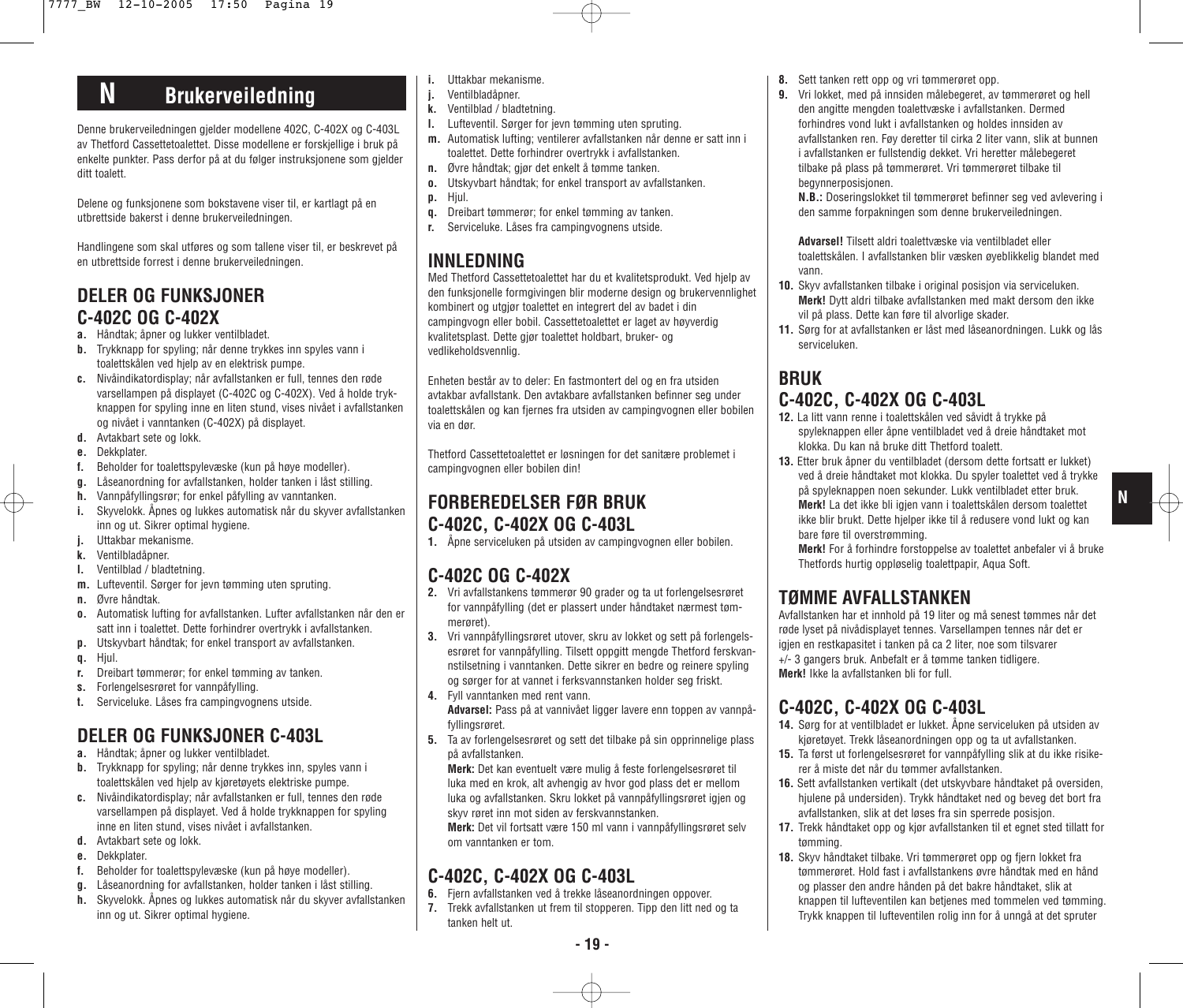# **N Brukerveiledning**

Denne brukerveiledningen gjelder modellene 402C, C-402X og C-403L av Thetford Cassettetoalettet. Disse modellene er forskjellige i bruk på enkelte punkter. Pass derfor på at du følger instruksjonene som gjelder ditt toalett.

Delene og funksjonene som bokstavene viser til, er kartlagt på en utbrettside bakerst i denne brukerveiledningen.

Handlingene som skal utføres og som tallene viser til, er beskrevet på en utbrettside forrest i denne brukerveiledningen.

### **DELER OG FUNKSJONER C-402C OG C-402X**

- **a.** Håndtak; åpner og lukker ventilbladet.
- **b.** Trykknapp for spyling; når denne trykkes inn spyles vann i toalettskålen ved hjelp av en elektrisk pumpe.
- **c.** Nivåindikatordisplay; når avfallstanken er full, tennes den røde varsellampen på displayet (C-402C og C-402X). Ved å holde trykknappen for spyling inne en liten stund, vises nivået i avfallstanken og nivået i vanntanken (C-402X) på displayet.
- **d.** Avtakbart sete og lokk.
- **e.** Dekkplater.
- **f.** Beholder for toalettspylevæske (kun på høye modeller).
- **g.** Låseanordning for avfallstanken, holder tanken i låst stilling.
- **h.** Vannpåfyllingsrør; for enkel påfylling av vanntanken.
- **i.** Skyvelokk. Åpnes og lukkes automatisk når du skyver avfallstanken inn og ut. Sikrer optimal hygiene.
- **j.** Uttakbar mekanisme.
- **k.** Ventilbladåpner.
- **l.** Ventilblad / bladtetning.
- **m.** Lufteventil. Sørger for jevn tømming uten spruting.
- **n.** Øvre håndtak.
- **o.** Automatisk lufting for avfallstanken. Lufter avfallstanken når den er satt inn i toalettet. Dette forhindrer overtrykk i avfallstanken.
- **p.** Utskyvbart håndtak; for enkel transport av avfallstanken.
- **q.** Hjul.
- **r.** Dreibart tømmerør; for enkel tømming av tanken.
- **s.** Forlengelsesrøret for vannpåfylling.
- **t.** Serviceluke. Låses fra campingvognens utside.

### **DELER OG FUNKSJONER C-403L**

- **a.** Håndtak; åpner og lukker ventilbladet.
- **b.** Trykknapp for spyling; når denne trykkes inn, spyles vann i toalettskålen ved hielp av kjøretøyets elektriske pumpe.
- **c.** Nivåindikatordisplay; når avfallstanken er full, tennes den røde varsellampen på displayet. Ved å holde trykknappen for spyling inne en liten stund, vises nivået i avfallstanken.
- **d.** Avtakbart sete og lokk.
- **e.** Dekkplater.
- **f.** Beholder for toalettspylevæske (kun på høye modeller).
- **g.** Låseanordning for avfallstanken, holder tanken i låst stilling.
- **h.** Skyvelokk. Åpnes og lukkes automatisk når du skyver avfallstanken inn og ut. Sikrer optimal hygiene.
- **i.** Uttakbar mekanisme.
- **j.** Ventilbladåpner.
- **k.** Ventilblad / bladtetning.
- **l.** Lufteventil. Sørger for jevn tømming uten spruting.
- **m.** Automatisk lufting; ventilerer avfallstanken når denne er satt inn i toalettet. Dette forhindrer overtrykk i avfallstanken.
- **n.** Øvre håndtak; gjør det enkelt å tømme tanken.
- **o.** Utskyvbart håndtak; for enkel transport av avfallstanken.
- **p.** Hjul.
- **q.** Dreibart tømmerør; for enkel tømming av tanken. **r.** Serviceluke. Låses fra campingvognens utside.
- **INNLEDNING**

Med Thetford Cassettetoalettet har du et kvalitetsprodukt. Ved hjelp av den funksjonelle formgivingen blir moderne design og brukervennlighet kombinert og utgjør toalettet en integrert del av badet i din campingvogn eller bobil. Cassettetoalettet er laget av høyverdig kvalitetsplast. Dette gjør toalettet holdbart, bruker- og vedlikeholdsvennlig.

Enheten består av to deler: En fastmontert del og en fra utsiden avtakbar avfallstank. Den avtakbare avfallstanken befinner seg under toalettskålen og kan fjernes fra utsiden av campingvognen eller bobilen via en dør.

Thetford Cassettetoalettet er løsningen for det sanitære problemet i campingvognen eller bobilen din!

### **FORBEREDELSER FØR BRUK C-402C, C-402X OG C-403L**

**1.** Åpne serviceluken på utsiden av campingvognen eller bobilen.

### **C-402C OG C-402X**

- **2.** Vri avfallstankens tømmerør 90 grader og ta ut forlengelsesrøret for vannpåfylling (det er plassert under håndtaket nærmest tømmerøret).
- **3.** Vri vannpåfyllingsrøret utover, skru av lokket og sett på forlengelsesrøret for vannpåfylling. Tilsett oppgitt mengde Thetford ferskvannstilsetning i vanntanken. Dette sikrer en bedre og reinere spyling og sørger for at vannet i ferksvannstanken holder seg friskt.
- **4.** Fyll vanntanken med rent vann.
- **Advarsel:** Pass på at vannivået ligger lavere enn toppen av vannpåfyllingsrøret.
- **5.** Ta av forlengelsesrøret og sett det tilbake på sin opprinnelige plass på avfallstanken.

**Merk:** Det kan eventuelt være mulig å feste forlengelsesrøret til luka med en krok, alt avhengig av hvor god plass det er mellom luka og avfallstanken. Skru lokket på vannpåfyllingsrøret igjen og skyv røret inn mot siden av ferskvannstanken.

**Merk:** Det vil fortsatt være 150 ml vann i vannpåfyllingsrøret selv om vanntanken er tom.

## **C-402C, C-402X OG C-403L**

- **6.** Fiern avfallstanken ved å trekke låseanordningen oppover.
- **7.** Trekk avfallstanken ut frem til stopperen. Tipp den litt ned og ta tanken helt ut.
- **8.** Sett tanken rett opp og vri tømmerøret opp.
- **9.** Vri lokket, med på innsiden målebegeret, av tømmerøret og hell den angitte mengden toalettvæske i avfallstanken. Dermed forhindres vond lukt i avfallstanken og holdes innsiden av avfallstanken ren. Føy deretter til cirka 2 liter vann, slik at bunnen i avfallstanken er fullstendig dekket. Vri heretter målebegeret tilbake på plass på tømmerøret. Vri tømmerøret tilbake til begynnerposisjonen.

**N.B.:** Doseringslokket til tømmerøret befinner seg ved avlevering i den samme forpakningen som denne brukerveiledningen.

**Advarsel!** Tilsett aldri toalettvæske via ventilbladet eller toalettskålen. I avfallstanken blir væsken øyeblikkelig blandet med vann.

- **10.** Skyv avfallstanken tilbake i original posisjon via serviceluken. **Merk!** Dytt aldri tilbake avfallstanken med makt dersom den ikke vil på plass. Dette kan føre til alvorlige skader.
- **11.** Sørg for at avfallstanken er låst med låseanordningen. Lukk og lås serviceluken.

### **BRUK C-402C, C-402X OG C-403L**

- **12.** La litt vann renne i toalettskålen ved såvidt å trykke på spyleknappen eller åpne ventilbladet ved å dreie håndtaket mot klokka. Du kan nå bruke ditt Thetford toalett.
- **13.** Etter bruk åpner du ventilbladet (dersom dette fortsatt er lukket) ved å dreie håndtaket mot klokka. Du spyler toalettet ved å trykke på spyleknappen noen sekunder. Lukk ventilbladet etter bruk. **Merk!** La det ikke bli igjen vann i toalettskålen dersom toalettet ikke blir brukt. Dette hjelper ikke til å redusere vond lukt og kan bare føre til overstrømming.

**Merk!** For å forhindre forstoppelse av toalettet anbefaler vi å bruke Thetfords hurtig oppløselig toalettpapir, Aqua Soft.

## **TØMME AVFALLSTANKEN**

Avfallstanken har et innhold på 19 liter og må senest tømmes når det røde lyset på nivådisplayet tennes. Varsellampen tennes når det er igjen en restkapasitet i tanken på ca 2 liter, noe som tilsvarer +/- 3 gangers bruk. Anbefalt er å tømme tanken tidligere. **Merk!** Ikke la avfallstanken bli for full.

## **C-402C, C-402X OG C-403L**

- **14.** Sørg for at ventilbladet er lukket. Åpne serviceluken på utsiden av kjøretøyet. Trekk låseanordningen opp og ta ut avfallstanken.
- **15.** Ta først ut forlengelsesrøret for vannpåfylling slik at du ikke risikerer å miste det når du tømmer avfallstanken.
- **16.** Sett avfallstanken vertikalt (det utskyvbare håndtaket på oversiden, hjulene på undersiden). Trykk håndtaket ned og beveg det bort fra avfallstanken, slik at det løses fra sin sperrede posisjon.
- **17.** Trekk håndtaket opp og kjør avfallstanken til et egnet sted tillatt for tømming.
- **18.** Skyv håndtaket tilbake. Vri tømmerøret opp og fjern lokket fra tømmerøret. Hold fast i avfallstankens øvre håndtak med en hånd og plasser den andre hånden på det bakre håndtaket, slik at knappen til lufteventilen kan betjenes med tommelen ved tømming. Trykk knappen til lufteventilen rolig inn for å unngå at det spruter

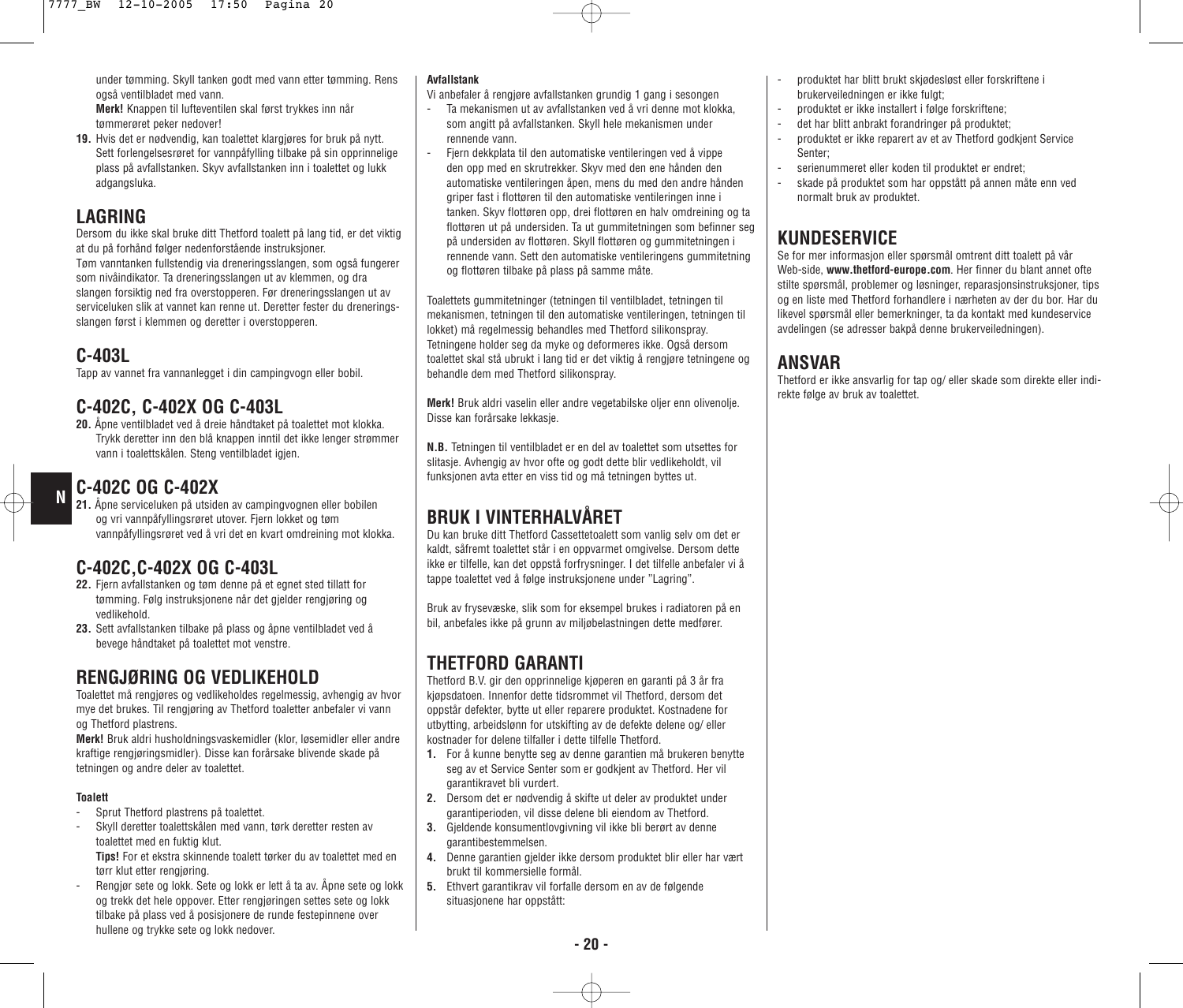under tømming. Skyll tanken godt med vann etter tømming. Rens også ventilbladet med vann.

**Merk!** Knappen til lufteventilen skal først trykkes inn når tømmerøret peker nedover!

**19.** Hvis det er nødvendig, kan toalettet klargjøres for bruk på nytt. Sett forlengelsesrøret for vannpåfylling tilbake på sin opprinnelige plass på avfallstanken. Skyv avfallstanken inn i toalettet og lukk adgangsluka.

#### **LAGRING**

Dersom du ikke skal bruke ditt Thetford toalett på lang tid, er det viktig at du på forhånd følger nedenforstående instruksjoner. Tøm vanntanken fullstendig via dreneringsslangen, som også fungerer

som nivåindikator. Ta dreneringsslangen ut av klemmen, og dra slangen forsiktig ned fra overstopperen. Før dreneringsslangen ut av serviceluken slik at vannet kan renne ut. Deretter fester du dreneringsslangen først i klemmen og deretter i overstopperen.

### **C-403L**

**N**

Tapp av vannet fra vannanlegget i din campingvogn eller bobil.

#### **C-402C, C-402X OG C-403L**

**20.** Åpne ventilbladet ved å dreie håndtaket på toalettet mot klokka. Trykk deretter inn den blå knappen inntil det ikke lenger strømmer vann i toalettskålen. Steng ventilbladet igjen.

### **C-402C OG C-402X**

**21.** Åpne serviceluken på utsiden av campingvognen eller bobilen og vri vannpåfyllingsrøret utover. Fjern lokket og tøm vannpåfyllingsrøret ved å vri det en kvart omdreining mot klokka.

### **C-402C,C-402X OG C-403L**

- **22.** Fjern avfallstanken og tøm denne på et egnet sted tillatt for tømming. Følg instruksjonene når det gjelder rengjøring og vedlikehold.
- **23.** Sett avfallstanken tilbake på plass og åpne ventilbladet ved å bevege håndtaket på toalettet mot venstre.

### **RENGJØRING OG VEDLIKEHOLD**

Toalettet må rengjøres og vedlikeholdes regelmessig, avhengig av hvor mye det brukes. Til rengjøring av Thetford toaletter anbefaler vi vann og Thetford plastrens.

**Merk!** Bruk aldri husholdningsvaskemidler (klor, løsemidler eller andre kraftige rengjøringsmidler). Disse kan forårsake blivende skade på tetningen og andre deler av toalettet.

#### **Toalett**

- Sprut Thetford plastrens på toalettet.
- Skyll deretter toalettskålen med vann, tørk deretter resten av toalettet med en fuktig klut. **Tips!** For et ekstra skinnende toalett tørker du av toalettet med en

tørr klut etter rengjøring.

- Rengjør sete og lokk. Sete og lokk er lett å ta av. Åpne sete og lokk og trekk det hele oppover. Etter rengjøringen settes sete og lokk tilbake på plass ved å posisjonere de runde festepinnene over hullene og trykke sete og lokk nedover.

#### **Avfallstank**

Vi anbefaler å rengjøre avfallstanken grundig 1 gang i sesongen

- Ta mekanismen ut av avfallstanken ved å vri denne mot klokka, som angitt på avfallstanken. Skyll hele mekanismen under rennende vann.
- Fjern dekkplata til den automatiske ventileringen ved å vippe den opp med en skrutrekker. Skyv med den ene hånden den automatiske ventileringen åpen, mens du med den andre hånden griper fast i flottøren til den automatiske ventileringen inne i tanken. Skyv flottøren opp, drei flottøren en halv omdreining og ta flottøren ut på undersiden. Ta ut gummitetningen som befinner seg på undersiden av flottøren. Skyll flottøren og gummitetningen i rennende vann. Sett den automatiske ventileringens gummitetning og flottøren tilbake på plass på samme måte.

Toalettets gummitetninger (tetningen til ventilbladet, tetningen til mekanismen, tetningen til den automatiske ventileringen, tetningen til lokket) må regelmessig behandles med Thetford silikonspray. Tetningene holder seg da myke og deformeres ikke. Også dersom toalettet skal stå ubrukt i lang tid er det viktig å rengjøre tetningene og behandle dem med Thetford silikonspray.

**Merk!** Bruk aldri vaselin eller andre vegetabilske oljer enn olivenolje. Disse kan forårsake lekkasje.

**N.B.** Tetningen til ventilbladet er en del av toalettet som utsettes for slitasje. Avhengig av hvor ofte og godt dette blir vedlikeholdt, vil funksjonen avta etter en viss tid og må tetningen byttes ut.

### **BRUK I VINTERHALVÅRET**

Du kan bruke ditt Thetford Cassettetoalett som vanlig selv om det er kaldt, såfremt toalettet står i en oppvarmet omgivelse. Dersom dette ikke er tilfelle, kan det oppstå forfrysninger. I det tilfelle anbefaler vi å tappe toalettet ved å følge instruksjonene under "Lagring".

Bruk av frysevæske, slik som for eksempel brukes i radiatoren på en bil, anbefales ikke på grunn av miljøbelastningen dette medfører.

### **THETFORD GARANTI**

Thetford B.V. gir den opprinnelige kjøperen en garanti på 3 år fra kjøpsdatoen. Innenfor dette tidsrommet vil Thetford, dersom det oppstår defekter, bytte ut eller reparere produktet. Kostnadene for utbytting, arbeidslønn for utskifting av de defekte delene og/ eller kostnader for delene tilfaller i dette tilfelle Thetford.

- **1.** For å kunne benytte seg av denne garantien må brukeren benytte seg av et Service Senter som er godkjent av Thetford. Her vil garantikravet bli vurdert.
- **2.** Dersom det er nødvendig å skifte ut deler av produktet under garantiperioden, vil disse delene bli eiendom av Thetford.
- **3.** Gjeldende konsumentlovgivning vil ikke bli berørt av denne garantibestemmelsen.
- **4.** Denne garantien gjelder ikke dersom produktet blir eller har vært brukt til kommersielle formål.
- **5.** Ethvert garantikrav vil forfalle dersom en av de følgende situasjonene har oppstått:
- produktet har blitt brukt skjødesløst eller forskriftene i brukerveiledningen er ikke fulgt;
- produktet er ikke installert i følge forskriftene;
- det har blitt anbrakt forandringer på produktet;
- produktet er ikke reparert av et av Thetford godkjent Service Senter;
- serienummeret eller koden til produktet er endret:
- skade på produktet som har oppstått på annen måte enn ved normalt bruk av produktet.

### **KUNDESERVICE**

Se for mer informasjon eller spørsmål omtrent ditt toalett på vår Web-side, **www.thetford-europe.com**. Her finner du blant annet ofte stilte spørsmål, problemer og løsninger, reparasjonsinstruksjoner, tips og en liste med Thetford forhandlere i nærheten av der du bor. Har du likevel spørsmål eller bemerkninger, ta da kontakt med kundeservice avdelingen (se adresser bakpå denne brukerveiledningen).

### **ANSVAR**

Thetford er ikke ansvarlig for tap og/ eller skade som direkte eller indirekte følge av bruk av toalettet.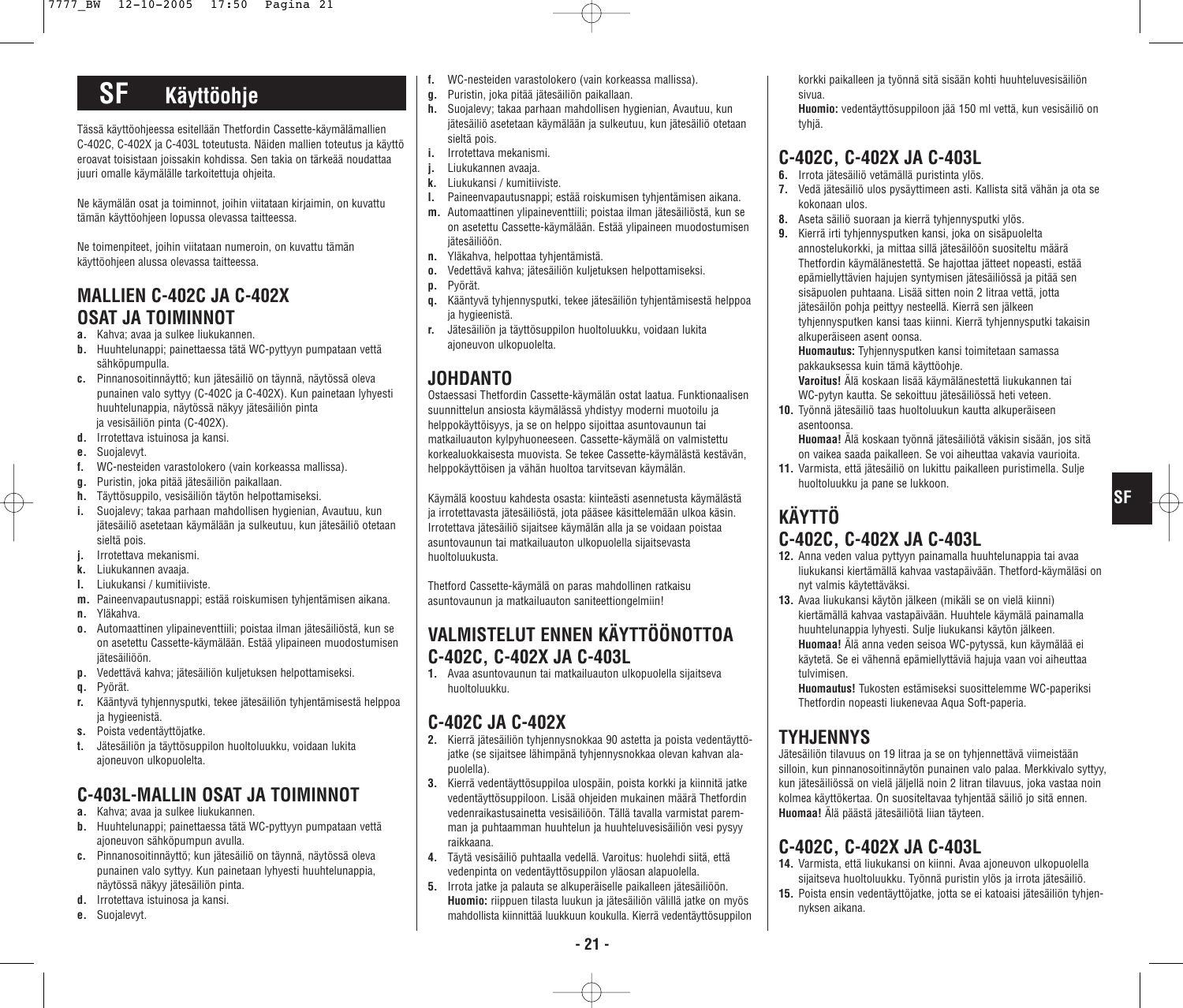# **SF Käyttöohje**

Tässä käyttöohjeessa esitellään Thetfordin Cassette-käymälämallien C-402C, C-402X ja C-403L toteutusta. Näiden mallien toteutus ja käyttö eroavat toisistaan joissakin kohdissa. Sen takia on tärkeää noudattaa juuri omalle käymälälle tarkoitettuja ohjeita.

Ne käymälän osat ja toiminnot, joihin viitataan kirjaimin, on kuvattu tämän käyttöohjeen lopussa olevassa taitteessa.

Ne toimenpiteet, joihin viitataan numeroin, on kuvattu tämän käyttöohjeen alussa olevassa taitteessa.

### **MALLIEN C-402C JA C-402X OSAT JA TOIMINNOT**

- **a.** Kahva; avaa ja sulkee liukukannen.
- **b.** Huuhtelunappi; painettaessa tätä WC-pyttyyn pumpataan vettä sähköpumpulla.
- **c.** Pinnanosoitinnäyttö; kun jätesäiliö on täynnä, näytössä oleva punainen valo syttyy (C-402C ja C-402X). Kun painetaan lyhyesti huuhtelunappia, näytössä näkyy jätesäiliön pinta ja vesisäiliön pinta (C-402X).
- **d.** Irrotettava istuinosa ja kansi.
- **e.** Suojalevyt.
- **f.** WC-nesteiden varastolokero (vain korkeassa mallissa).
- **g.** Puristin, joka pitää jätesäiliön paikallaan.
- **h.** Täyttösuppilo, vesisäiliön täytön helpottamiseksi.
- **i.** Suojalevy; takaa parhaan mahdollisen hygienian, Avautuu, kun jätesäiliö asetetaan käymälään ja sulkeutuu, kun jätesäiliö otetaan sieltä pois.
- **j.** Irrotettava mekanismi.
- **k.** Liukukannen avaaja.
- **l.** Liukukansi / kumitiiviste.
- **m.** Paineenvapautusnappi; estää roiskumisen tyhjentämisen aikana.
- **n.** Yläkahva.
- **o.** Automaattinen ylipaineventtiili; poistaa ilman jätesäiliöstä, kun se on asetettu Cassette-käymälään. Estää ylipaineen muodostumisen jätesäiliöön.
- **p.** Vedettävä kahva; jätesäiliön kuljetuksen helpottamiseksi.
- **q.** Pyörät.
- **r.** Kääntyvä tyhjennysputki, tekee jätesäiliön tyhjentämisestä helppoa ja hygieenistä.
- **s.** Poista vedentäyttöjatke.
- **t.** Jätesäiliön ja täyttösuppilon huoltoluukku, voidaan lukita ajoneuvon ulkopuolelta.

### **C-403L-MALLIN OSAT JA TOIMINNOT**

- **a.** Kahva; avaa ja sulkee liukukannen.
- **b.** Huuhtelunappi; painettaessa tätä WC-pyttyyn pumpataan vettä ajoneuvon sähköpumpun avulla.
- **c.** Pinnanosoitinnäyttö; kun jätesäiliö on täynnä, näytössä oleva punainen valo syttyy. Kun painetaan lyhyesti huuhtelunappia, näytössä näkyy jätesäiliön pinta.
- **d.** Irrotettava istuinosa ja kansi.
- **e.** Suojalevyt.
- **f.** WC-nesteiden varastolokero (vain korkeassa mallissa).
- **g.** Puristin, joka pitää jätesäiliön paikallaan.
- **h.** Suojalevy; takaa parhaan mahdollisen hygienian, Avautuu, kun jätesäiliö asetetaan käymälään ja sulkeutuu, kun jätesäiliö otetaan sieltä pois.
- **i.** Irrotettava mekanismi.
- **j.** Liukukannen avaaja.
- **k.** Liukukansi / kumitiiviste.
- **l.** Paineenvapautusnappi; estää roiskumisen tyhjentämisen aikana.
- **m.** Automaattinen ylipaineventtiili; poistaa ilman jätesäiliöstä, kun se on asetettu Cassette-käymälään. Estää ylipaineen muodostumisen jätesäiliöön.
- **n.** Yläkahva, helpottaa tyhjentämistä.
- **o.** Vedettävä kahva; jätesäiliön kuljetuksen helpottamiseksi.
- **p.** Pyörät.
- **q.** Kääntyvä tyhjennysputki, tekee jätesäiliön tyhjentämisestä helppoa ia hygieenistä.
- **r.** Jätesäiliön ja täyttösuppilon huoltoluukku, voidaan lukita ajoneuvon ulkopuolelta.

### **JOHDANTO**

Ostaessasi Thetfordin Cassette-käymälän ostat laatua. Funktionaalisen suunnittelun ansiosta käymälässä yhdistyy moderni muotoilu ja helppokäyttöisyys, ja se on helppo sijoittaa asuntovaunun tai matkailuauton kylpyhuoneeseen. Cassette-käymälä on valmistettu korkealuokkaisesta muovista. Se tekee Cassette-käymälästä kestävän, helppokäyttöisen ja vähän huoltoa tarvitsevan käymälän.

Käymälä koostuu kahdesta osasta: kiinteästi asennetusta käymälästä ja irrotettavasta jätesäiliöstä, jota pääsee käsittelemään ulkoa käsin. Irrotettava jätesäiliö sijaitsee käymälän alla ja se voidaan poistaa asuntovaunun tai matkailuauton ulkopuolella sijaitsevasta huoltoluukusta.

Thetford Cassette-käymälä on paras mahdollinen ratkaisu asuntovaunun ja matkailuauton saniteettiongelmiin!

### **VALMISTELUT ENNEN KÄYTTÖÖNOTTOA C-402C, C-402X JA C-403L**

**1.** Avaa asuntovaunun tai matkailuauton ulkopuolella sijaitseva huoltoluukku.

### **C-402C JA C-402X**

- **2.** Kierrä jätesäiliön tyhjennysnokkaa 90 astetta ja poista vedentäyttöjatke (se sijaitsee lähimpänä tyhjennysnokkaa olevan kahvan alapuolella).
- **3.** Kierrä vedentäyttösuppiloa ulospäin, poista korkki ja kiinnitä jatke vedentäyttösuppiloon. Lisää ohjeiden mukainen määrä Thetfordin vedenraikastusainetta vesisäiliöön. Tällä tavalla varmistat paremman ja puhtaamman huuhtelun ja huuhteluvesisäiliön vesi pysyy raikkaana.
- **4.** Täytä vesisäiliö puhtaalla vedellä. Varoitus: huolehdi siitä, että vedenpinta on vedentäyttösuppilon yläosan alapuolella.
- **5.** Irrota jatke ja palauta se alkuperäiselle paikalleen jätesäiliöön. **Huomio:** riippuen tilasta luukun ja jätesäiliön välillä jatke on myös mahdollista kiinnittää luukkuun koukulla. Kierrä vedentäyttösuppilon

korkki paikalleen ja työnnä sitä sisään kohti huuhteluvesisäiliön sivua.

**Huomio:** vedentäyttösuppiloon jää 150 ml vettä, kun vesisäiliö on tyhjä.

### **C-402C, C-402X JA C-403L**

- **6.** Irrota jätesäiliö vetämällä puristinta ylös.
- **7.** Vedä jätesäiliö ulos pysäyttimeen asti. Kallista sitä vähän ja ota se kokonaan ulos.
- **8.** Aseta säiliö suoraan ja kierrä tyhjennysputki ylös.
- **9.** Kierrä irti tyhjennysputken kansi, joka on sisäpuolelta annostelukorkki, ja mittaa sillä jätesäilöön suositeltu määrä Thetfordin käymälänestettä. Se hajottaa jätteet nopeasti, estää epämiellyttävien hajujen syntymisen jätesäiliössä ja pitää sen sisäpuolen puhtaana. Lisää sitten noin 2 litraa vettä, jotta jätesäilön pohja peittyy nesteellä. Kierrä sen jälkeen tyhjennysputken kansi taas kiinni. Kierrä tyhjennysputki takaisin alkuperäiseen asent oonsa.

**Huomautus:** Tyhjennysputken kansi toimitetaan samassa pakkauksessa kuin tämä käyttöohje.

**Varoitus!** Älä koskaan lisää käymälänestettä liukukannen tai WC-pytyn kautta. Se sekoittuu jätesäiliössä heti veteen.

- **10.** Työnnä jätesäiliö taas huoltoluukun kautta alkuperäiseen asentoonsa.
	- **Huomaa!** Älä koskaan työnnä jätesäiliötä väkisin sisään, jos sitä on vaikea saada paikalleen. Se voi aiheuttaa vakavia vaurioita.

**SF**

**11.** Varmista, että jätesäiliö on lukittu paikalleen puristimella. Sulje huoltoluukku ja pane se lukkoon.

## **KÄYTTÖ C-402C, C-402X JA C-403L**

- **12.** Anna veden valua pyttyyn painamalla huuhtelunappia tai avaa liukukansi kiertämällä kahvaa vastapäivään. Thetford-käymäläsi on nyt valmis käytettäväksi.
- **13.** Avaa liukukansi käytön jälkeen (mikäli se on vielä kiinni) kiertämällä kahvaa vastapäivään. Huuhtele käymälä painamalla huuhtelunappia lyhyesti. Sulje liukukansi käytön jälkeen. **Huomaa!** Älä anna veden seisoa WC-pytyssä, kun käymälää ei käytetä. Se ei vähennä epämiellyttäviä hajuja vaan voi aiheuttaa tulvimisen.

**Huomautus!** Tukosten estämiseksi suosittelemme WC-paperiksi Thetfordin nopeasti liukenevaa Aqua Soft-paperia.

### **TYHJENNYS**

Jätesäiliön tilavuus on 19 litraa ja se on tyhjennettävä viimeistään silloin, kun pinnanosoitinnäytön punainen valo palaa. Merkkivalo syttyy, kun jätesäiliössä on vielä jäljellä noin 2 litran tilavuus, joka vastaa noin kolmea käyttökertaa. On suositeltavaa tyhjentää säiliö jo sitä ennen. **Huomaa!** Älä päästä jätesäiliötä liian täyteen.

### **C-402C, C-402X JA C-403L**

- **14.** Varmista, että liukukansi on kiinni. Avaa ajoneuvon ulkopuolella sijaitseva huoltoluukku. Työnnä puristin ylös ja irrota jätesäiliö.
- **15.** Poista ensin vedentäyttöjatke, jotta se ei katoaisi jätesäiliön tyhjennyksen aikana.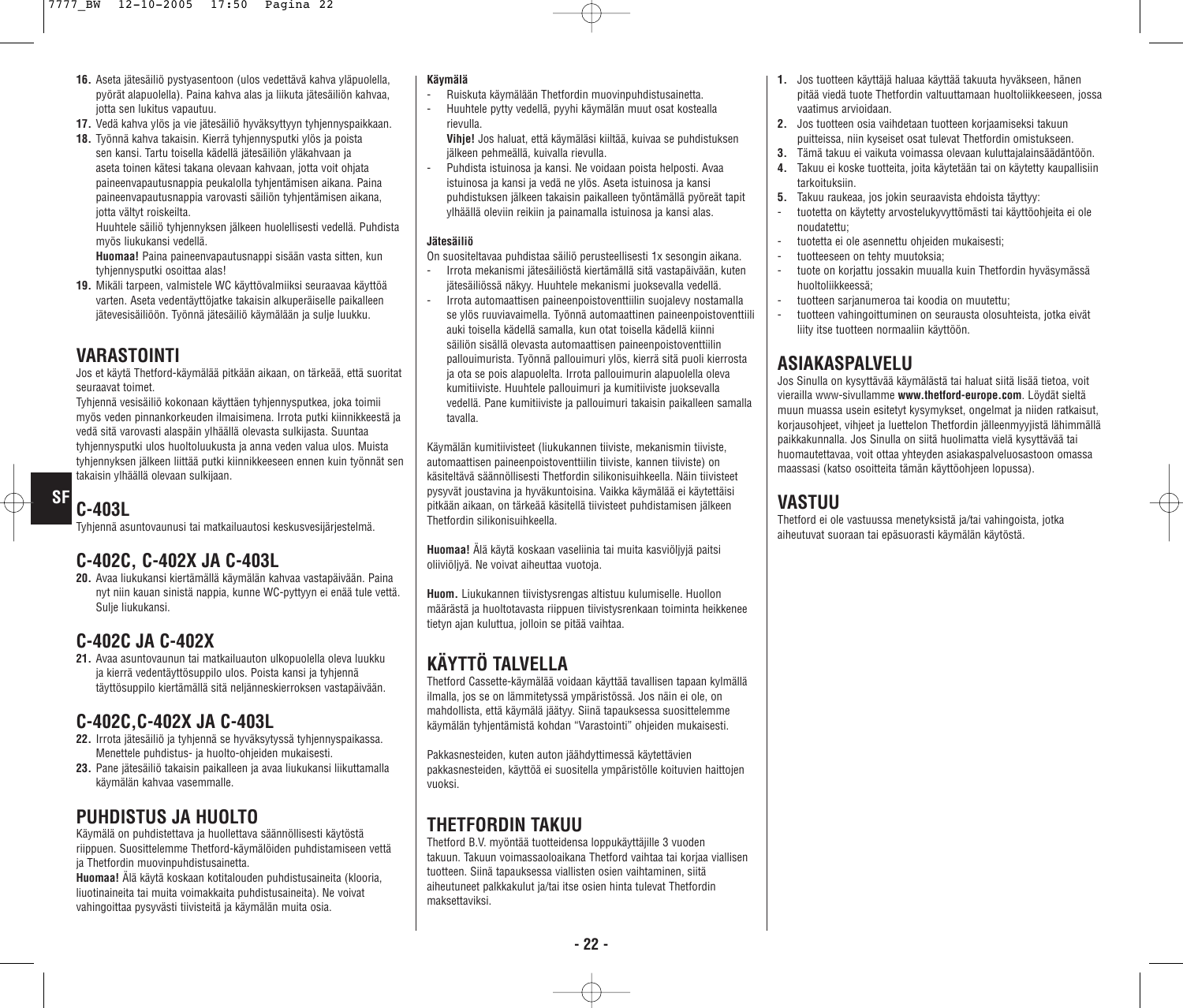- **16.** Aseta jätesäiliö pystyasentoon (ulos vedettävä kahva yläpuolella, pyörät alapuolella). Paina kahva alas ja liikuta jätesäiliön kahvaa, jotta sen lukitus vapautuu.
- **17.** Vedä kahva ylös ja vie jätesäiliö hyväksyttyyn tyhjennyspaikkaan.
- **18.** Työnnä kahva takaisin. Kierrä tyhjennysputki ylös ja poista sen kansi. Tartu toisella kädellä jätesäiliön yläkahvaan ja aseta toinen kätesi takana olevaan kahvaan, jotta voit ohjata paineenvapautusnappia peukalolla tyhjentämisen aikana. Paina paineenvapautusnappia varovasti säiliön tyhjentämisen aikana, jotta vältyt roiskeilta.

Huuhtele säiliö tyhjennyksen jälkeen huolellisesti vedellä. Puhdista myös liukukansi vedellä.

**Huomaa!** Paina paineenvapautusnappi sisään vasta sitten, kun tyhjennysputki osoittaa alas!

**19.** Mikäli tarpeen, valmistele WC käyttövalmiiksi seuraavaa käyttöä varten. Aseta vedentäyttöjatke takaisin alkuperäiselle paikalleen jätevesisäiliöön. Työnnä jätesäiliö käymälään ja sulje luukku.

### **VARASTOINTI**

Jos et käytä Thetford-käymälää pitkään aikaan, on tärkeää, että suoritat seuraavat toimet.

Tyhjennä vesisäiliö kokonaan käyttäen tyhjennysputkea, joka toimii myös veden pinnankorkeuden ilmaisimena. Irrota putki kiinnikkeestä ja vedä sitä varovasti alaspäin ylhäällä olevasta sulkijasta. Suuntaa tyhjennysputki ulos huoltoluukusta ja anna veden valua ulos. Muista tyhjennyksen jälkeen liittää putki kiinnikkeeseen ennen kuin työnnät sen takaisin ylhäällä olevaan sulkijaan.

# **C-403L**

**SF**

Tyhjennä asuntovaunusi tai matkailuautosi keskusvesijärjestelmä.

### **C-402C, C-402X JA C-403L**

**20.** Avaa liukukansi kiertämällä käymälän kahvaa vastapäivään. Paina nyt niin kauan sinistä nappia, kunne WC-pyttyyn ei enää tule vettä. Sulje liukukansi.

### **C-402C JA C-402X**

**21.** Avaa asuntovaunun tai matkailuauton ulkopuolella oleva luukku ja kierrä vedentäyttösuppilo ulos. Poista kansi ja tyhjennä täyttösuppilo kiertämällä sitä neljänneskierroksen vastapäivään.

### **C-402C,C-402X JA C-403L**

- **22.** Irrota jätesäiliö ja tyhjennä se hyväksytyssä tyhjennyspaikassa. Menettele puhdistus- ja huolto-ohjeiden mukaisesti.
- **23.** Pane jätesäiliö takaisin paikalleen ja avaa liukukansi liikuttamalla käymälän kahvaa vasemmalle.

### **PUHDISTUS JA HUOLTO**

Käymälä on puhdistettava ja huollettava säännöllisesti käytöstä riippuen. Suosittelemme Thetford-käymälöiden puhdistamiseen vettä ja Thetfordin muovinpuhdistusainetta.

**Huomaa!** Älä käytä koskaan kotitalouden puhdistusaineita (klooria, liuotinaineita tai muita voimakkaita puhdistusaineita). Ne voivat vahingoittaa pysyvästi tiivisteitä ja käymälän muita osia.

#### **Käymälä**

- Ruiskuta käymälään Thetfordin muovinpuhdistusainetta.
- Huuhtele pytty vedellä, pyyhi käymälän muut osat kostealla rievulla.
- **Vihje!** Jos haluat, että käymäläsi kiiltää, kuivaa se puhdistuksen jälkeen pehmeällä, kuivalla rievulla.
- Puhdista istuinosa ja kansi. Ne voidaan poista helposti. Avaa istuinosa ja kansi ja vedä ne ylös. Aseta istuinosa ja kansi puhdistuksen jälkeen takaisin paikalleen työntämällä pyöreät tapit ylhäällä oleviin reikiin ja painamalla istuinosa ja kansi alas.

#### **Jätesäiliö**

On suositeltavaa puhdistaa säiliö perusteellisesti 1x sesongin aikana.

- Irrota mekanismi jätesäiliöstä kiertämällä sitä vastapäivään, kuten jätesäiliössä näkyy. Huuhtele mekanismi juoksevalla vedellä.
- Irrota automaattisen paineenpoistoventtiilin suojalevy nostamalla se ylös ruuviavaimella. Työnnä automaattinen paineenpoistoventtiili auki toisella kädellä samalla, kun otat toisella kädellä kiinni säiliön sisällä olevasta automaattisen paineenpoistoventtiilin pallouimurista. Työnnä pallouimuri ylös, kierrä sitä puoli kierrosta ja ota se pois alapuolelta. Irrota pallouimurin alapuolella oleva kumitiiviste. Huuhtele pallouimuri ja kumitiiviste juoksevalla vedellä. Pane kumitiiviste ja pallouimuri takaisin paikalleen samalla tavalla.

Käymälän kumitiivisteet (liukukannen tiiviste, mekanismin tiiviste, automaattisen paineenpoistoventtiilin tiiviste, kannen tiiviste) on käsiteltävä säännöllisesti Thetfordin silikonisuihkeella. Näin tiivisteet pysyvät joustavina ja hyväkuntoisina. Vaikka käymälää ei käytettäisi pitkään aikaan, on tärkeää käsitellä tiivisteet puhdistamisen jälkeen Thetfordin silikonisuihkeella.

**Huomaa!** Älä käytä koskaan vaseliinia tai muita kasviöljyjä paitsi oliiviöljyä. Ne voivat aiheuttaa vuotoja.

**Huom.** Liukukannen tiivistysrengas altistuu kulumiselle. Huollon määrästä ja huoltotavasta riippuen tiivistysrenkaan toiminta heikkenee tietyn ajan kuluttua, jolloin se pitää vaihtaa.

## **KÄYTTÖ TALVELLA**

Thetford Cassette-käymälää voidaan käyttää tavallisen tapaan kylmällä ilmalla, jos se on lämmitetyssä ympäristössä. Jos näin ei ole, on mahdollista, että käymälä jäätyy. Siinä tapauksessa suosittelemme käymälän tyhjentämistä kohdan "Varastointi" ohjeiden mukaisesti.

Pakkasnesteiden, kuten auton jäähdyttimessä käytettävien pakkasnesteiden, käyttöä ei suositella ympäristölle koituvien haittojen vuoksi.

## **THETFORDIN TAKUU**

Thetford B.V. myöntää tuotteidensa loppukäyttäjille 3 vuoden takuun. Takuun voimassaoloaikana Thetford vaihtaa tai korjaa viallisen tuotteen. Siinä tapauksessa viallisten osien vaihtaminen, siitä aiheutuneet palkkakulut ja/tai itse osien hinta tulevat Thetfordin maksettaviksi.

- **1.** Jos tuotteen käyttäjä haluaa käyttää takuuta hyväkseen, hänen pitää viedä tuote Thetfordin valtuuttamaan huoltoliikkeeseen, jossa vaatimus arvioidaan.
- **2.** Jos tuotteen osia vaihdetaan tuotteen korjaamiseksi takuun puitteissa, niin kyseiset osat tulevat Thetfordin omistukseen.
- **3.** Tämä takuu ei vaikuta voimassa olevaan kuluttajalainsäädäntöön.
- **4.** Takuu ei koske tuotteita, joita käytetään tai on käytetty kaupallisiin tarkoituksiin.
- **5.** Takuu raukeaa, jos jokin seuraavista ehdoista täyttyy:
- tuotetta on käytetty arvostelukyvyttömästi tai käyttöohjeita ei ole noudatettu;
- tuotetta ei ole asennettu ohjeiden mukaisesti;
- tuotteeseen on tehty muutoksia;
- tuote on korjattu jossakin muualla kuin Thetfordin hyväsymässä huoltoliikkeessä;
- tuotteen sarjanumeroa tai koodia on muutettu;
- tuotteen vahingoittuminen on seurausta olosuhteista, jotka eivät liity itse tuotteen normaaliin käyttöön.

### **ASIAKASPALVELU**

Jos Sinulla on kysyttävää käymälästä tai haluat siitä lisää tietoa, voit vierailla www-sivullamme **www.thetford-europe.com**. Löydät sieltä muun muassa usein esitetyt kysymykset, ongelmat ja niiden ratkaisut, korjausohjeet, vihjeet ja luettelon Thetfordin jälleenmyyjistä lähimmällä paikkakunnalla. Jos Sinulla on siitä huolimatta vielä kysyttävää tai huomautettavaa, voit ottaa yhteyden asiakaspalveluosastoon omassa maassasi (katso osoitteita tämän käyttöohjeen lopussa).

### **VASTUU**

Thetford ei ole vastuussa menetyksistä ja/tai vahingoista, jotka aiheutuvat suoraan tai epäsuorasti käymälän käytöstä.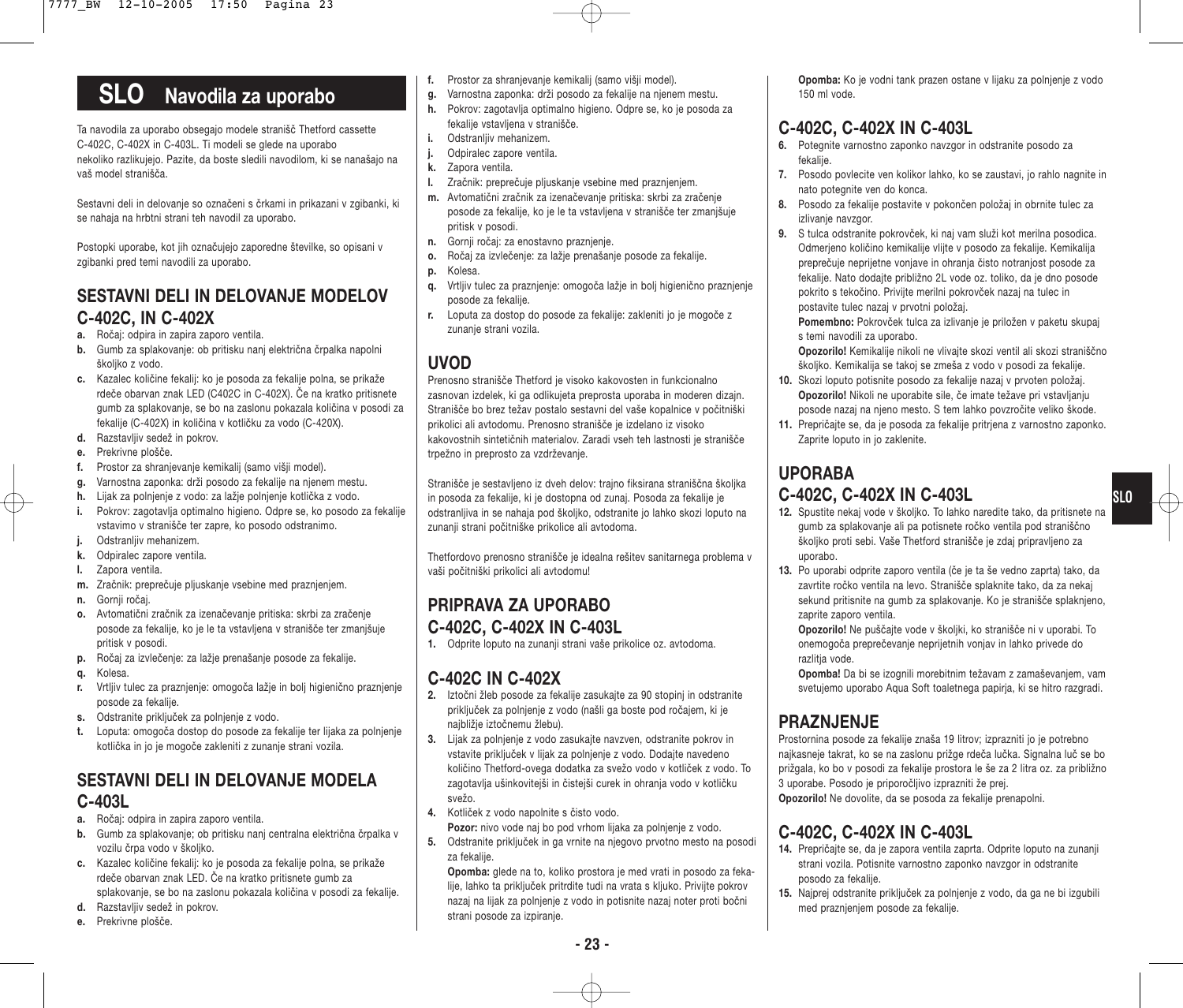# **SLO Navodila za uporabo**

Ta navodila za uporabo obsegajo modele stranišč Thetford cassette C-402C, C-402X in C-403L. Ti modeli se glede na uporabo nekoliko razlikujejo. Pazite, da boste sledili navodilom, ki se nanašajo na vaš model stranišča.

Sestavni deli in delovanje so označeni s črkami in prikazani v zgibanki, ki se nahaja na hrbtni strani teh navodil za uporabo.

Postopki uporabe, kot jih označujejo zaporedne številke, so opisani v zgibanki pred temi navodili za uporabo.

### **SESTAVNI DELI IN DELOVANJE MODELOV C-402C, IN C-402X**

- **a.** Ročaj: odpira in zapira zaporo ventila.
- **b.** Gumb za splakovanje: ob pritisku nanj električna črpalka napolni školiko z vodo.
- **c.** Kazalec količine fekalij: ko je posoda za fekalije polna, se prikaže rdeče obarvan znak LED (C402C in C-402X). Če na kratko pritisnete gumb za splakovanje, se bo na zaslonu pokazala količina v posodi za fekalije (C-402X) in količina v kotličku za vodo (C-420X).
- **d.** Razstavljiv sedež in pokrov.
- **e.** Prekrivne plošče.
- **f.** Prostor za shranjevanje kemikalij (samo višji model).
- **g.** Varnostna zaponka: drži posodo za fekalije na njenem mestu.
- **h.** Lijak za polnjenje z vodo: za lažje polnjenje kotlička z vodo.
- **i.** Pokrov: zagotavlja optimalno higieno. Odpre se, ko posodo za fekalije vstavimo v stranišče ter zapre, ko posodo odstranimo.
- **j.** Odstranljiv mehanizem.
- **k.** Odpiralec zapore ventila.
- **l.** Zapora ventila.
- **m.** Zračnik: preprečuje pljuskanje vsebine med praznjenjem.
- **n.** Gornji ročaj.
- **o.** Avtomatični zračnik za izenačevanje pritiska: skrbi za zračenje posode za fekalije, ko je le ta vstavljena v stranišče ter zmanjšuje pritisk v posodi.
- **p.** Ročaj za izvlečenje: za lažje prenašanje posode za fekalije.
- **q.** Kolesa.
- **r.** Vrtljiv tulec za praznjenje: omogoča lažje in bolj higienično praznjenje posode za fekalije.
- **s.** Odstranite priključek za polnjenje z vodo.
- **t.** Loputa: omogoča dostop do posode za fekalije ter lijaka za polnjenje kotlička in jo je mogoče zakleniti z zunanje strani vozila.

### **SESTAVNI DELI IN DELOVANJE MODELA C-403L**

- **a.** Ročaj: odpira in zapira zaporo ventila.
- **b.** Gumb za splakovanje; ob pritisku nanj centralna električna črpalka v vozilu črpa vodo v školjko.
- **c.** Kazalec količine fekalij: ko je posoda za fekalije polna, se prikaže rdeče obarvan znak LED. Če na kratko pritisnete gumb za splakovanje, se bo na zaslonu pokazala količina v posodi za fekalije.
- **d.** Razstavljiv sedež in pokrov.
- **e.** Prekrivne plošče.
- **f.** Prostor za shranjevanje kemikalij (samo višji model).
- **g.** Varnostna zaponka: drži posodo za fekalije na njenem mestu.
- **h.** Pokrov: zagotavlja optimalno higieno. Odpre se, ko je posoda za fekalije vstavljena v stranišče.
- **i.** Odstranlijv mehanizem.
- **j.** Odpiralec zapore ventila.
- **k.** Zapora ventila.
- **l.** Zračnik: preprečuje pljuskanje vsebine med praznjenjem.
- **m.** Avtomatični zračnik za izenačevanje pritiska: skrbi za zračenje posode za fekalije, ko je le ta vstavljena v stranišče ter zmanjšuje pritisk v posodi.
- **n.** Gornji ročaj: za enostavno praznjenje.
- **o.** Ročaj za izvlečenje: za lažje prenašanje posode za fekalije.
- **p.** Kolesa.
- **q.** Vrtljiv tulec za praznjenje: omogoča lažje in bolj higienično praznjenje posode za fekalije.
- **r.** Loputa za dostop do posode za fekalije: zakleniti jo je mogoče z zunanie strani vozila.

### **UVOD**

Prenosno stranišče Thetford je visoko kakovosten in funkcionalno zasnovan izdelek, ki ga odlikujeta preprosta uporaba in moderen dizajn. Stranišče bo brez težav postalo sestavni del vaše kopalnice v počitniški prikolici ali avtodomu. Prenosno stranišče je izdelano iz visoko kakovostnih sintetičnih materialov. Zaradi vseh teh lastnosti je stranišče trpežno in preprosto za vzdrževanje.

Stranišče je sestavljeno iz dveh delov: trajno fiksirana straniščna školjka in posoda za fekalije, ki je dostopna od zunaj. Posoda za fekalije je odstranljiva in se nahaja pod školjko, odstranite jo lahko skozi loputo na zunanji strani počitniške prikolice ali avtodoma.

Thetfordovo prenosno stranišče je idealna rešitev sanitarnega problema v vaši počitniški prikolici ali avtodomu!

### **PRIPRAVA ZA UPORABO C-402C, C-402X IN C-403L**

**1.** Odprite loputo na zunanji strani vaše prikolice oz. avtodoma.

### **C-402C IN C-402X**

- **2.** Iztočni žleb posode za fekalije zasukajte za 90 stopinj in odstranite priključek za polnjenje z vodo (našli ga boste pod ročajem, ki je najbližje iztočnemu žlebu).
- **3.** Lijak za polnjenje z vodo zasukajte navzven, odstranite pokrov in vstavite priključek v lijak za polnjenje z vodo. Dodajte navedeno količino Thetford-ovega dodatka za svežo vodo v kotliček z vodo. To zagotavlja ušinkovitejši in čistejši curek in ohranja vodo v kotličku svežo.
- **4.** Kotliček z vodo napolnite s čisto vodo.

**Pozor:** nivo vode naj bo pod vrhom lijaka za polnjenje z vodo.

**5.** Odstranite priključek in ga vrnite na njegovo prvotno mesto na posodi za fekalije.

**Opomba:** glede na to, koliko prostora je med vrati in posodo za fekalije, lahko ta priključek pritrdite tudi na vrata s kljuko. Privijte pokrov nazaj na lijak za polnjenje z vodo in potisnite nazaj noter proti bočni strani posode za izpiranje.

**Opomba:** Ko je vodni tank prazen ostane v lijaku za polnjenje z vodo 150 ml vode.

### **C-402C, C-402X IN C-403L**

- **6.** Potegnite varnostno zaponko navzgor in odstranite posodo za fekalije.
- **7.** Posodo povlecite ven kolikor lahko, ko se zaustavi, jo rahlo nagnite in nato potegnite ven do konca.
- **8.** Posodo za fekalije postavite v pokončen položaj in obrnite tulec za izlivanje navzgor.
- **9.** S tulca odstranite pokrovček, ki naj vam služi kot merilna posodica. Odmerjeno količino kemikalije vlijte v posodo za fekalije. Kemikalija preprečuje neprijetne vonjave in ohranja čisto notranjost posode za fekalije. Nato dodajte približno 2L vode oz. toliko, da je dno posode pokrito s tekočino. Privijte merilni pokrovček nazaj na tulec in postavite tulec nazaj v prvotni položaj.

**Pomembno:** Pokrovček tulca za izlivanje je priložen v paketu skupaj s temi navodili za uporabo.

- **Opozorilo!** Kemikalije nikoli ne vlivajte skozi ventil ali skozi straniščno školjko. Kemikalija se takoj se zmeša z vodo v posodi za fekalije.
- **10.** Skozi loputo potisnite posodo za fekalije nazaj v prvoten položaj. **Opozorilo!** Nikoli ne uporabite sile, če imate težave pri vstavljanju posode nazaj na njeno mesto. S tem lahko povzročite veliko škode.
- **11.** Prepričajte se, da je posoda za fekalije pritrjena z varnostno zaponko. Zaprite loputo in jo zaklenite.

### **UPORABA C-402C, C-402X IN C-403L**

- **12.** Spustite nekaj vode v školjko. To lahko naredite tako, da pritisnete na gumb za splakovanje ali pa potisnete ročko ventila pod straniščno školjko proti sebi. Vaše Thetford stranišče je zdaj pripravljeno za uporabo.
- **13.** Po uporabi odprite zaporo ventila (če je ta še vedno zaprta) tako, da zavrtite ročko ventila na levo. Stranišče splaknite tako, da za nekaj sekund pritisnite na gumb za splakovanje. Ko je stranišče splaknjeno, zaprite zaporo ventila.

**Opozorilo!** Ne puščajte vode v školjki, ko stranišče ni v uporabi. To onemogoča preprečevanje neprijetnih vonjav in lahko privede do razlitia vode.

**Opomba!** Da bi se izognili morebitnim težavam z zamaševanjem, vam svetujemo uporabo Aqua Soft toaletnega papirja, ki se hitro razgradi.

### **PRAZNJENJE**

Prostornina posode za fekalije znaša 19 litrov; izprazniti jo je potrebno najkasneje takrat, ko se na zaslonu prižge rdeča lučka. Signalna luč se bo prižgala, ko bo v posodi za fekalije prostora le še za 2 litra oz. za približno 3 uporabe. Posodo je priporočljivo izprazniti že prej. **Opozorilo!** Ne dovolite, da se posoda za fekalije prenapolni.

### **C-402C, C-402X IN C-403L**

- **14.** Prepričajte se, da je zapora ventila zaprta. Odprite loputo na zunanji strani vozila. Potisnite varnostno zaponko navzgor in odstranite posodo za fekalije.
- **15.** Najprej odstranite priključek za polnjenje z vodo, da ga ne bi izgubili med praznjenjem posode za fekalije.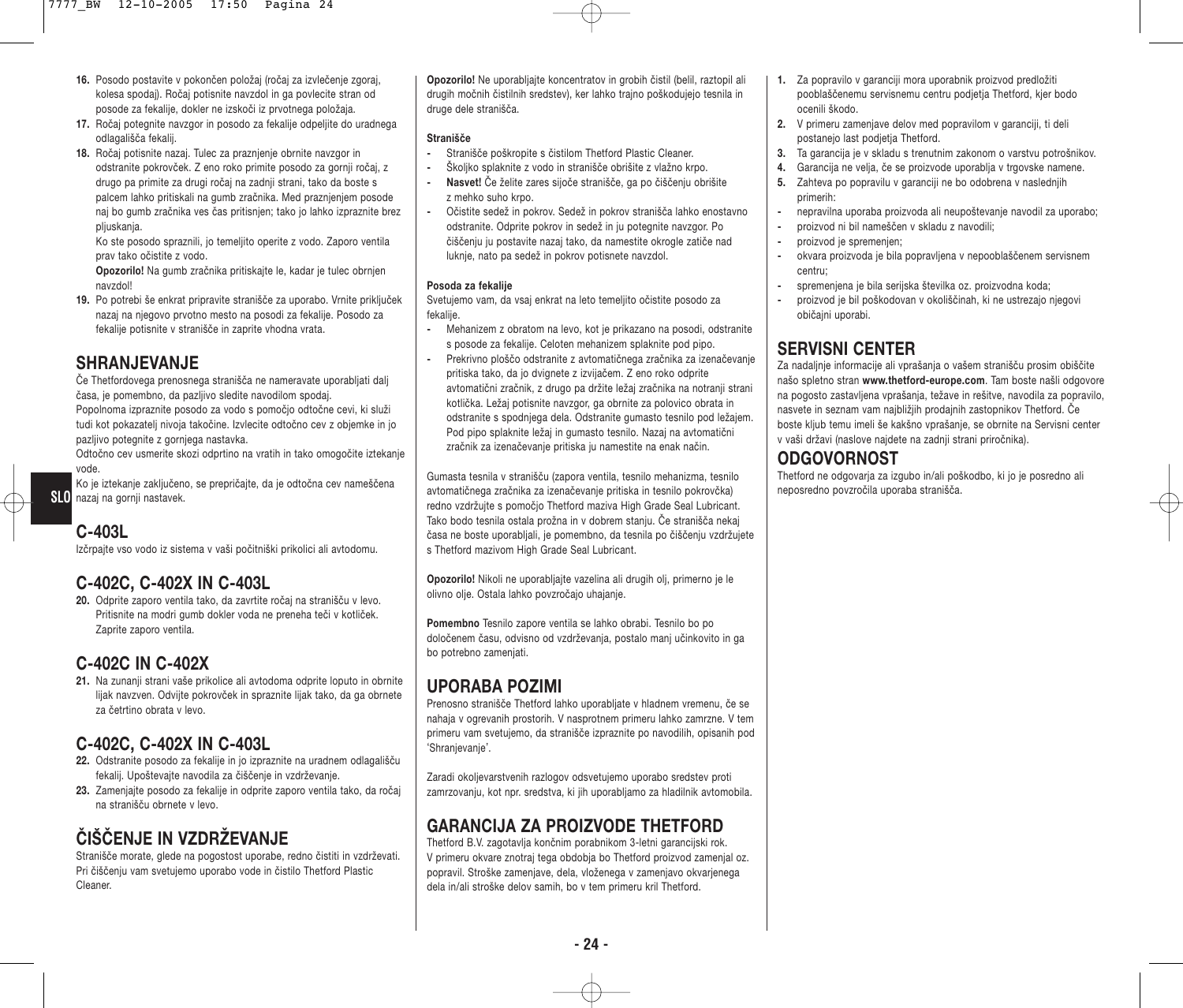- **16.** Posodo postavite v pokončen položaj (ročaj za izvlečenje zgoraj, kolesa spodaj). Ročaj potisnite navzdol in ga povlecite stran od posode za fekalije, dokler ne izskoči iz prvotnega položaja.
- **17.** Ročaj potegnite navzgor in posodo za fekalije odpeljite do uradnega odlagališča fekalij.
- **18.** Ročaj potisnite nazaj. Tulec za praznjenje obrnite navzgor in odstranite pokrovček. Z eno roko primite posodo za gornji ročaj, z drugo pa primite za drugi ročaj na zadnji strani, tako da boste s palcem lahko pritiskali na gumb zračnika. Med praznjenjem posode naj bo gumb zračnika ves čas pritisnjen; tako jo lahko izpraznite brez pliuskania.

Ko ste posodo spraznili, jo temeljito operite z vodo. Zaporo ventila prav tako očistite z vodo.

**Opozorilo!** Na gumb zračnika pritiskajte le, kadar je tulec obrnjen navzdol!

**19.** Po potrebi še enkrat pripravite stranišče za uporabo. Vrnite priključek nazaj na njegovo prvotno mesto na posodi za fekalije. Posodo za fekalije potisnite v stranišče in zaprite vhodna vrata.

### **SHRANJEVANJE**

Če Thetfordovega prenosnega stranišča ne nameravate uporabljati dalj časa, je pomembno, da pazljivo sledite navodilom spodaj. Popolnoma izpraznite posodo za vodo s pomočjo odtočne cevi, ki služi

tudi kot pokazatelj nivoja takočine. Izvlecite odtočno cev z objemke in jo pazljivo potegnite z gornjega nastavka.

Odtočno cev usmerite skozi odprtino na vratih in tako omogočite iztekanje vode.

Ko je iztekanje zaključeno, se prepričajte, da je odtočna cev nameščena **SLO** nazaj na gorniji nastavek.

## **C-403L**

Izčrpajte vso vodo iz sistema v vaši počitniški prikolici ali avtodomu.

### **C-402C, C-402X IN C-403L**

**20.** Odprite zaporo ventila tako, da zavrtite ročaj na stranišču v levo. Pritisnite na modri gumb dokler voda ne preneha teči v kotliček. Zaprite zaporo ventila.

### **C-402C IN C-402X**

**21.** Na zunanji strani vaše prikolice ali avtodoma odprite loputo in obrnite lijak navzven. Odvijte pokrovček in spraznite lijak tako, da ga obrnete za četrtino obrata v levo.

### **C-402C, C-402X IN C-403L**

- **22.** Odstranite posodo za fekalije in jo izpraznite na uradnem odlagališču fekalij. Upoštevajte navodila za čiščenje in vzdrževanje.
- **23.** Zamenjajte posodo za fekalije in odprite zaporo ventila tako, da ročaj na stranišču obrnete v levo.

### **ČISˇ ČENJE IN VZDRŽEVANJE**

Stranišče morate, glede na pogostost uporabe, redno čistiti in vzdrževati. Pri čiščenju vam svetujemo uporabo vode in čistilo Thetford Plastic Cleaner.

**Opozorilo!** Ne uporabliaite koncentratov in grobih čistil (belil, raztopil ali drugih močnih čistilnih sredstev), ker lahko trajno poškodujejo tesnila in druge dele stranišča.

#### **Stranišče**

- **-** Stranišče poškropite s čistilom Thetford Plastic Cleaner.
- **-** Školjko splaknite z vodo in stranišče obrišite z vlažno krpo.
- **Nasvet!** Če želite zares sijoče stranišče, ga po čiščenju obrišite z mehko suho krpo.
- **-** Očistite sedež in pokrov. Sedež in pokrov stranišča lahko enostavno odstranite. Odprite pokrov in sedež in ju potegnite navzgor. Po čiščenju ju postavite nazaj tako, da namestite okrogle zatiče nad luknje, nato pa sedež in pokrov potisnete navzdol.

#### **Posoda za fekalije**

Svetujemo vam, da vsaj enkrat na leto temeljito očistite posodo za fekalije.

- **-** Mehanizem z obratom na levo, kot je prikazano na posodi, odstranite s posode za fekalije. Celoten mehanizem splaknite pod pipo.
- **-** Prekrivno ploščo odstranite z avtomatičnega zračnika za izenačevanje pritiska tako, da jo dvignete z izvijačem. Z eno roko odprite avtomatični zračnik, z drugo pa držite ležaj zračnika na notranji strani kotlička. Ležaj potisnite navzgor, ga obrnite za polovico obrata in odstranite s spodnjega dela. Odstranite gumasto tesnilo pod ležajem. Pod pipo splaknite ležaj in gumasto tesnilo. Nazaj na avtomatični zračnik za izenačevanje pritiska ju namestite na enak način.

Gumasta tesnila v stranišču (zapora ventila, tesnilo mehanizma, tesnilo avtomatičnega zračnika za izenačevanje pritiska in tesnilo pokrovčka) neposredno povzročila uporaba stranišča. **SLO** redno vzdržujte s pomočjo Thetford maziva High Grade Seal Lubricant. Tako bodo tesnila ostala prožna in v dobrem stanju. Če stranišča nekaj časa ne boste uporabljali, je pomembno, da tesnila po čiščenju vzdržujete s Thetford mazivom High Grade Seal Lubricant.

> **Opozorilo!** Nikoli ne uporabljajte vazelina ali drugih olj, primerno je le olivno olje. Ostala lahko povzročajo uhajanje.

**Pomembno** Tesnilo zapore ventila se lahko obrabi. Tesnilo bo po določenem času, odvisno od vzdrževanja, postalo manj učinkovito in ga bo potrebno zamenjati.

### **UPORABA POZIMI**

Prenosno stranišče Thetford lahko uporabljate v hladnem vremenu, če se nahaja v ogrevanih prostorih. V nasprotnem primeru lahko zamrzne. V tem primeru vam svetujemo, da stranišče izpraznite po navodilih, opisanih pod 'Shranjevanje'.

Zaradi okoljevarstvenih razlogov odsvetujemo uporabo sredstev proti zamrzovanju, kot npr. sredstva, ki jih uporabljamo za hladilnik avtomobila.

### **GARANCIJA ZA PROIZVODE THETFORD**

Thetford B.V. zagotavlja končnim porabnikom 3-letni garancijski rok. V primeru okvare znotraj tega obdobja bo Thetford proizvod zamenjal oz. popravil. Stroške zamenjave, dela, vloženega v zamenjavo okvarjenega dela in/ali stroške delov samih, bo v tem primeru kril Thetford.

- **1.** Za popravilo v garanciji mora uporabnik proizvod predložiti pooblaščenemu servisnemu centru podjetja Thetford, kjer bodo ocenili škodo.
- **2.** V primeru zamenjave delov med popravilom v garanciji, ti deli postanejo last podjetja Thetford.
- **3.** Ta garancija je v skladu s trenutnim zakonom o varstvu potrošnikov.
- **4.** Garancija ne velja, če se proizvode uporablja v trgovske namene. **5.** Zahteva po popravilu v garanciji ne bo odobrena v naslednjih primerih:
- **-** nepravilna uporaba proizvoda ali neupoštevanje navodil za uporabo;
- **-** proizvod ni bil nameščen v skladu z navodili;
- **-** proizvod je spremenjen;
- **-** okvara proizvoda je bila popravljena v nepooblaščenem servisnem centru;
- **-** spremenjena je bila serijska številka oz. proizvodna koda;
- **-** proizvod je bil poškodovan v okoliščinah, ki ne ustrezajo njegovi običajni uporabi.

## **SERVISNI CENTER**

Za nadaljnje informacije ali vprašanja o vašem stranišču prosim obiščite našo spletno stran **www.thetford-europe.com**. Tam boste našli odgovore na pogosto zastavljena vprašanja, težave in rešitve, navodila za popravilo, nasvete in seznam vam najbližjih prodajnih zastopnikov Thetford. Če boste kljub temu imeli še kakšno vprašanje, se obrnite na Servisni center v vaši državi (naslove najdete na zadnji strani priročnika).

#### **ODGOVORNOST**

Thetford ne odgovarja za izgubo in/ali poškodbo, ki jo je posredno ali